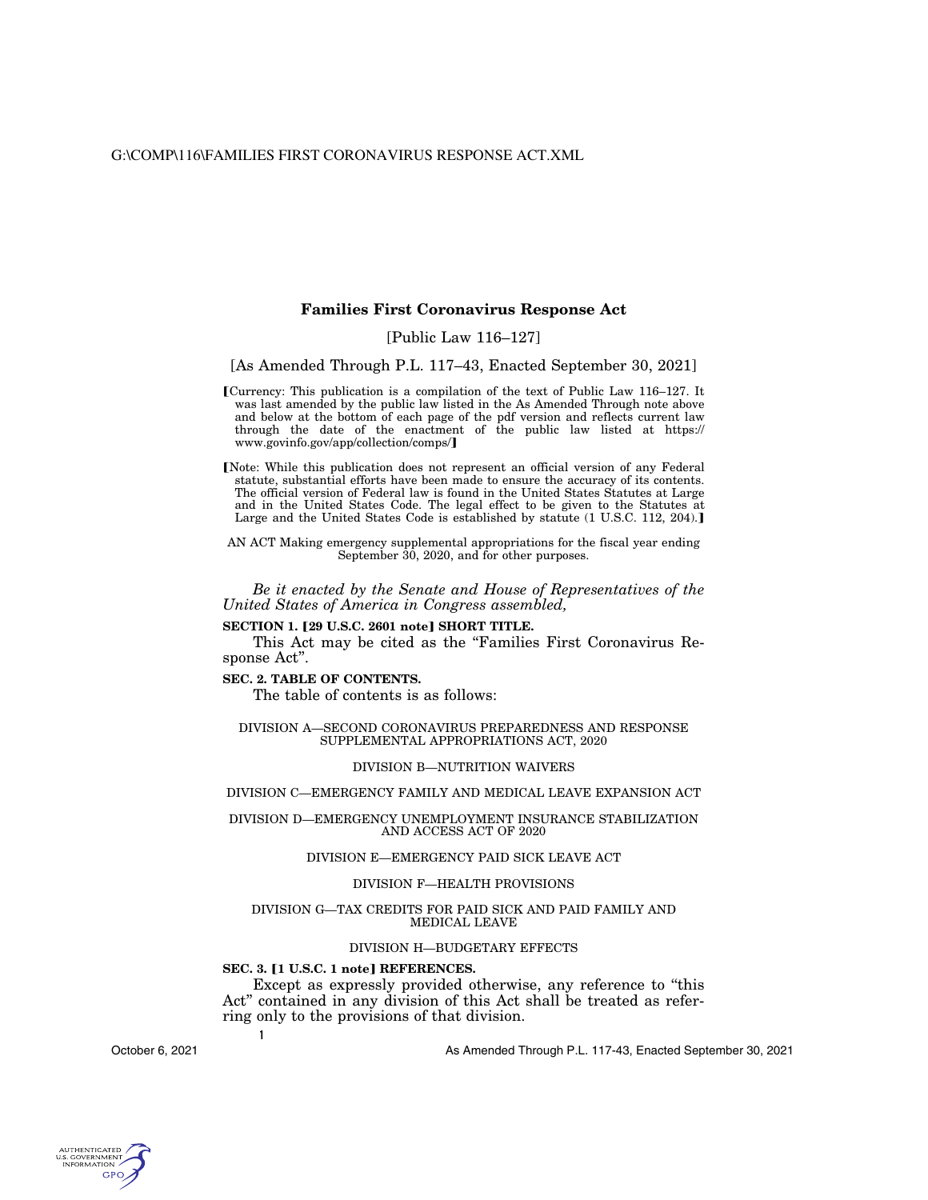G:\COMP\116\FAMILIES FIRST CORONAVIRUS RESPONSE ACT.XML

#### **Families First Coronavirus Response Act**

#### [Public Law 116–127]

[As Amended Through P.L. 117–43, Enacted September 30, 2021]

øCurrency: This publication is a compilation of the text of Public Law 116–127. It was last amended by the public law listed in the As Amended Through note above and below at the bottom of each page of the pdf version and reflects current law through the date of the enactment of the public law listed at https:// www.govinfo.gov/app/collection/comps/

[Note: While this publication does not represent an official version of any Federal statute, substantial efforts have been made to ensure the accuracy of its contents. The official version of Federal law is found in the United States Statutes at Large and in the United States Code. The legal effect to be given to the Statutes at Large and the United States Code is established by statute (1 U.S.C. 112, 204).]

AN ACT Making emergency supplemental appropriations for the fiscal year ending September 30, 2020, and for other purposes.

*Be it enacted by the Senate and House of Representatives of the United States of America in Congress assembled,* 

#### **SECTION 1. [29 U.S.C. 2601 note] SHORT TITLE.**

This Act may be cited as the "Families First Coronavirus Response Act''.

#### **SEC. 2. TABLE OF CONTENTS.**

The table of contents is as follows:

DIVISION A—SECOND CORONAVIRUS PREPAREDNESS AND RESPONSE SUPPLEMENTAL APPROPRIATIONS ACT, 2020

#### DIVISION B—NUTRITION WAIVERS

#### DIVISION C—EMERGENCY FAMILY AND MEDICAL LEAVE EXPANSION ACT

DIVISION D—EMERGENCY UNEMPLOYMENT INSURANCE STABILIZATION AND ACCESS ACT OF 2020

#### DIVISION E—EMERGENCY PAID SICK LEAVE ACT

#### DIVISION F—HEALTH PROVISIONS

#### DIVISION G—TAX CREDITS FOR PAID SICK AND PAID FAMILY AND MEDICAL LEAVE

#### DIVISION H—BUDGETARY EFFECTS

#### **SEC. 3. [1 U.S.C. 1 note] REFERENCES.**

**1** 

Except as expressly provided otherwise, any reference to ''this Act'' contained in any division of this Act shall be treated as referring only to the provisions of that division.

October 6, 2021

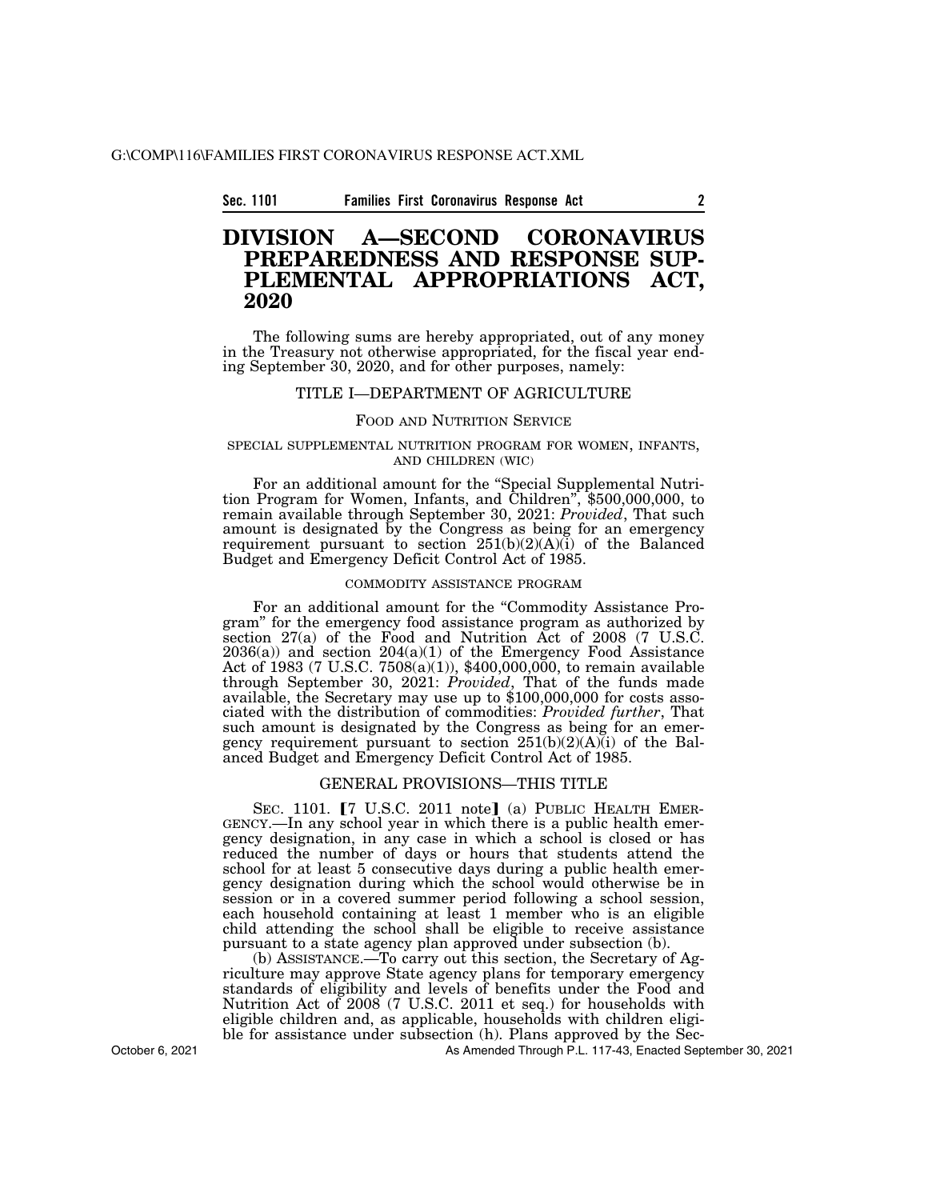#### G:\COMP\116\FAMILIES FIRST CORONAVIRUS RESPONSE ACT.XML

#### **Sec. 1101 Families First Coronavirus Response Act 2**

### **DIVISION A—SECOND CORONAVIRUS PREPAREDNESS AND RESPONSE SUP-PLEMENTAL APPROPRIATIONS ACT, 2020**

The following sums are hereby appropriated, out of any money in the Treasury not otherwise appropriated, for the fiscal year ending September 30, 2020, and for other purposes, namely:

#### TITLE I—DEPARTMENT OF AGRICULTURE

#### FOOD AND NUTRITION SERVICE

# SPECIAL SUPPLEMENTAL NUTRITION PROGRAM FOR WOMEN, INFANTS,<br>AND CHILDREN (WIC)

For an additional amount for the ''Special Supplemental Nutri- tion Program for Women, Infants, and Children'', \$500,000,000, to remain available through September 30, 2021: *Provided*, That such amount is designated by the Congress as being for an emergency requirement pursuant to section 251(b)(2)(A)(i) of the Balanced Budget and Emergency Deficit Control Act of 1985.

#### COMMODITY ASSISTANCE PROGRAM

For an additional amount for the "Commodity Assistance Program'' for the emergency food assistance program as authorized by section  $27(a)$  of the Food and Nutrition Act of  $2008$  (7 U.S.C.  $2036(a)$  and section  $204(a)(1)$  of the Emergency Food Assistance Act of 1983 (7 U.S.C. 7508(a)(1)), \$400,000,000, to remain available through September 30, 2021: *Provided*, That of the funds made available, the Secretary may use up to \$100,000,000 for costs associated with the distribution of commodities: *Provided further*, That such amount is designated by the Congress as being for an emergency requirement pursuant to section  $251(b)(2)(A)(i)$  of the Balanced Budget and Emergency Deficit Control Act of 1985.

#### GENERAL PROVISIONS—THIS TITLE

SEC. 1101. [7 U.S.C. 2011 note] (a) PUBLIC HEALTH EMERGENCY.—In any school year in which there is a public health emergency designation, in any case in which a school is closed or has reduced the number of days or hours that students attend the school for at least 5 consecutive days during a public health emergency designation during which the school would otherwise be in session or in a covered summer period following a school session, each household containing at least 1 member who is an eligible child attending the school shall be eligible to receive assistance pursuant to a state agency plan approved under subsection (b).

(b) ASSISTANCE.—To carry out this section, the Secretary of Agriculture may approve State agency plans for temporary emergency standards of eligibility and levels of benefits under the Food and Nutrition Act of 2008 (7 U.S.C. 2011 et seq.) for households with eligible children and, as applicable, households with children eligible for assistance under subsection (h). Plans approved by the Sec-

As Amended Through P.L. 117-43, Enacted September 30, 2021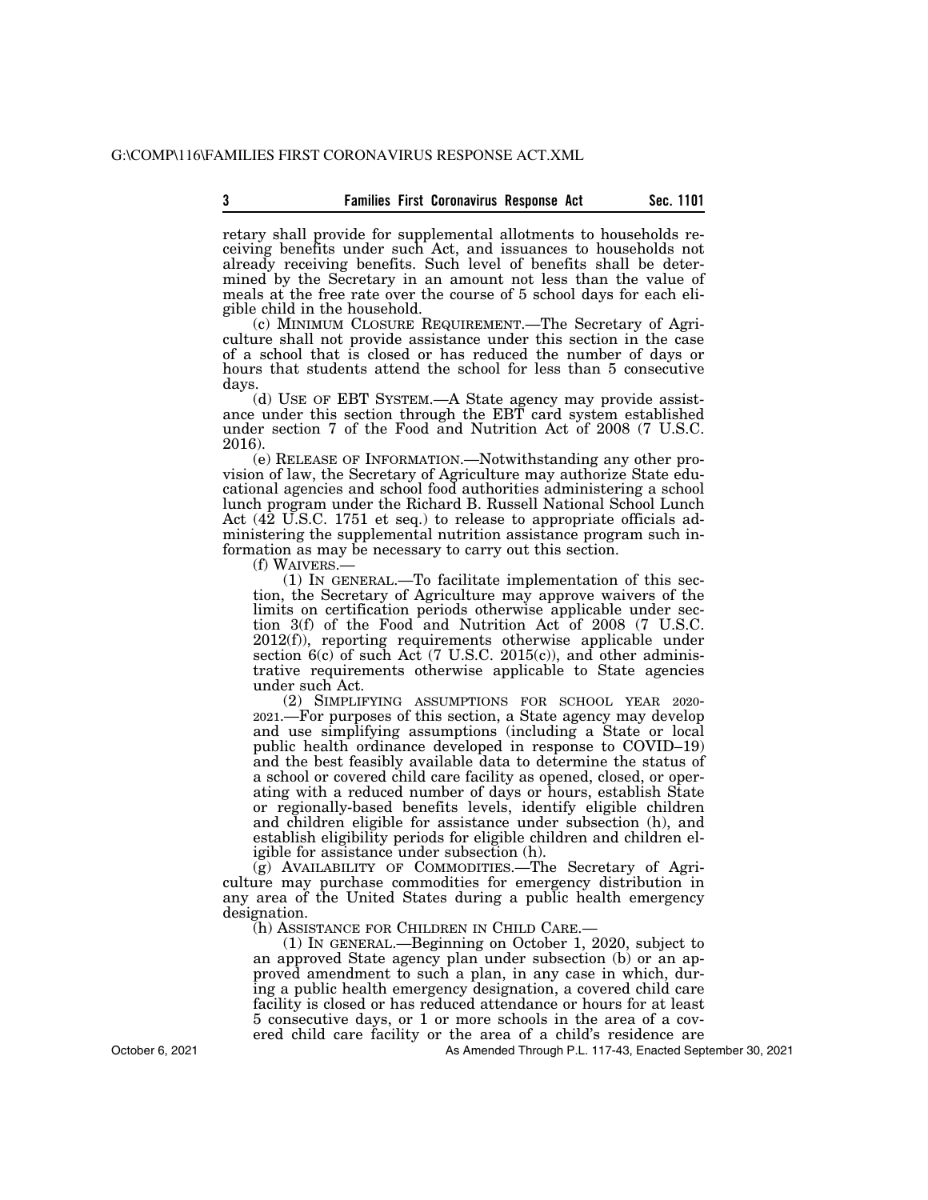retary shall provide for supplemental allotments to households receiving benefits under such Act, and issuances to households not already receiving benefits. Such level of benefits shall be determined by the Secretary in an amount not less than the value of meals at the free rate over the course of 5 school days for each eligible child in the household.

(c) MINIMUM CLOSURE REQUIREMENT.—The Secretary of Agriculture shall not provide assistance under this section in the case of a school that is closed or has reduced the number of days or hours that students attend the school for less than 5 consecutive days.

(d) USE OF EBT SYSTEM.—A State agency may provide assistance under this section through the EBT card system established under section 7 of the Food and Nutrition Act of 2008 (7 U.S.C. 2016).

(e) RELEASE OF INFORMATION.—Notwithstanding any other provision of law, the Secretary of Agriculture may authorize State educational agencies and school food authorities administering a school lunch program under the Richard B. Russell National School Lunch Act (42 U.S.C. 1751 et seq.) to release to appropriate officials administering the supplemental nutrition assistance program such information as may be necessary to carry out this section.

 $(1)$  In GENERAL.—To facilitate implementation of this section, the Secretary of Agriculture may approve waivers of the limits on certification periods otherwise applicable under section 3(f) of the Food and Nutrition Act of 2008 (7 U.S.C. 2012(f)), reporting requirements otherwise applicable under section 6(c) of such Act (7 U.S.C. 2015(c)), and other administrative requirements otherwise applicable to State agencies under such Act.

(2) SIMPLIFYING ASSUMPTIONS FOR SCHOOL YEAR 2020- 2021.—For purposes of this section, a State agency may develop and use simplifying assumptions (including a State or local public health ordinance developed in response to COVID–19) and the best feasibly available data to determine the status of a school or covered child care facility as opened, closed, or operating with a reduced number of days or hours, establish State or regionally-based benefits levels, identify eligible children and children eligible for assistance under subsection (h), and establish eligibility periods for eligible children and children eligible for assistance under subsection (h).

(g) AVAILABILITY OF COMMODITIES.—The Secretary of Agriculture may purchase commodities for emergency distribution in any area of the United States during a public health emergency designation.

(h) ASSISTANCE FOR CHILDREN IN CHILD CARE.—

(1) IN GENERAL.—Beginning on October 1, 2020, subject to an approved State agency plan under subsection (b) or an approved amendment to such a plan, in any case in which, during a public health emergency designation, a covered child care facility is closed or has reduced attendance or hours for at least 5 consecutive days, or 1 or more schools in the area of a covered child care facility or the area of a child's residence are

As Amended Through P.L. 117-43, Enacted September 30, 2021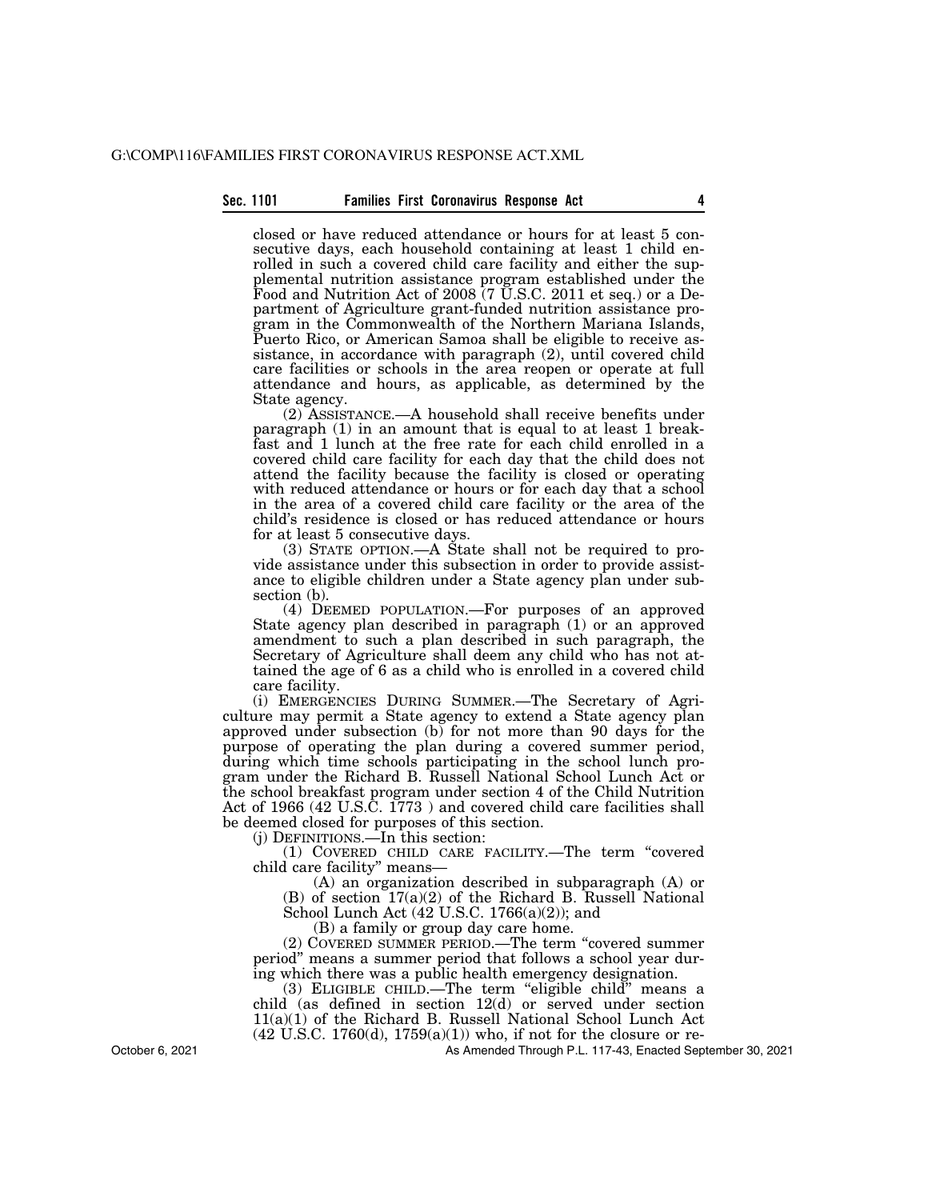#### **Sec. 1101 Families First Coronavirus Response Act 4**

closed or have reduced attendance or hours for at least 5 consecutive days, each household containing at least 1 child enrolled in such a covered child care facility and either the supplemental nutrition assistance program established under the Food and Nutrition Act of 2008 (7 U.S.C. 2011 et seq.) or a Department of Agriculture grant-funded nutrition assistance program in the Commonwealth of the Northern Mariana Islands, Puerto Rico, or American Samoa shall be eligible to receive assistance, in accordance with paragraph (2), until covered child care facilities or schools in the area reopen or operate at full attendance and hours, as applicable, as determined by the State agency.

(2) ASSISTANCE.—A household shall receive benefits under paragraph (1) in an amount that is equal to at least 1 breakfast and 1 lunch at the free rate for each child enrolled in a covered child care facility for each day that the child does not attend the facility because the facility is closed or operating with reduced attendance or hours or for each day that a school in the area of a covered child care facility or the area of the child's residence is closed or has reduced attendance or hours for at least 5 consecutive days.

(3) STATE OPTION.—A State shall not be required to provide assistance under this subsection in order to provide assistance to eligible children under a State agency plan under subsection (b).

(4) DEEMED POPULATION.—For purposes of an approved State agency plan described in paragraph (1) or an approved amendment to such a plan described in such paragraph, the Secretary of Agriculture shall deem any child who has not attained the age of 6 as a child who is enrolled in a covered child care facility.

(i) EMERGENCIES DURING SUMMER.—The Secretary of Agriculture may permit a State agency to extend a State agency plan approved under subsection (b) for not more than 90 days for the purpose of operating the plan during a covered summer period, during which time schools participating in the school lunch program under the Richard B. Russell National School Lunch Act or the school breakfast program under section 4 of the Child Nutrition Act of 1966 (42 U.S.C. 1773 ) and covered child care facilities shall be deemed closed for purposes of this section.

(j) DEFINITIONS.—In this section:

(1) COVERED CHILD CARE FACILITY.—The term ''covered child care facility'' means—

(A) an organization described in subparagraph (A) or (B) of section 17(a)(2) of the Richard B. Russell National School Lunch Act (42 U.S.C. 1766(a)(2)); and

(B) a family or group day care home.

(2) COVERED SUMMER PERIOD.—The term ''covered summer period'' means a summer period that follows a school year during which there was a public health emergency designation.

(3) ELIGIBLE CHILD.—The term ''eligible child'' means a child (as defined in section 12(d) or served under section 11(a)(1) of the Richard B. Russell National School Lunch Act  $(42 \text{ U.S.C. } 1760(d), 1759(a)(1))$  who, if not for the closure or re-

As Amended Through P.L. 117-43, Enacted September 30, 2021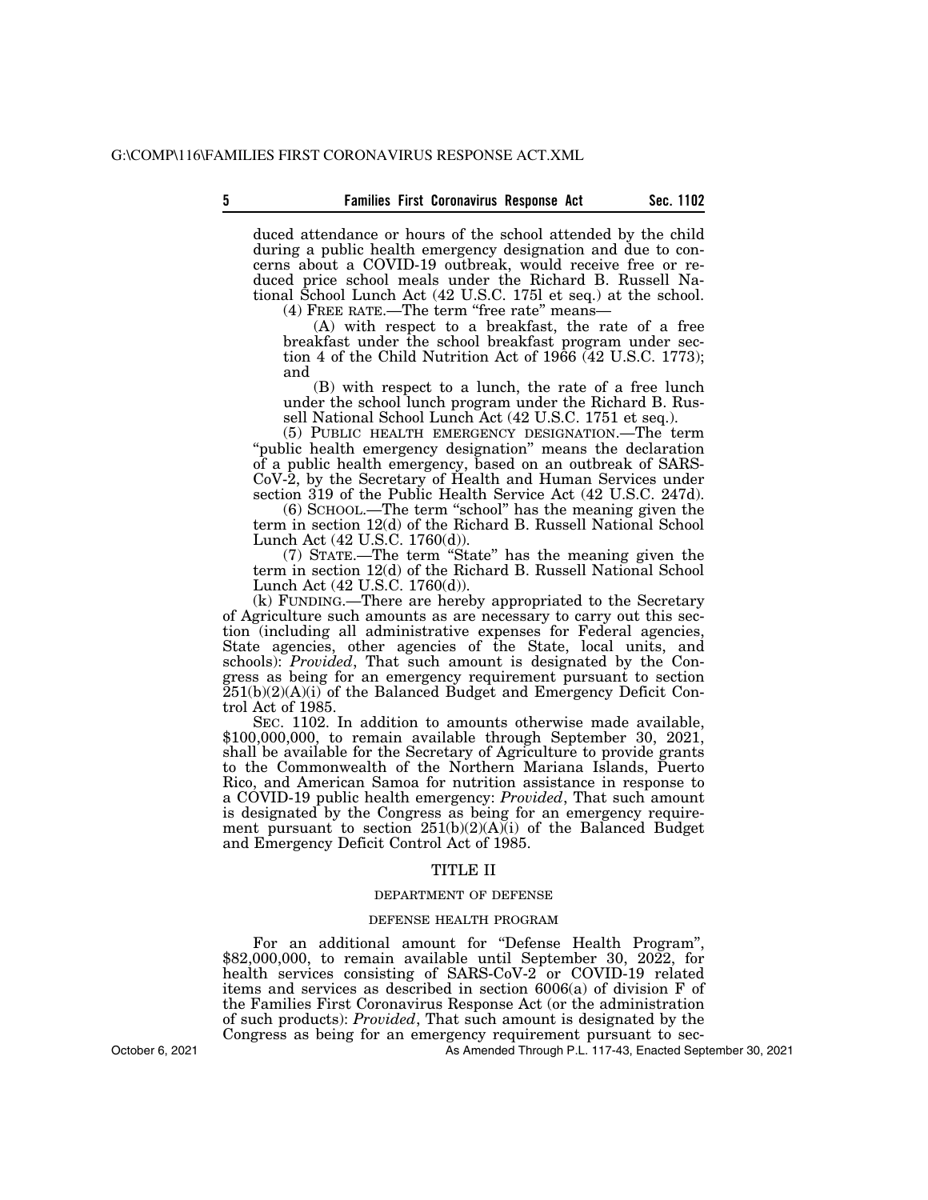duced attendance or hours of the school attended by the child during a public health emergency designation and due to concerns about a COVID-19 outbreak, would receive free or reduced price school meals under the Richard B. Russell National School Lunch Act (42 U.S.C. 175l et seq.) at the school. (4) FREE RATE.—The term ''free rate'' means—

(A) with respect to a breakfast, the rate of a free breakfast under the school breakfast program under section 4 of the Child Nutrition Act of 1966 (42 U.S.C. 1773); and

(B) with respect to a lunch, the rate of a free lunch under the school lunch program under the Richard B. Russell National School Lunch Act (42 U.S.C. 1751 et seq.).

(5) PUBLIC HEALTH EMERGENCY DESIGNATION.—The term "public health emergency designation" means the declaration of a public health emergency, based on an outbreak of SARS-CoV-2, by the Secretary of Health and Human Services under section 319 of the Public Health Service Act (42 U.S.C. 247d).

(6) SCHOOL.—The term ''school'' has the meaning given the term in section 12(d) of the Richard B. Russell National School Lunch Act (42 U.S.C. 1760(d)).

(7) STATE.—The term ''State'' has the meaning given the term in section 12(d) of the Richard B. Russell National School Lunch Act (42 U.S.C. 1760(d)).

(k) FUNDING.—There are hereby appropriated to the Secretary of Agriculture such amounts as are necessary to carry out this section (including all administrative expenses for Federal agencies, State agencies, other agencies of the State, local units, and schools): *Provided*, That such amount is designated by the Congress as being for an emergency requirement pursuant to section  $251(b)(2)(A)(i)$  of the Balanced Budget and Emergency Deficit Control Act of 1985.

SEC. 1102. In addition to amounts otherwise made available, \$100,000,000, to remain available through September 30, 2021, shall be available for the Secretary of Agriculture to provide grants to the Commonwealth of the Northern Mariana Islands, Puerto Rico, and American Samoa for nutrition assistance in response to a COVID-19 public health emergency: *Provided*, That such amount is designated by the Congress as being for an emergency requirement pursuant to section  $251(b)(2)(A)(i)$  of the Balanced Budget and Emergency Deficit Control Act of 1985.

#### TITLE II

#### DEPARTMENT OF DEFENSE

#### DEFENSE HEALTH PROGRAM

For an additional amount for ''Defense Health Program'', \$82,000,000, to remain available until September 30, 2022, for health services consisting of SARS-CoV-2 or COVID-19 related items and services as described in section 6006(a) of division F of the Families First Coronavirus Response Act (or the administration of such products): *Provided*, That such amount is designated by the Congress as being for an emergency requirement pursuant to sec-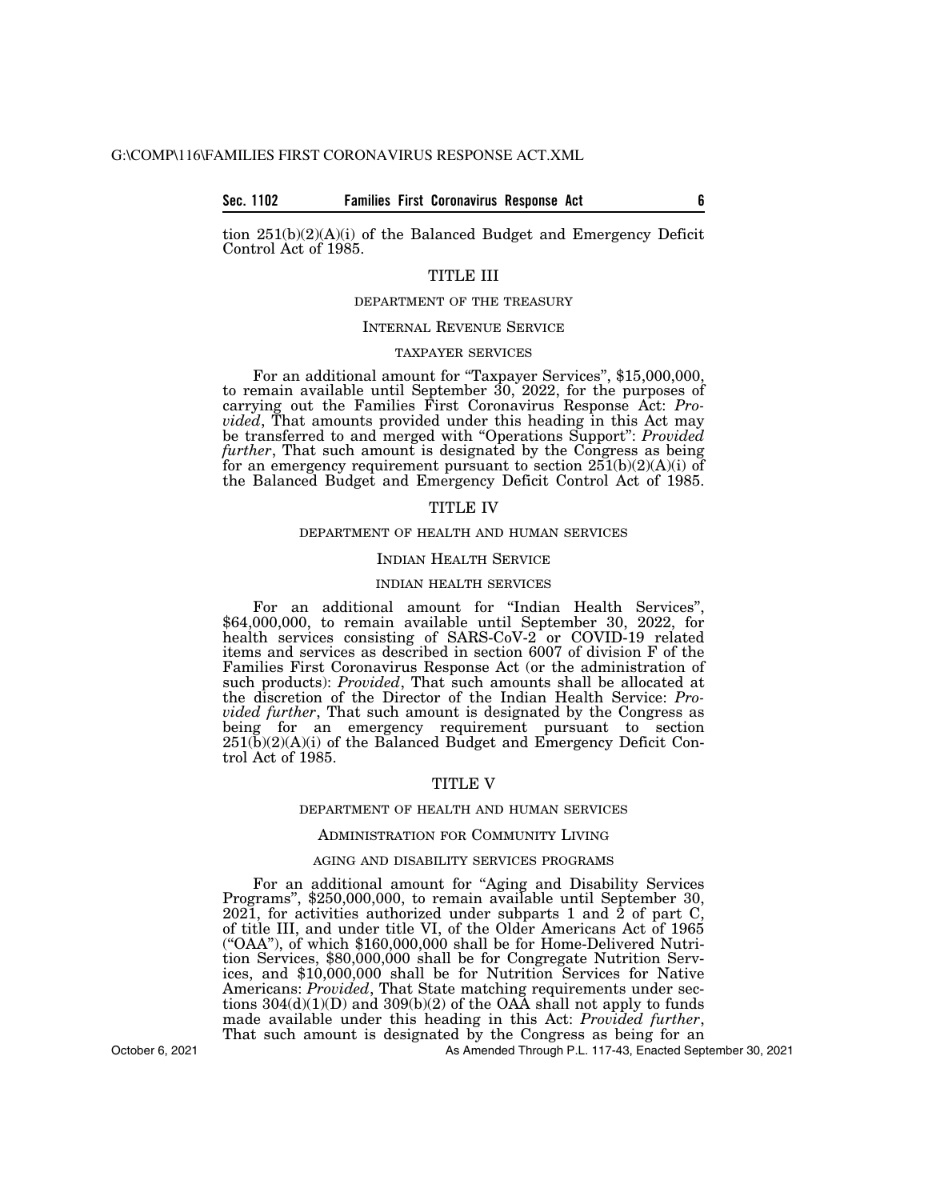#### **Sec. 1102 Families First Coronavirus Response Act 6**

tion 251(b)(2)(A)(i) of the Balanced Budget and Emergency Deficit Control Act of 1985.

#### TITLE III

#### DEPARTMENT OF THE TREASURY

#### INTERNAL REVENUE SERVICE

#### TAXPAYER SERVICES

For an additional amount for "Taxpayer Services", \$15,000,000, to remain available until September  $30, 2022$ , for the purposes of carrying out the Families First Coronavirus Response Act: *Provided*, That amounts provided under this heading in this Act may be transferred to and merged with ''Operations Support'': *Provided further*, That such amount is designated by the Congress as being for an emergency requirement pursuant to section  $251(b)(2)(A)(i)$  of the Balanced Budget and Emergency Deficit Control Act of 1985.

#### TITLE IV

#### DEPARTMENT OF HEALTH AND HUMAN SERVICES

#### INDIAN HEALTH SERVICE

#### INDIAN HEALTH SERVICES

For an additional amount for ''Indian Health Services'', \$64,000,000, to remain available until September 30, 2022, for health services consisting of SARS-CoV-2 or COVID-19 related items and services as described in section 6007 of division F of the Families First Coronavirus Response Act (or the administration of such products): *Provided*, That such amounts shall be allocated at the discretion of the Director of the Indian Health Service: *Provided further*, That such amount is designated by the Congress as being for an emergency requirement pursuant to section 251(b)(2)(A)(i) of the Balanced Budget and Emergency Deficit Control Act of 1985.

#### TITLE V

#### DEPARTMENT OF HEALTH AND HUMAN SERVICES

#### ADMINISTRATION FOR COMMUNITY LIVING

#### AGING AND DISABILITY SERVICES PROGRAMS

For an additional amount for "Aging and Disability Services Programs", \$250,000,000, to remain available until September 30, 2021, for activities authorized under subparts 1 and 2 of part C, of title III, and under title VI, of the Older Americans Act of 1965 (''OAA''), of which \$160,000,000 shall be for Home-Delivered Nutrition Services, \$80,000,000 shall be for Congregate Nutrition Services, and \$10,000,000 shall be for Nutrition Services for Native Americans: *Provided*, That State matching requirements under sections  $304(d)(1)(D)$  and  $309(b)(2)$  of the OAA shall not apply to funds made available under this heading in this Act: *Provided further*, That such amount is designated by the Congress as being for an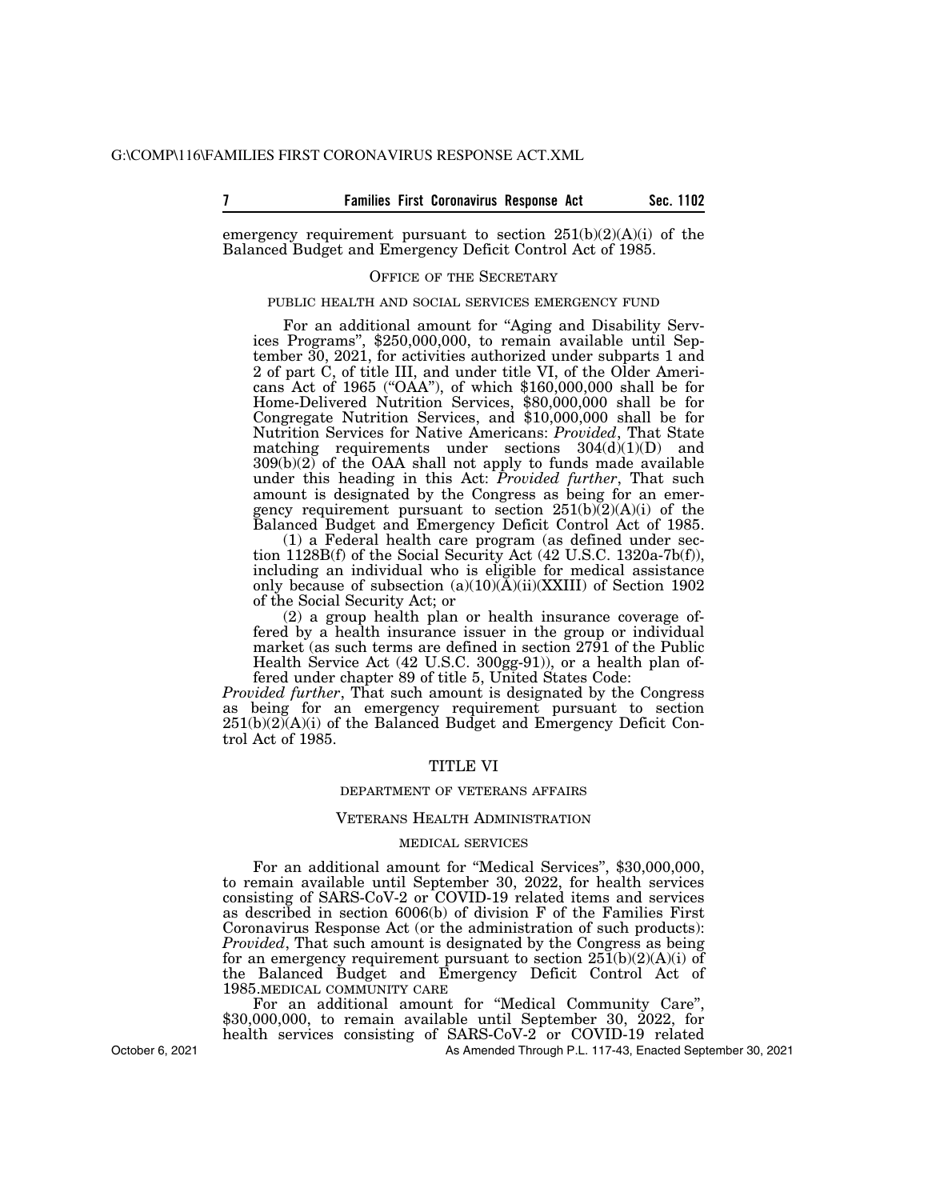emergency requirement pursuant to section  $251(b)(2)(A)(i)$  of the Balanced Budget and Emergency Deficit Control Act of 1985.

#### OFFICE OF THE SECRETARY

#### PUBLIC HEALTH AND SOCIAL SERVICES EMERGENCY FUND

For an additional amount for "Aging and Disability Services Programs'', \$250,000,000, to remain available until September 30, 2021, for activities authorized under subparts 1 and 2 of part C, of title III, and under title VI, of the Older Americans Act of 1965 (''OAA''), of which \$160,000,000 shall be for Home-Delivered Nutrition Services, \$80,000,000 shall be for Congregate Nutrition Services, and \$10,000,000 shall be for Nutrition Services for Native Americans: *Provided*, That State matching requirements under sections 304(d)(1)(D) and 309(b)(2) of the OAA shall not apply to funds made available under this heading in this Act: *Provided further*, That such amount is designated by the Congress as being for an emergency requirement pursuant to section  $251(b)(2)(A)(i)$  of the Balanced Budget and Emergency Deficit Control Act of 1985.

(1) a Federal health care program (as defined under section 1128B(f) of the Social Security Act (42 U.S.C. 1320a-7b(f)), including an individual who is eligible for medical assistance only because of subsection (a)(10)(A)(ii)(XXIII) of Section 1902 of the Social Security Act; or

(2) a group health plan or health insurance coverage offered by a health insurance issuer in the group or individual market (as such terms are defined in section 2791 of the Public Health Service Act (42 U.S.C. 300gg-91)), or a health plan offered under chapter 89 of title 5, United States Code:

*Provided further*, That such amount is designated by the Congress as being for an emergency requirement pursuant to section  $251(b)(2)(A)(i)$  of the Balanced Budget and Emergency Deficit Control Act of 1985.

#### TITLE VI

#### DEPARTMENT OF VETERANS AFFAIRS

#### VETERANS HEALTH ADMINISTRATION

#### MEDICAL SERVICES

For an additional amount for ''Medical Services'', \$30,000,000, to remain available until September 30, 2022, for health services consisting of SARS-CoV-2 or COVID-19 related items and services as described in section 6006(b) of division F of the Families First Coronavirus Response Act (or the administration of such products): *Provided*, That such amount is designated by the Congress as being for an emergency requirement pursuant to section  $251(b)(2)(A)(i)$  of the Balanced Budget and Emergency Deficit Control Act of 1985.MEDICAL COMMUNITY CARE

For an additional amount for "Medical Community Care", \$30,000,000, to remain available until September 30, 2022, for health services consisting of SARS-CoV-2 or COVID-19 related

As Amended Through P.L. 117-43, Enacted September 30, 2021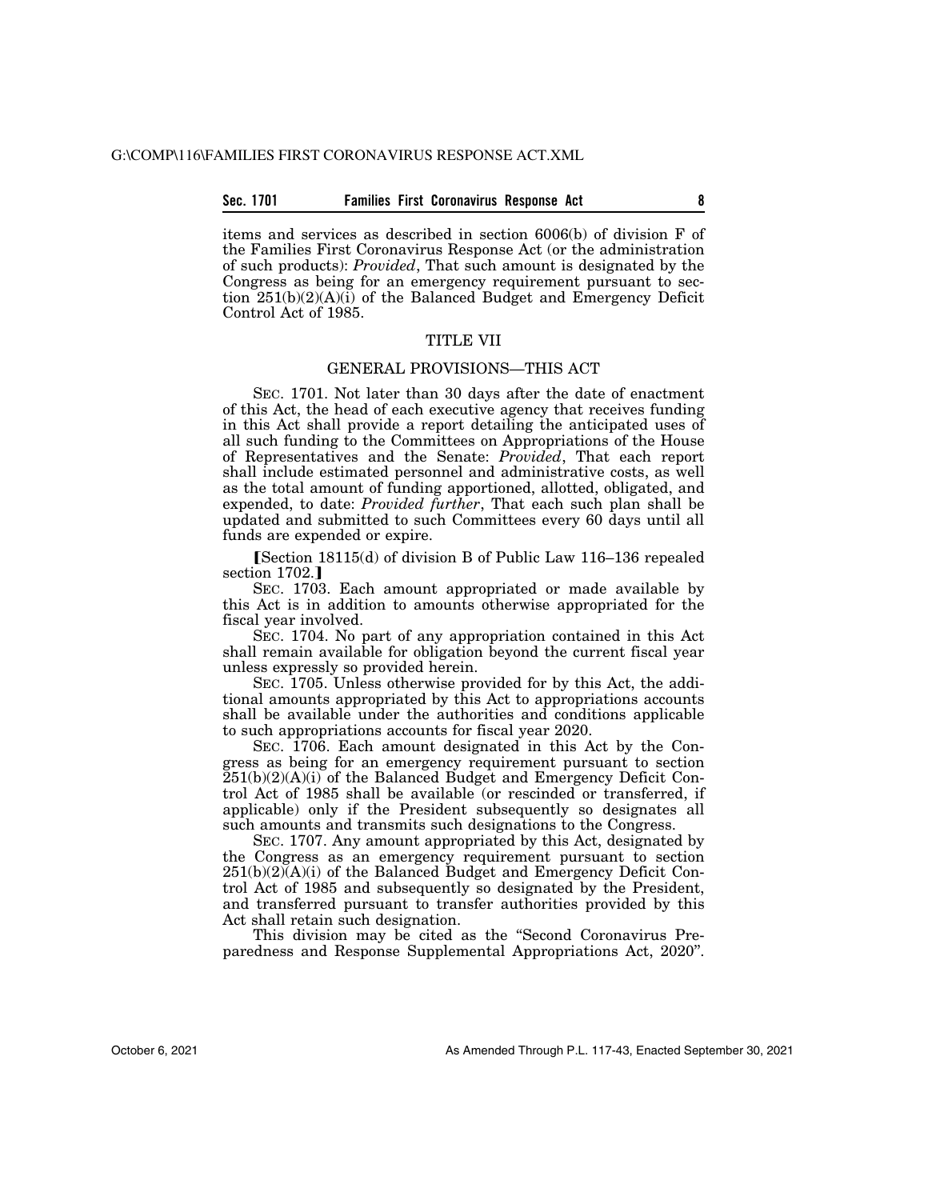#### **Sec. 1701 Families First Coronavirus Response Act 8**

items and services as described in section 6006(b) of division F of the Families First Coronavirus Response Act (or the administration of such products): *Provided*, That such amount is designated by the Congress as being for an emergency requirement pursuant to section 251(b)(2)(A)(i) of the Balanced Budget and Emergency Deficit Control Act of 1985.

#### TITLE VII

#### GENERAL PROVISIONS—THIS ACT

SEC. 1701. Not later than 30 days after the date of enactment of this Act, the head of each executive agency that receives funding in this Act shall provide a report detailing the anticipated uses of all such funding to the Committees on Appropriations of the House of Representatives and the Senate: *Provided*, That each report shall include estimated personnel and administrative costs, as well as the total amount of funding apportioned, allotted, obligated, and expended, to date: *Provided further*, That each such plan shall be updated and submitted to such Committees every 60 days until all funds are expended or expire.

øSection 18115(d) of division B of Public Law 116–136 repealed section 1702.]

SEC. 1703. Each amount appropriated or made available by this Act is in addition to amounts otherwise appropriated for the fiscal year involved.

SEC. 1704. No part of any appropriation contained in this Act shall remain available for obligation beyond the current fiscal year unless expressly so provided herein.

SEC. 1705. Unless otherwise provided for by this Act, the additional amounts appropriated by this Act to appropriations accounts shall be available under the authorities and conditions applicable to such appropriations accounts for fiscal year 2020.

SEC. 1706. Each amount designated in this Act by the Congress as being for an emergency requirement pursuant to section  $251(b)(2)(A)(i)$  of the Balanced Budget and Emergency Deficit Control Act of 1985 shall be available (or rescinded or transferred, if applicable) only if the President subsequently so designates all such amounts and transmits such designations to the Congress.

SEC. 1707. Any amount appropriated by this Act, designated by the Congress as an emergency requirement pursuant to section  $251(b)(2)(A)(i)$  of the Balanced Budget and Emergency Deficit Control Act of 1985 and subsequently so designated by the President, and transferred pursuant to transfer authorities provided by this Act shall retain such designation.

This division may be cited as the ''Second Coronavirus Preparedness and Response Supplemental Appropriations Act, 2020''.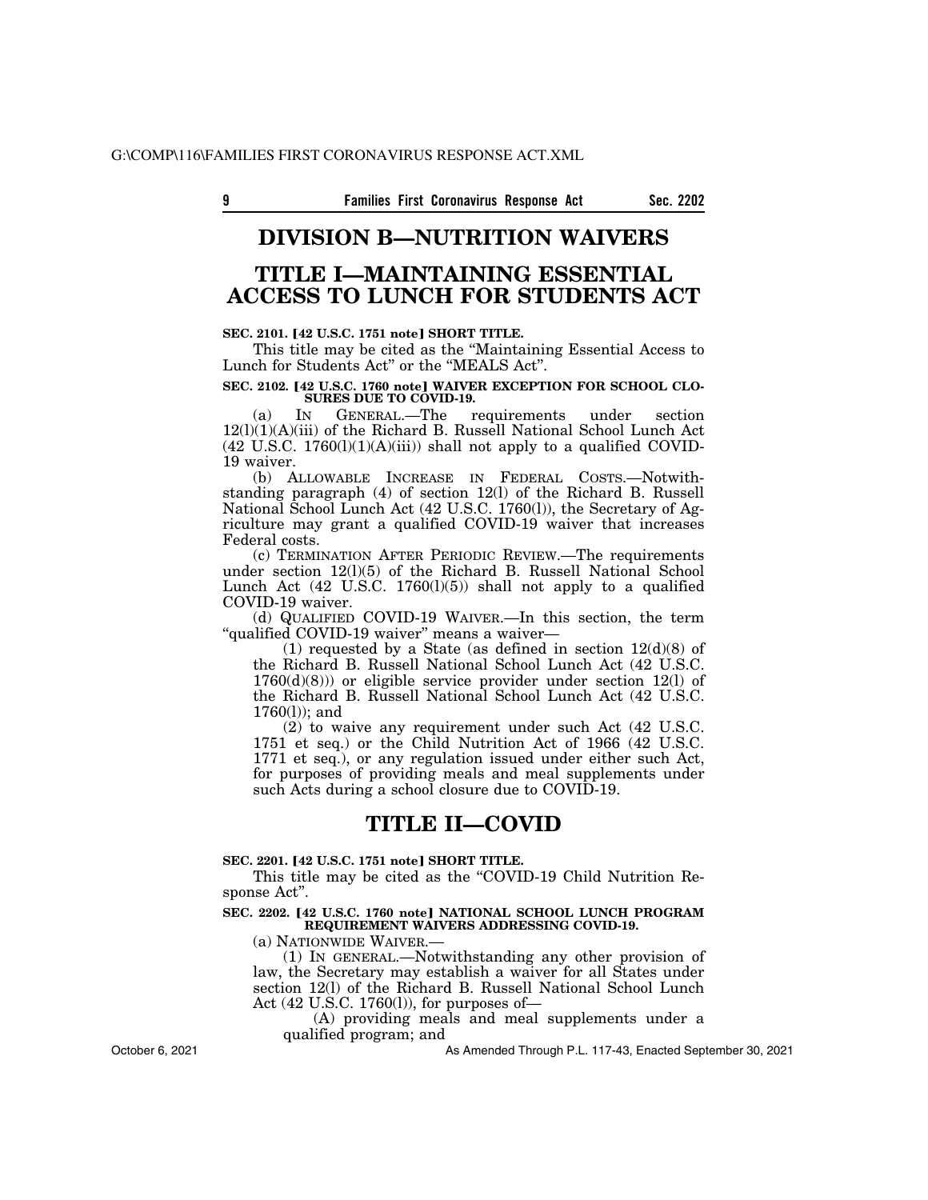### **DIVISION B—NUTRITION WAIVERS**

### **TITLE I—MAINTAINING ESSENTIAL ACCESS TO LUNCH FOR STUDENTS ACT**

#### **SEC. 2101. [42 U.S.C. 1751 note] SHORT TITLE.**

This title may be cited as the ''Maintaining Essential Access to Lunch for Students Act'' or the ''MEALS Act''.

#### SEC. 2102. [42 U.S.C. 1760 note] WAIVER EXCEPTION FOR SCHOOL CLO-**SURES DUE TO COVID-19.**

(a) IN GENERAL.—The requirements under section 12(l)(1)(A)(iii) of the Richard B. Russell National School Lunch Act  $(42 \text{ U.S.C. } 1760(l)(1)(A(iii))$  shall not apply to a qualified COVID-19 waiver.

(b) ALLOWABLE INCREASE IN FEDERAL COSTS.—Notwithstanding paragraph (4) of section 12(l) of the Richard B. Russell National School Lunch Act (42 U.S.C. 1760(l)), the Secretary of Agriculture may grant a qualified COVID-19 waiver that increases Federal costs.

(c) TERMINATION AFTER PERIODIC REVIEW.—The requirements under section  $12(1)(5)$  of the Richard B. Russell National School Lunch Act  $(42 \text{ U.S.C. } 1760(1)(5))$  shall not apply to a qualified COVID-19 waiver.

(d) QUALIFIED COVID-19 WAIVER.—In this section, the term "qualified COVID-19 waiver" means a waiver-

(1) requested by a State (as defined in section  $12(d)(8)$  of the Richard B. Russell National School Lunch Act (42 U.S.C. 1760(d)(8))) or eligible service provider under section 12(l) of the Richard B. Russell National School Lunch Act (42 U.S.C. 1760(l)); and

(2) to waive any requirement under such Act (42 U.S.C. 1751 et seq.) or the Child Nutrition Act of 1966 (42 U.S.C. 1771 et seq.), or any regulation issued under either such Act, for purposes of providing meals and meal supplements under such Acts during a school closure due to COVID-19.

### **TITLE II—COVID**

#### **SEC. 2201. [42 U.S.C. 1751 note] SHORT TITLE.**

This title may be cited as the "COVID-19 Child Nutrition Response Act''.

SEC. 2202. [42 U.S.C. 1760 note] NATIONAL SCHOOL LUNCH PROGRAM **REQUIREMENT WAIVERS ADDRESSING COVID-19.** 

(a) NATIONWIDE WAIVER.—

(1) IN GENERAL.—Notwithstanding any other provision of law, the Secretary may establish a waiver for all States under section 12(l) of the Richard B. Russell National School Lunch Act  $(42 \text{ U.S.C. } 1760(l))$ , for purposes of

(A) providing meals and meal supplements under a qualified program; and

As Amended Through P.L. 117-43, Enacted September 30, 2021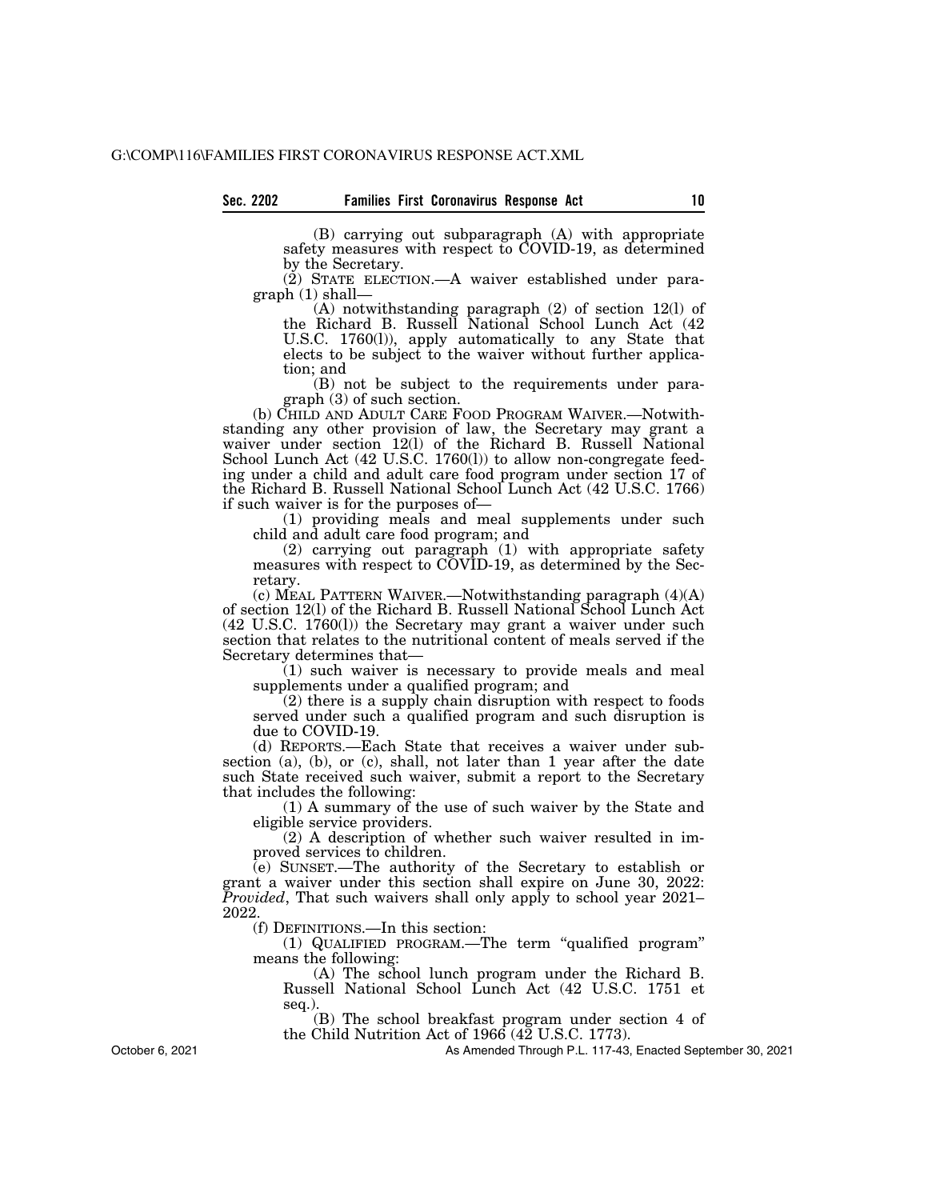(B) carrying out subparagraph (A) with appropriate safety measures with respect to COVID-19, as determined by the Secretary.

(2) STATE ELECTION.—A waiver established under paragraph (1) shall—

(A) notwithstanding paragraph (2) of section 12(l) of the Richard B. Russell National School Lunch Act (42 U.S.C. 1760(l)), apply automatically to any State that elects to be subject to the waiver without further application; and

(B) not be subject to the requirements under paragraph (3) of such section.

(b) CHILD AND ADULT CARE FOOD PROGRAM WAIVER.—Notwithstanding any other provision of law, the Secretary may grant a waiver under section 12(1) of the Richard B. Russell National School Lunch Act (42 U.S.C. 1760(1)) to allow non-congregate feeding under a child and adult care food program under section 17 of the Richard B. Russell National School Lunch Act (42 U.S.C. 1766) if such waiver is for the purposes of—

(1) providing meals and meal supplements under such child and adult care food program; and

(2) carrying out paragraph (1) with appropriate safety measures with respect to COVID-19, as determined by the Secretary.

(c) MEAL PATTERN WAIVER.—Notwithstanding paragraph (4)(A) of section 12(l) of the Richard B. Russell National School Lunch Act (42 U.S.C. 1760(l)) the Secretary may grant a waiver under such section that relates to the nutritional content of meals served if the Secretary determines that—

(1) such waiver is necessary to provide meals and meal supplements under a qualified program; and

(2) there is a supply chain disruption with respect to foods served under such a qualified program and such disruption is due to COVID-19.

(d) REPORTS.—Each State that receives a waiver under subsection (a), (b), or (c), shall, not later than 1 year after the date such State received such waiver, submit a report to the Secretary that includes the following:

(1) A summary of the use of such waiver by the State and eligible service providers.

(2) A description of whether such waiver resulted in improved services to children.

(e) SUNSET.—The authority of the Secretary to establish or grant a waiver under this section shall expire on June 30, 2022: *Provided*, That such waivers shall only apply to school year 2021– 2022.

(f) DEFINITIONS.—In this section:

(1) QUALIFIED PROGRAM.—The term ''qualified program'' means the following:

(A) The school lunch program under the Richard B. Russell National School Lunch Act (42 U.S.C. 1751 et seq.).

(B) The school breakfast program under section 4 of the Child Nutrition Act of 1966 (42 U.S.C. 1773).

As Amended Through P.L. 117-43, Enacted September 30, 2021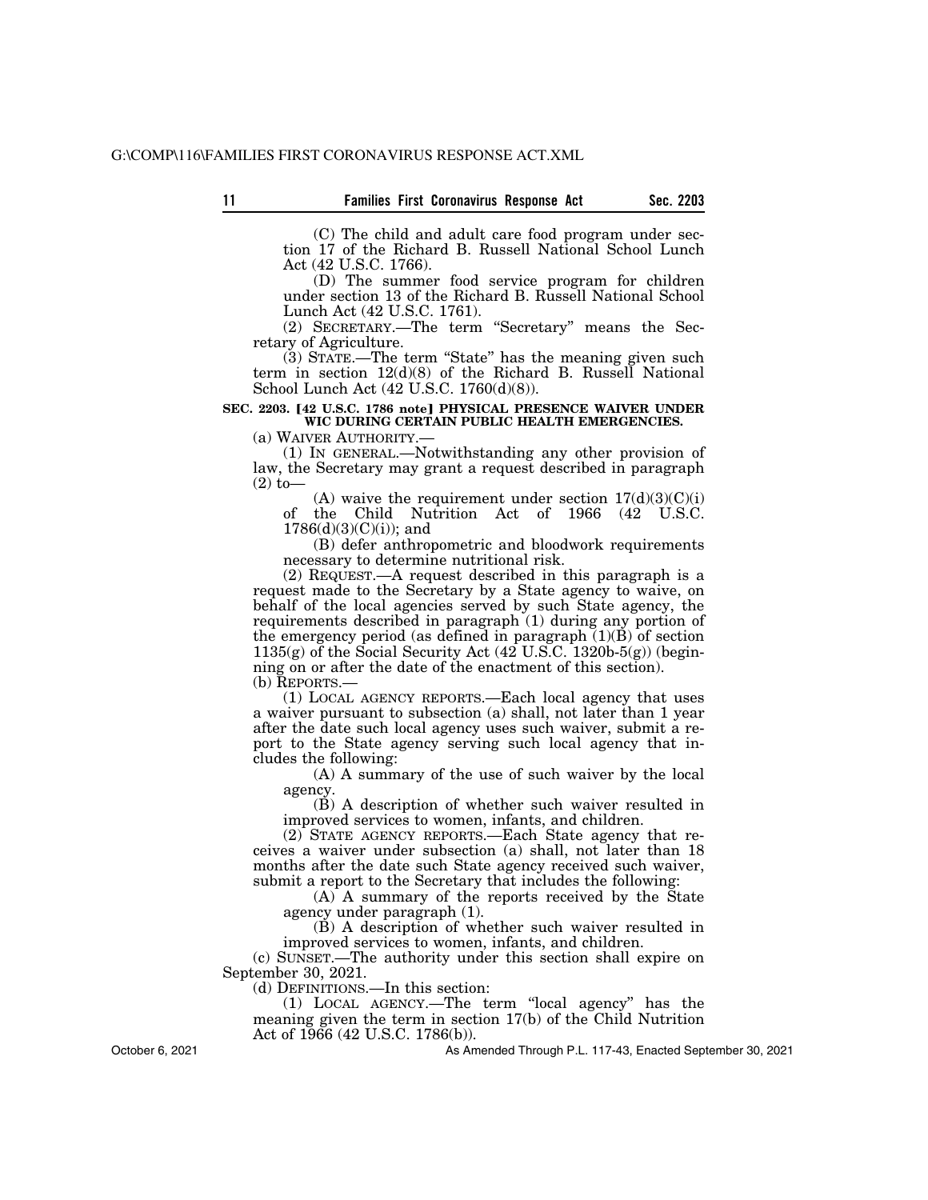(C) The child and adult care food program under section 17 of the Richard B. Russell National School Lunch Act (42 U.S.C. 1766).

(D) The summer food service program for children under section 13 of the Richard B. Russell National School Lunch Act (42 U.S.C. 1761).

(2) SECRETARY.—The term ''Secretary'' means the Secretary of Agriculture.

(3) STATE.—The term ''State'' has the meaning given such term in section 12(d)(8) of the Richard B. Russell National School Lunch Act (42 U.S.C. 1760(d)(8)).

#### SEC. 2203. <sup>[42 U.S.C. 1786 note<sup>]</sup> PHYSICAL PRESENCE WAIVER UNDER</sup> **WIC DURING CERTAIN PUBLIC HEALTH EMERGENCIES.**

(a) WAIVER AUTHORITY.—

(1) IN GENERAL.—Notwithstanding any other provision of law, the Secretary may grant a request described in paragraph (2) to—

(A) waive the requirement under section  $17(d)(3)(C)(i)$ of the Child Nutrition Act of 1966 (42 U.S.C. 1786(d)(3)(C)(i)); and

(B) defer anthropometric and bloodwork requirements necessary to determine nutritional risk.

(2) REQUEST.—A request described in this paragraph is a request made to the Secretary by a State agency to waive, on behalf of the local agencies served by such State agency, the requirements described in paragraph (1) during any portion of the emergency period (as defined in paragraph  $(1)(B)$  of section 1135(g) of the Social Security Act  $(42 \text{ U.S.C. } 1320b-5(g))$  (beginning on or after the date of the enactment of this section). (b) REPORTS.—

(1) LOCAL AGENCY REPORTS.—Each local agency that uses a waiver pursuant to subsection (a) shall, not later than 1 year after the date such local agency uses such waiver, submit a report to the State agency serving such local agency that includes the following:

(A) A summary of the use of such waiver by the local agency.

(B) A description of whether such waiver resulted in improved services to women, infants, and children.

(2) STATE AGENCY REPORTS.—Each State agency that receives a waiver under subsection (a) shall, not later than 18 months after the date such State agency received such waiver, submit a report to the Secretary that includes the following:

(A) A summary of the reports received by the State agency under paragraph (1).

(B) A description of whether such waiver resulted in improved services to women, infants, and children.

(c) SUNSET.—The authority under this section shall expire on September 30, 2021.

(d) DEFINITIONS.—In this section:

(1) LOCAL AGENCY.—The term ''local agency'' has the meaning given the term in section 17(b) of the Child Nutrition Act of 1966 (42 U.S.C. 1786(b)).

October 6, 2021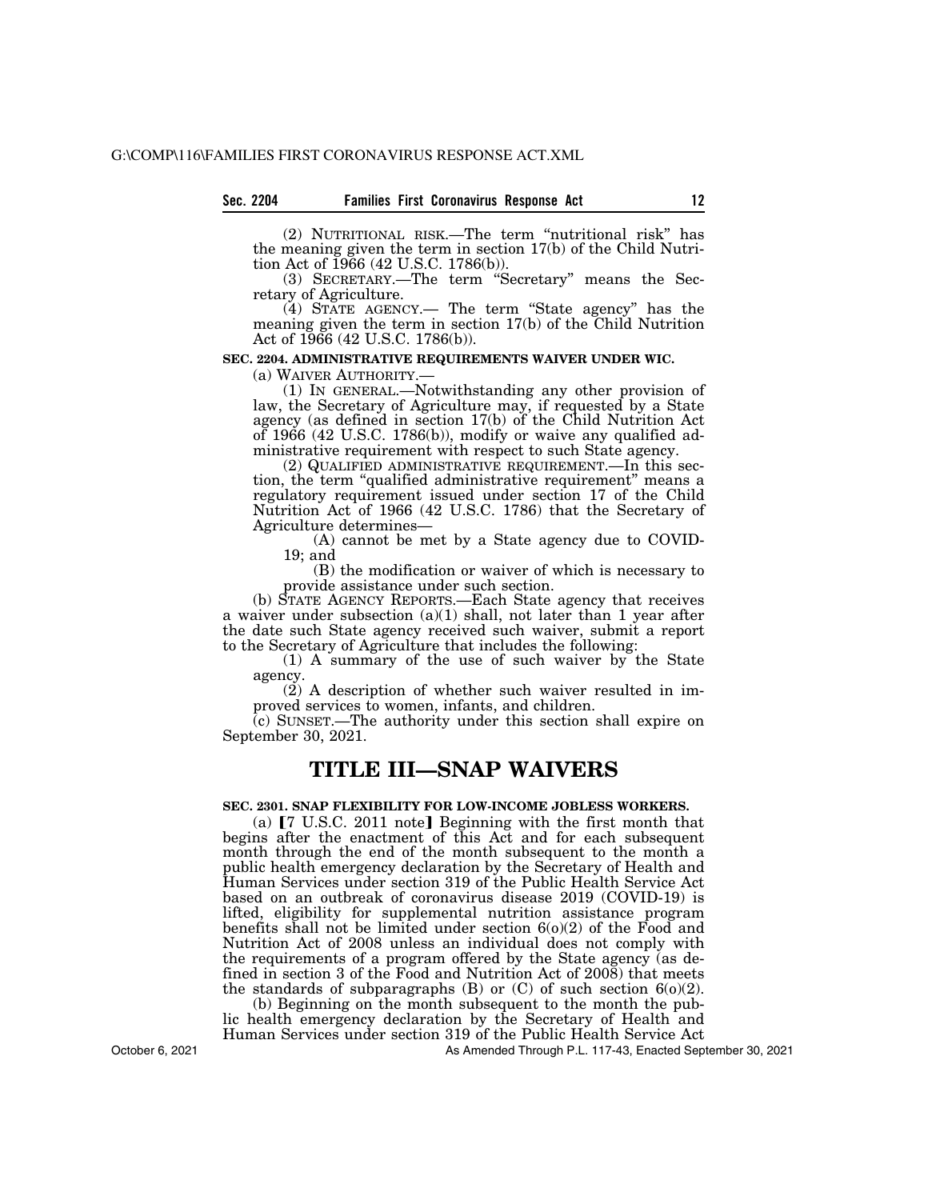#### **Sec. 2204 Families First Coronavirus Response Act 12**

(2) NUTRITIONAL RISK.—The term ''nutritional risk'' has the meaning given the term in section 17(b) of the Child Nutrition Act of 1966 (42 U.S.C. 1786(b)).

(3) SECRETARY.—The term ''Secretary'' means the Secretary of Agriculture.

(4) STATE AGENCY.— The term ''State agency'' has the meaning given the term in section 17(b) of the Child Nutrition Act of 1966 (42 U.S.C. 1786(b)).

#### **SEC. 2204. ADMINISTRATIVE REQUIREMENTS WAIVER UNDER WIC.**

(a) WAIVER AUTHORITY.— (1) IN GENERAL.—Notwithstanding any other provision of law, the Secretary of Agriculture may, if requested by a State agency (as defined in section 17(b) of the Child Nutrition Act of 1966 (42 U.S.C. 1786(b)), modify or waive any qualified administrative requirement with respect to such State agency.

(2) QUALIFIED ADMINISTRATIVE REQUIREMENT.—In this section, the term "qualified administrative requirement" means a regulatory requirement issued under section 17 of the Child Nutrition Act of 1966 (42 U.S.C. 1786) that the Secretary of Agriculture determines—

(A) cannot be met by a State agency due to COVID-19; and

(B) the modification or waiver of which is necessary to provide assistance under such section.

(b) STATE AGENCY REPORTS.—Each State agency that receives a waiver under subsection (a)(1) shall, not later than 1 year after the date such State agency received such waiver, submit a report to the Secretary of Agriculture that includes the following:

(1) A summary of the use of such waiver by the State agency.

(2) A description of whether such waiver resulted in improved services to women, infants, and children.

(c) SUNSET.—The authority under this section shall expire on September 30, 2021.

### **TITLE III—SNAP WAIVERS**

#### **SEC. 2301. SNAP FLEXIBILITY FOR LOW-INCOME JOBLESS WORKERS.**

(a)  $[7 \text{ U.S.C. } 2011 \text{ note}]$  Beginning with the first month that begins after the enactment of this Act and for each subsequent month through the end of the month subsequent to the month a public health emergency declaration by the Secretary of Health and Human Services under section 319 of the Public Health Service Act based on an outbreak of coronavirus disease 2019 (COVID-19) is lifted, eligibility for supplemental nutrition assistance program benefits shall not be limited under section  $6(0)(2)$  of the Food and Nutrition Act of 2008 unless an individual does not comply with the requirements of a program offered by the State agency (as defined in section 3 of the Food and Nutrition Act of 2008) that meets the standards of subparagraphs  $(B)$  or  $(C)$  of such section  $6(0)(2)$ .

(b) Beginning on the month subsequent to the month the public health emergency declaration by the Secretary of Health and Human Services under section 319 of the Public Health Service Act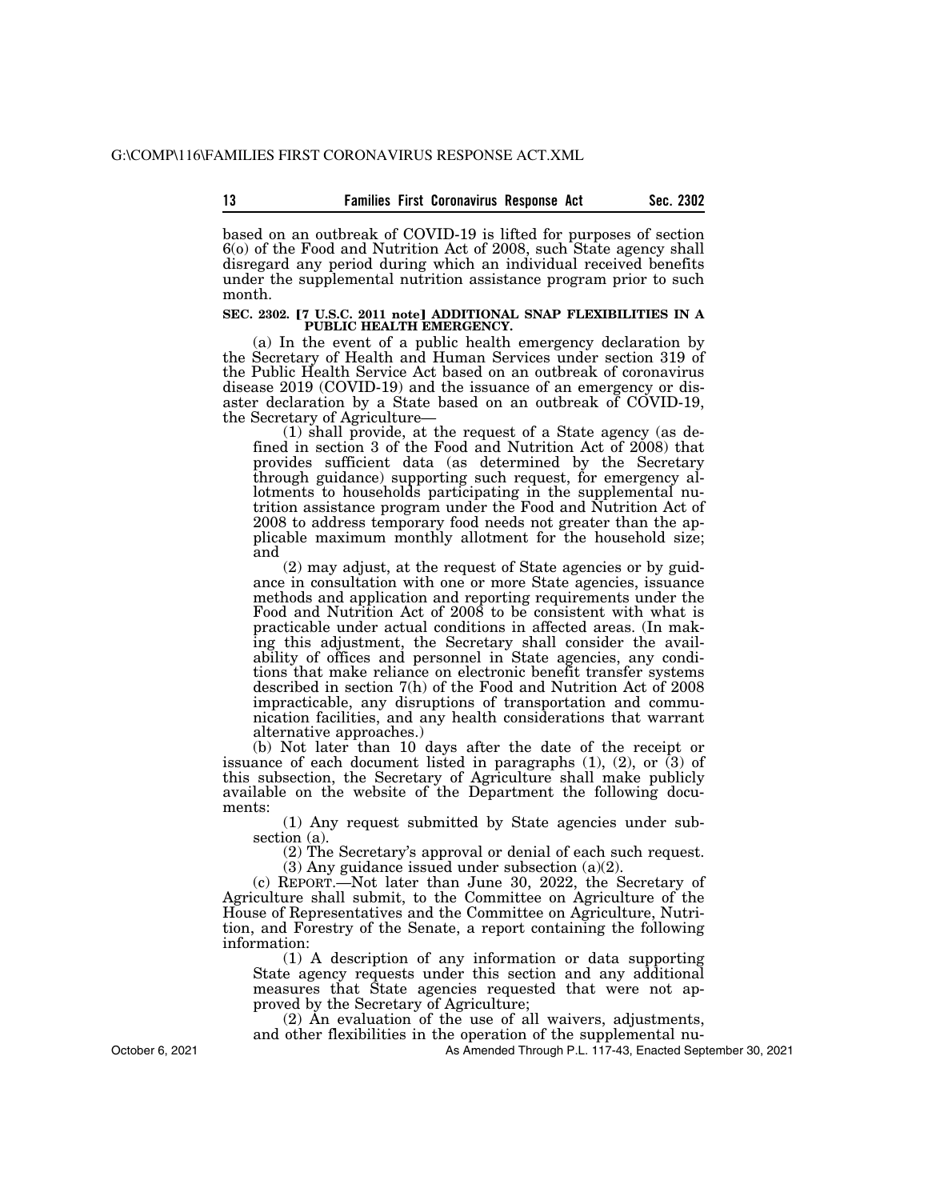based on an outbreak of COVID-19 is lifted for purposes of section 6(o) of the Food and Nutrition Act of 2008, such State agency shall disregard any period during which an individual received benefits under the supplemental nutrition assistance program prior to such month.

# SEC. 2302. <sup>[7 U.S.C. 2011 note] ADDITIONAL SNAP FLEXIBILITIES IN A PUBLIC HEALTH EMERGENCY.</sup>

(a) In the event of a public health emergency declaration by the Secretary of Health and Human Services under section 319 of the Public Health Service Act based on an outbreak of coronavirus disease 2019 (COVID-19) and the issuance of an emergency or disaster declaration by a State based on an outbreak of COVID-19, the Secretary of Agriculture—

(1) shall provide, at the request of a State agency (as defined in section 3 of the Food and Nutrition Act of 2008) that provides sufficient data (as determined by the Secretary through guidance) supporting such request, for emergency allotments to households participating in the supplemental nutrition assistance program under the Food and Nutrition Act of 2008 to address temporary food needs not greater than the applicable maximum monthly allotment for the household size; and

(2) may adjust, at the request of State agencies or by guidance in consultation with one or more State agencies, issuance methods and application and reporting requirements under the Food and Nutrition Act of 2008 to be consistent with what is practicable under actual conditions in affected areas. (In making this adjustment, the Secretary shall consider the availability of offices and personnel in State agencies, any conditions that make reliance on electronic benefit transfer systems described in section 7(h) of the Food and Nutrition Act of 2008 impracticable, any disruptions of transportation and communication facilities, and any health considerations that warrant alternative approaches.)

(b) Not later than 10 days after the date of the receipt or issuance of each document listed in paragraphs (1), (2), or (3) of this subsection, the Secretary of Agriculture shall make publicly available on the website of the Department the following documents:

(1) Any request submitted by State agencies under subsection (a).

(2) The Secretary's approval or denial of each such request.

(3) Any guidance issued under subsection (a)(2).

(c) REPORT.—Not later than June 30, 2022, the Secretary of Agriculture shall submit, to the Committee on Agriculture of the House of Representatives and the Committee on Agriculture, Nutrition, and Forestry of the Senate, a report containing the following information:

(1) A description of any information or data supporting State agency requests under this section and any additional measures that State agencies requested that were not approved by the Secretary of Agriculture;

(2) An evaluation of the use of all waivers, adjustments,

and other flexibilities in the operation of the supplemental nu-

As Amended Through P.L. 117-43, Enacted September 30, 2021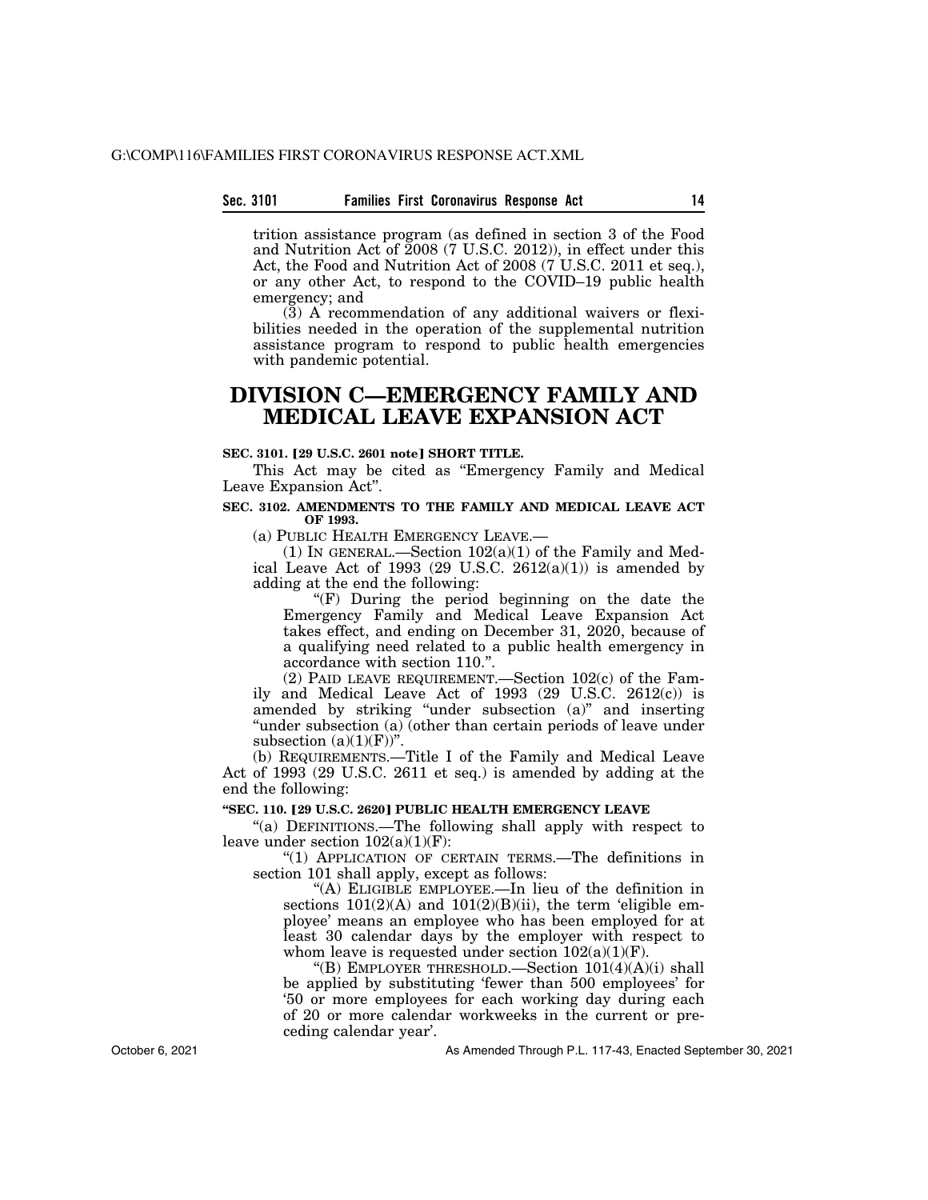#### **Sec. 3101 Families First Coronavirus Response Act 14**

trition assistance program (as defined in section 3 of the Food and Nutrition Act of 2008 (7 U.S.C. 2012)), in effect under this Act, the Food and Nutrition Act of 2008 (7 U.S.C. 2011 et seq.), or any other Act, to respond to the COVID–19 public health emergency; and

(3) A recommendation of any additional waivers or flexibilities needed in the operation of the supplemental nutrition assistance program to respond to public health emergencies with pandemic potential.

### **DIVISION C—EMERGENCY FAMILY AND MEDICAL LEAVE EXPANSION ACT**

#### **SEC. 3101. [29 U.S.C. 2601 notel SHORT TITLE.**

This Act may be cited as ''Emergency Family and Medical Leave Expansion Act''.

#### **SEC. 3102. AMENDMENTS TO THE FAMILY AND MEDICAL LEAVE ACT OF 1993.**

(a) PUBLIC HEALTH EMERGENCY LEAVE.—

(1) IN GENERAL.—Section  $102(a)(1)$  of the Family and Medical Leave Act of 1993 (29 U.S.C.  $2612(a)(1)$ ) is amended by adding at the end the following:

''(F) During the period beginning on the date the Emergency Family and Medical Leave Expansion Act takes effect, and ending on December 31, 2020, because of a qualifying need related to a public health emergency in accordance with section 110.''.

(2) PAID LEAVE REQUIREMENT.—Section 102(c) of the Family and Medical Leave Act of 1993 (29 U.S.C. 2612(c)) is amended by striking "under subsection (a)" and inserting "under subsection (a) (other than certain periods of leave under subsection  $(a)(1)(F)$ ".

(b) REQUIREMENTS.—Title I of the Family and Medical Leave Act of 1993 (29 U.S.C. 2611 et seq.) is amended by adding at the end the following:

#### **''SEC. 110.** ø**29 U.S.C. 2620**¿ **PUBLIC HEALTH EMERGENCY LEAVE**

''(a) DEFINITIONS.—The following shall apply with respect to leave under section  $102(a)(1)(F)$ :

''(1) APPLICATION OF CERTAIN TERMS.—The definitions in section 101 shall apply, except as follows:

''(A) ELIGIBLE EMPLOYEE.—In lieu of the definition in sections  $101(2)(A)$  and  $101(2)(B)(ii)$ , the term 'eligible employee' means an employee who has been employed for at least 30 calendar days by the employer with respect to whom leave is requested under section  $102(a)(1)(F)$ .

''(B) EMPLOYER THRESHOLD.—Section 101(4)(A)(i) shall be applied by substituting 'fewer than 500 employees' for '50 or more employees for each working day during each of 20 or more calendar workweeks in the current or preceding calendar year'.

As Amended Through P.L. 117-43, Enacted September 30, 2021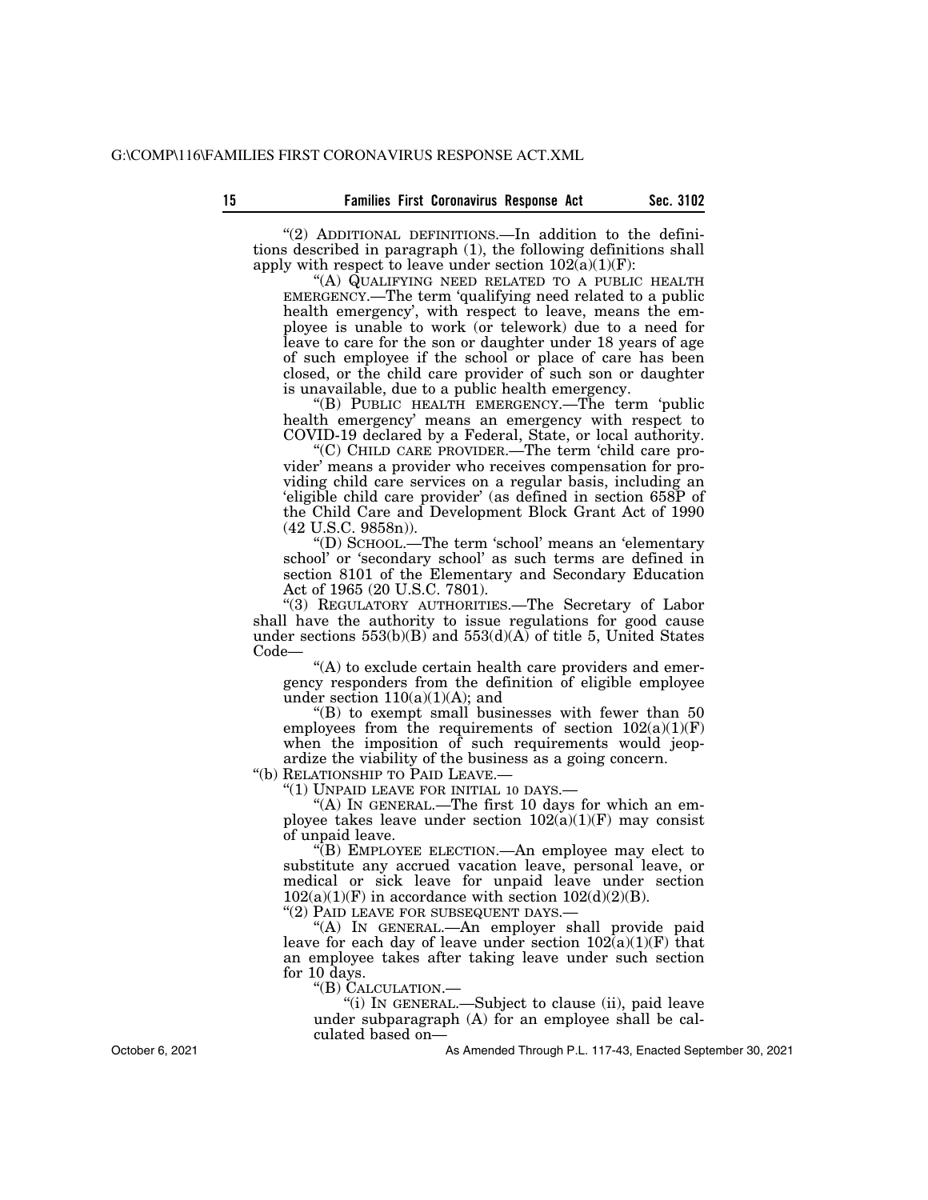"(2) ADDITIONAL DEFINITIONS.—In addition to the definitions described in paragraph (1), the following definitions shall apply with respect to leave under section  $102(a)(1)(F)$ :

''(A) QUALIFYING NEED RELATED TO A PUBLIC HEALTH EMERGENCY.—The term 'qualifying need related to a public health emergency', with respect to leave, means the employee is unable to work (or telework) due to a need for leave to care for the son or daughter under 18 years of age of such employee if the school or place of care has been closed, or the child care provider of such son or daughter is unavailable, due to a public health emergency.

''(B) PUBLIC HEALTH EMERGENCY.—The term 'public health emergency' means an emergency with respect to COVID-19 declared by a Federal, State, or local authority.

''(C) CHILD CARE PROVIDER.—The term 'child care provider' means a provider who receives compensation for providing child care services on a regular basis, including an 'eligible child care provider' (as defined in section 658P of the Child Care and Development Block Grant Act of 1990 (42 U.S.C. 9858n)).

''(D) SCHOOL.—The term 'school' means an 'elementary school' or 'secondary school' as such terms are defined in section 8101 of the Elementary and Secondary Education Act of 1965 (20 U.S.C. 7801).

"(3) REGULATORY AUTHORITIES.—The Secretary of Labor shall have the authority to issue regulations for good cause under sections  $553(b)(B)$  and  $553(d)(A)$  of title 5, United States Code—

"(A) to exclude certain health care providers and emergency responders from the definition of eligible employee under section  $110(a)(1)(A)$ ; and

 $f(B)$  to exempt small businesses with fewer than 50 employees from the requirements of section  $102(a)(1)(F)$ when the imposition of such requirements would jeopardize the viability of the business as a going concern.

''(b) RELATIONSHIP TO PAID LEAVE.—

''(1) UNPAID LEAVE FOR INITIAL 10 DAYS.—

"(A) In GENERAL.—The first 10 days for which an employee takes leave under section  $102(a)(1)(F)$  may consist of unpaid leave.

''(B) EMPLOYEE ELECTION.—An employee may elect to substitute any accrued vacation leave, personal leave, or medical or sick leave for unpaid leave under section  $102(a)(1)(F)$  in accordance with section  $102(d)(2)(B)$ .

"(2) PAID LEAVE FOR SUBSEQUENT DAYS.-

''(A) IN GENERAL.—An employer shall provide paid leave for each day of leave under section  $102(a)(1)(F)$  that an employee takes after taking leave under such section for 10 days.

''(B) CALCULATION.—

''(i) IN GENERAL.—Subject to clause (ii), paid leave under subparagraph (A) for an employee shall be calculated based on—

As Amended Through P.L. 117-43, Enacted September 30, 2021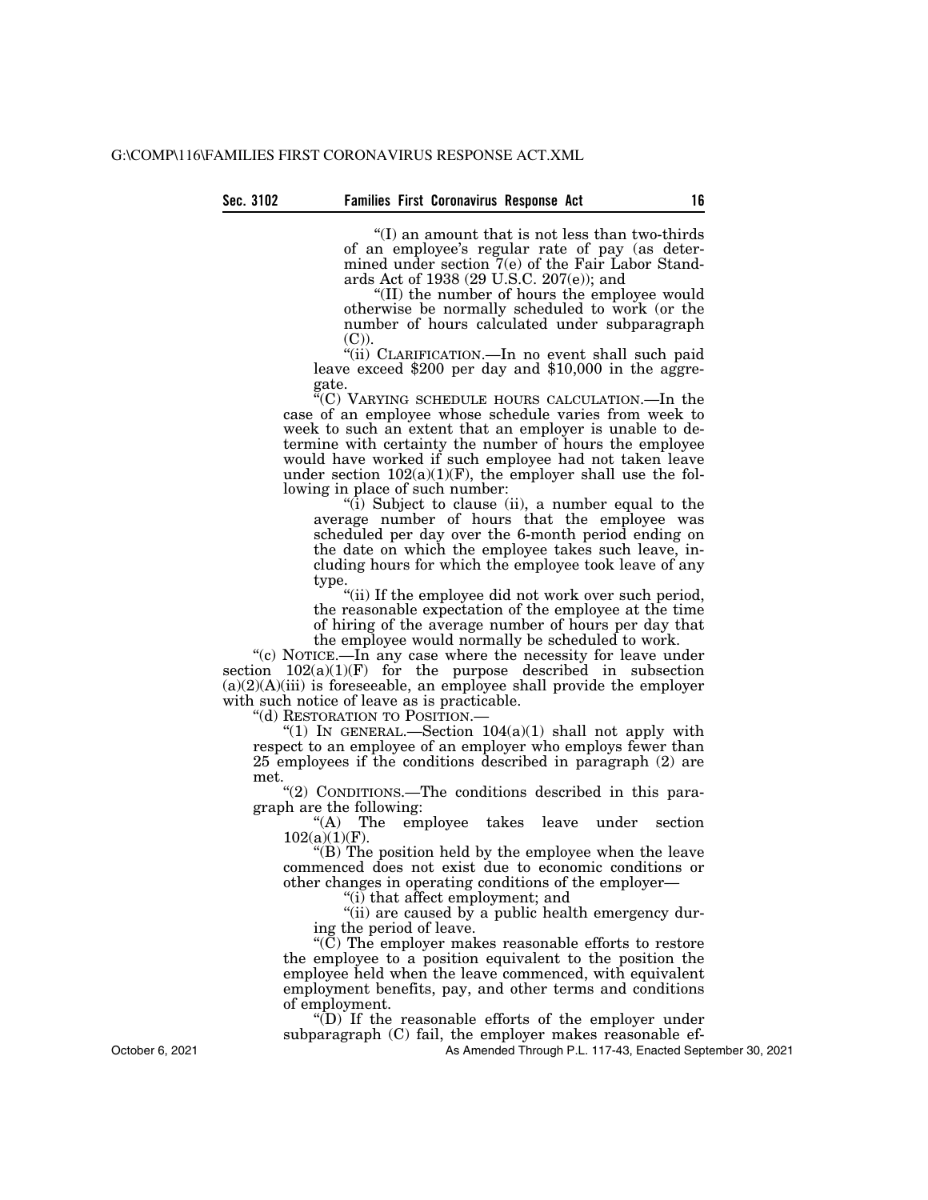''(I) an amount that is not less than two-thirds of an employee's regular rate of pay (as determined under section 7(e) of the Fair Labor Standards Act of 1938 (29 U.S.C. 207(e)); and

''(II) the number of hours the employee would otherwise be normally scheduled to work (or the number of hours calculated under subparagraph

(C)).<br>"(ii) CLARIFICATION.—In no event shall such paid leave exceed \$200 per day and  $$10,000$  in the aggregate.

''(C) VARYING SCHEDULE HOURS CALCULATION.—In the case of an employee whose schedule varies from week to week to such an extent that an employer is unable to determine with certainty the number of hours the employee would have worked if such employee had not taken leave under section  $102(a)(1)(F)$ , the employer shall use the following in place of such number:

''(i) Subject to clause (ii), a number equal to the average number of hours that the employee was scheduled per day over the 6-month period ending on the date on which the employee takes such leave, including hours for which the employee took leave of any type.

"(ii) If the employee did not work over such period, the reasonable expectation of the employee at the time of hiring of the average number of hours per day that the employee would normally be scheduled to work.

"(c) NOTICE.—In any case where the necessity for leave under section 102(a)(1)(F) for the purpose described in subsection  $(a)(2)(A)(iii)$  is foreseeable, an employee shall provide the employer with such notice of leave as is practicable.

''(d) RESTORATION TO POSITION.—

"(1) IN GENERAL.—Section  $104(a)(1)$  shall not apply with respect to an employee of an employer who employs fewer than 25 employees if the conditions described in paragraph (2) are met.

''(2) CONDITIONS.—The conditions described in this paragraph are the following:

"(A) The employee takes leave under section 102(a)(1)(F).

''(B) The position held by the employee when the leave commenced does not exist due to economic conditions or other changes in operating conditions of the employer—

''(i) that affect employment; and

"(ii) are caused by a public health emergency during the period of leave.

''(C) The employer makes reasonable efforts to restore the employee to a position equivalent to the position the employee held when the leave commenced, with equivalent employment benefits, pay, and other terms and conditions of employment.

 $\sqrt{\text{D}}$  If the reasonable efforts of the employer under subparagraph (C) fail, the employer makes reasonable ef-

As Amended Through P.L. 117-43, Enacted September 30, 2021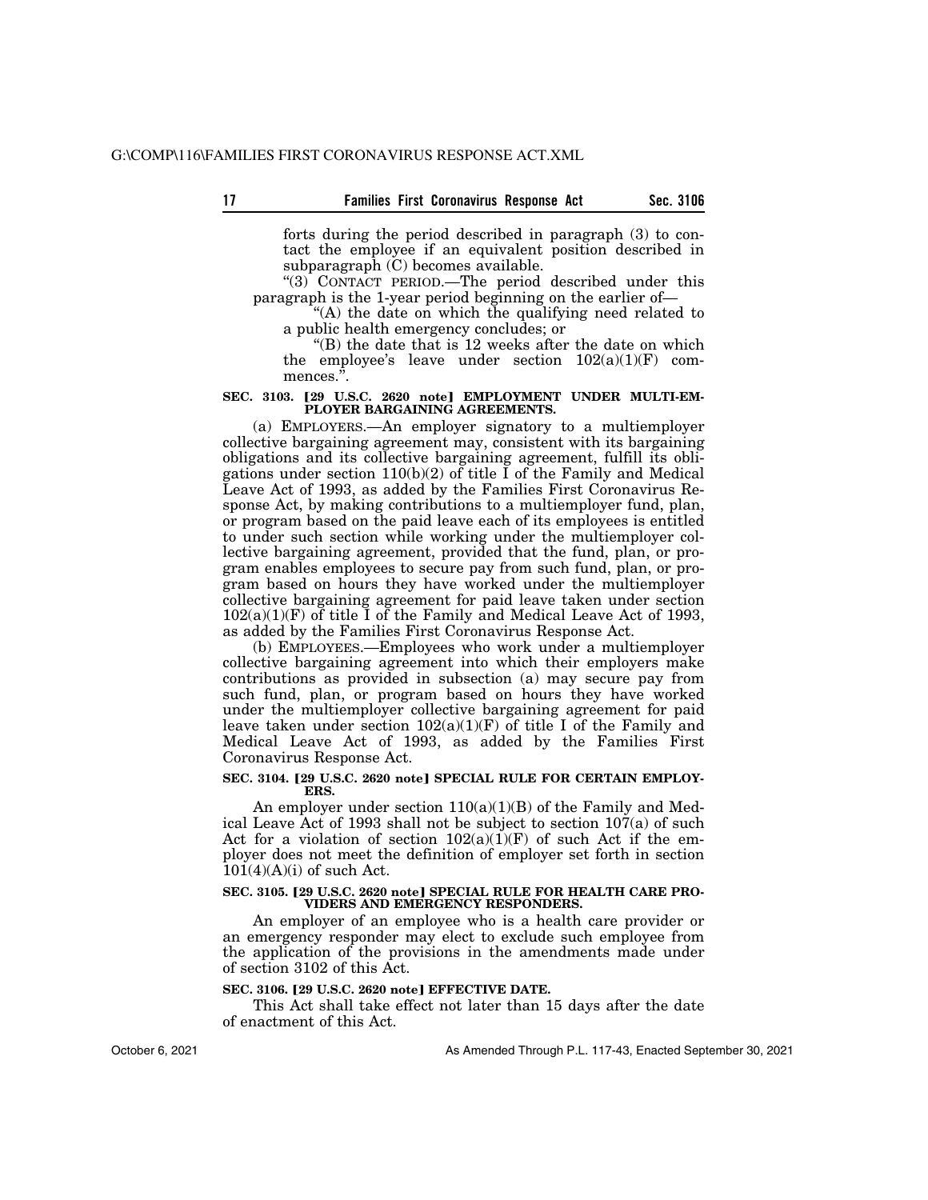**17 Sec. 3106 Families First Coronavirus Response Act** 

forts during the period described in paragraph (3) to contact the employee if an equivalent position described in subparagraph $(C)$  becomes available.

" $(3)$  CONTACT PERIOD.—The period described under this paragraph is the 1-year period beginning on the earlier of—

"(A) the date on which the qualifying need related to a public health emergency concludes; or

''(B) the date that is 12 weeks after the date on which the employee's leave under section  $102(a)(1)(F)$  commences.".

#### SEC. 3103. [29 U.S.C. 2620 note] EMPLOYMENT UNDER MULTI-EM-**PLOYER BARGAINING AGREEMENTS.**

(a) EMPLOYERS.—An employer signatory to a multiemployer collective bargaining agreement may, consistent with its bargaining obligations and its collective bargaining agreement, fulfill its obligations under section 110(b)(2) of title  $\overline{I}$  of the Family and Medical Leave Act of 1993, as added by the Families First Coronavirus Response Act, by making contributions to a multiemployer fund, plan, or program based on the paid leave each of its employees is entitled to under such section while working under the multiemployer collective bargaining agreement, provided that the fund, plan, or program enables employees to secure pay from such fund, plan, or program based on hours they have worked under the multiemployer collective bargaining agreement for paid leave taken under section  $102(a)(1)(F)$  of title I of the Family and Medical Leave Act of 1993, as added by the Families First Coronavirus Response Act.

(b) EMPLOYEES.—Employees who work under a multiemployer collective bargaining agreement into which their employers make contributions as provided in subsection (a) may secure pay from such fund, plan, or program based on hours they have worked under the multiemployer collective bargaining agreement for paid leave taken under section  $102(a)(1)(F)$  of title I of the Family and Medical Leave Act of 1993, as added by the Families First Coronavirus Response Act.

#### SEC. 3104. [29 U.S.C. 2620 note] SPECIAL RULE FOR CERTAIN EMPLOY-**ERS.**

An employer under section  $110(a)(1)(B)$  of the Family and Medical Leave Act of 1993 shall not be subject to section 107(a) of such Act for a violation of section  $102(a)(1)(F)$  of such Act if the employer does not meet the definition of employer set forth in section  $101(4)(A)(i)$  of such Act.

#### SEC. 3105. [29 U.S.C. 2620 note] SPECIAL RULE FOR HEALTH CARE PRO-**VIDERS AND EMERGENCY RESPONDERS.**

An employer of an employee who is a health care provider or an emergency responder may elect to exclude such employee from the application of the provisions in the amendments made under of section 3102 of this Act.

#### **SEC. 3106. [29 U.S.C. 2620 note] EFFECTIVE DATE.**

This Act shall take effect not later than 15 days after the date of enactment of this Act.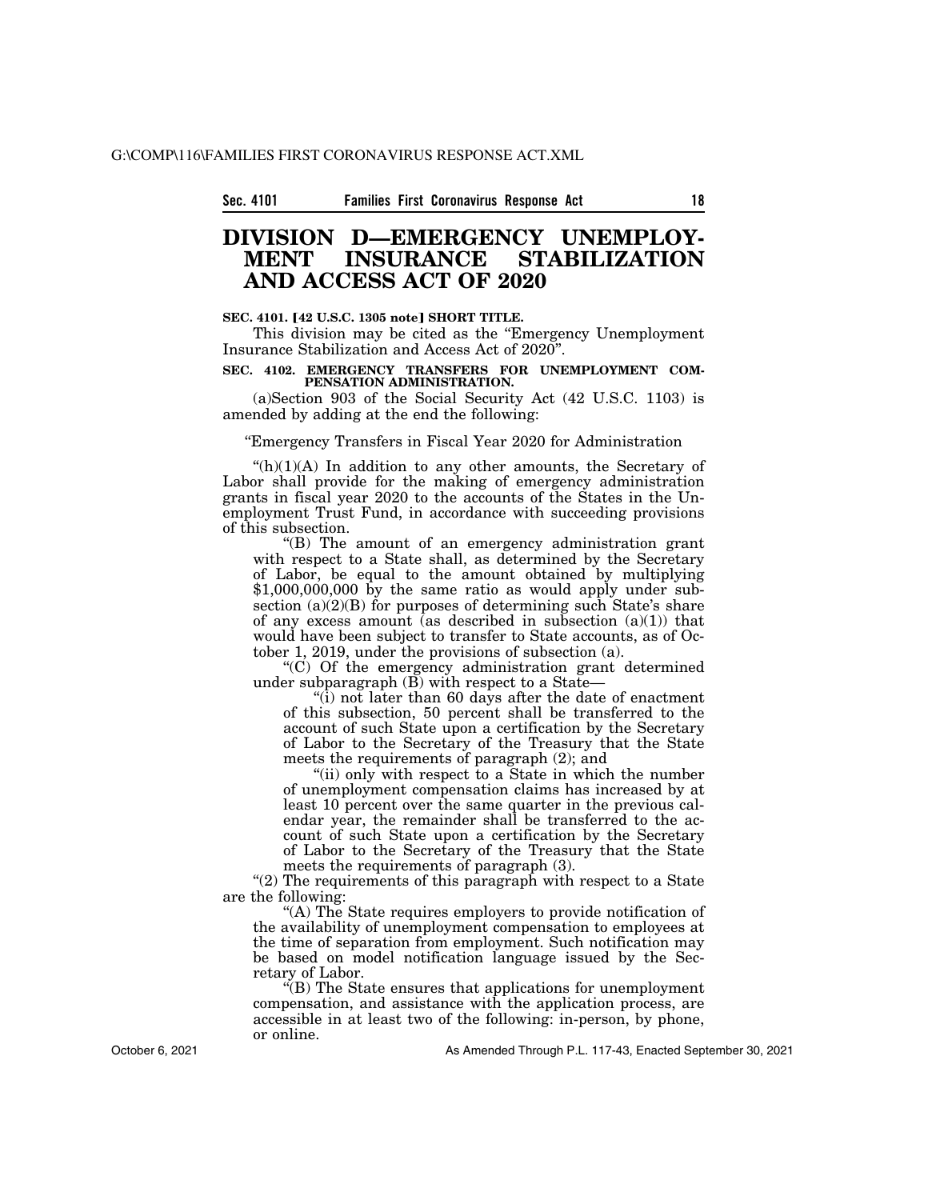### **DIVISION D—EMERGENCY UNEMPLOY-STABILIZATION AND ACCESS ACT OF 2020**

#### **SEC. 4101. [42 U.S.C. 1305 note] SHORT TITLE.**

This division may be cited as the "Emergency Unemployment" Insurance Stabilization and Access Act of 2020''.

#### **SEC. 4102. EMERGENCY TRANSFERS FOR UNEMPLOYMENT COM-PENSATION ADMINISTRATION.**

(a)Section 903 of the Social Security Act (42 U.S.C. 1103) is amended by adding at the end the following:

#### ''Emergency Transfers in Fiscal Year 2020 for Administration

 $(h)(1)(A)$  In addition to any other amounts, the Secretary of Labor shall provide for the making of emergency administration grants in fiscal year 2020 to the accounts of the States in the Unemployment Trust Fund, in accordance with succeeding provisions of this subsection.

''(B) The amount of an emergency administration grant with respect to a State shall, as determined by the Secretary of Labor, be equal to the amount obtained by multiplying \$1,000,000,000 by the same ratio as would apply under subsection (a)(2)(B) for purposes of determining such State's share of any excess amount (as described in subsection  $(a)(1)$ ) that would have been subject to transfer to State accounts, as of October 1, 2019, under the provisions of subsection (a).

 $(C)$  Of the emergency administration grant determined under subparagraph  $(\overrightarrow{B})$  with respect to a State—

''(i) not later than 60 days after the date of enactment of this subsection, 50 percent shall be transferred to the account of such State upon a certification by the Secretary of Labor to the Secretary of the Treasury that the State meets the requirements of paragraph (2); and

"(ii) only with respect to a State in which the number of unemployment compensation claims has increased by at least 10 percent over the same quarter in the previous calendar year, the remainder shall be transferred to the account of such State upon a certification by the Secretary of Labor to the Secretary of the Treasury that the State meets the requirements of paragraph (3).

" $(2)$  The requirements of this paragraph with respect to a State are the following:

''(A) The State requires employers to provide notification of the availability of unemployment compensation to employees at the time of separation from employment. Such notification may be based on model notification language issued by the Secretary of Labor.

''(B) The State ensures that applications for unemployment compensation, and assistance with the application process, are accessible in at least two of the following: in-person, by phone, or online.

October 6, 2021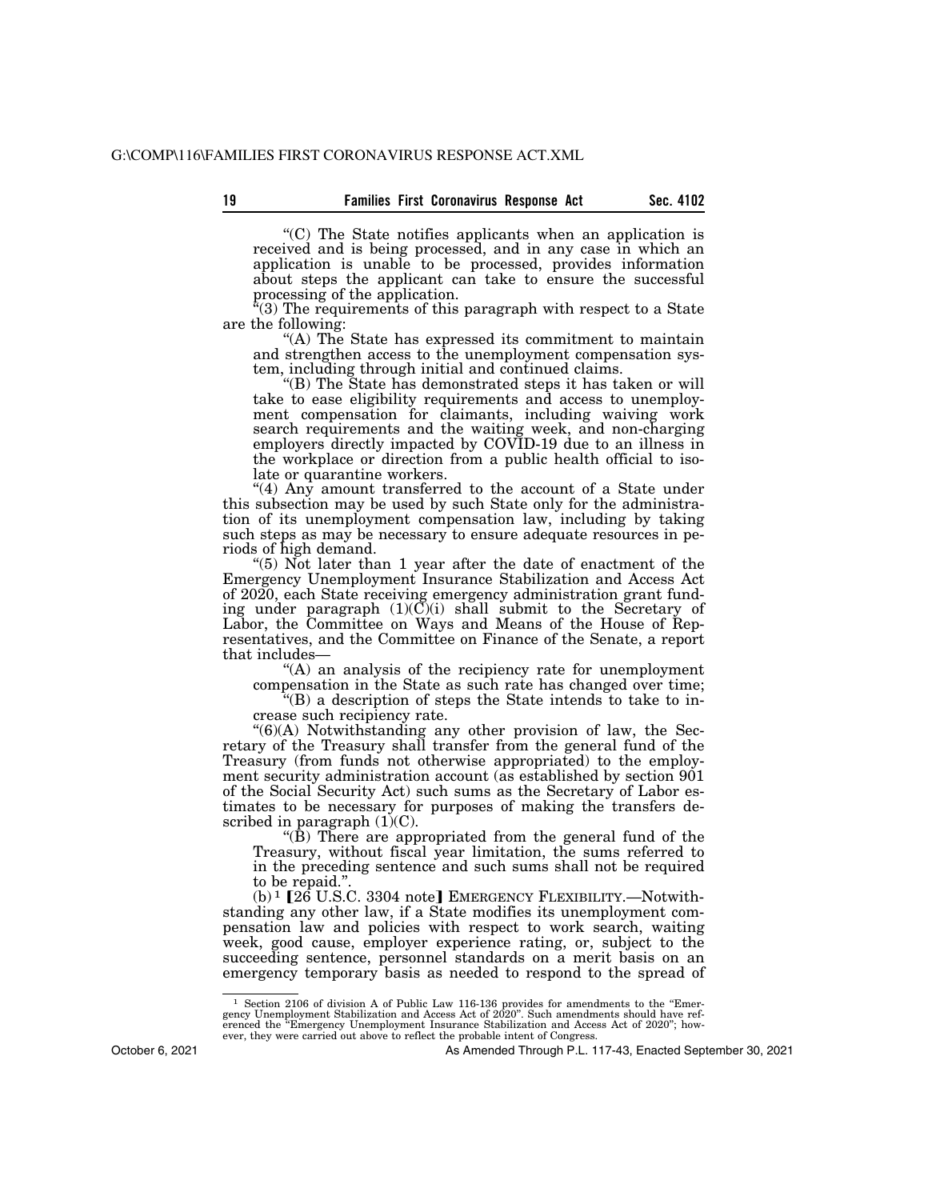''(C) The State notifies applicants when an application is received and is being processed, and in any case in which an application is unable to be processed, provides information about steps the applicant can take to ensure the successful processing of the application.

 $(3)$  The requirements of this paragraph with respect to a State are the following:

''(A) The State has expressed its commitment to maintain and strengthen access to the unemployment compensation system, including through initial and continued claims.

''(B) The State has demonstrated steps it has taken or will take to ease eligibility requirements and access to unemployment compensation for claimants, including waiving work search requirements and the waiting week, and non-charging employers directly impacted by COVID-19 due to an illness in the workplace or direction from a public health official to isolate or quarantine workers.

"(4) Any amount transferred to the account of a State under this subsection may be used by such State only for the administration of its unemployment compensation law, including by taking such steps as may be necessary to ensure adequate resources in periods of high demand.

"(5) Not later than 1 year after the date of enactment of the Emergency Unemployment Insurance Stabilization and Access Act of 2020, each State receiving emergency administration grant funding under paragraph  $(1)(C)(i)$  shall submit to the Secretary of Labor, the Committee on Ways and Means of the House of Representatives, and the Committee on Finance of the Senate, a report that includes—

''(A) an analysis of the recipiency rate for unemployment compensation in the State as such rate has changed over time;

''(B) a description of steps the State intends to take to increase such recipiency rate.

 $\degree$ (6)(A) Notwithstanding any other provision of law, the Secretary of the Treasury shall transfer from the general fund of the Treasury (from funds not otherwise appropriated) to the employment security administration account (as established by section  $901$ of the Social Security Act) such sums as the Secretary of Labor estimates to be necessary for purposes of making the transfers described in paragraph  $(1)(C)$ .

''(B) There are appropriated from the general fund of the Treasury, without fiscal year limitation, the sums referred to in the preceding sentence and such sums shall not be required to be repaid.''.

 $(b)$ <sup>1</sup> [26 U.S.C. 3304 note] EMERGENCY FLEXIBILITY.—Notwithstanding any other law, if a State modifies its unemployment compensation law and policies with respect to work search, waiting week, good cause, employer experience rating, or, subject to the succeeding sentence, personnel standards on a merit basis on an emergency temporary basis as needed to respond to the spread of

October 6, 2021

 $^1$  Section 2106 of division A of Public Law 116-136 provides for amendments to the "Emergency Unemployment Stabilization and Access Act of 2020". Such amendments should have referenced the "Emergency Unemployment Insura ever, they were carried out above to reflect the probable intent of Congress.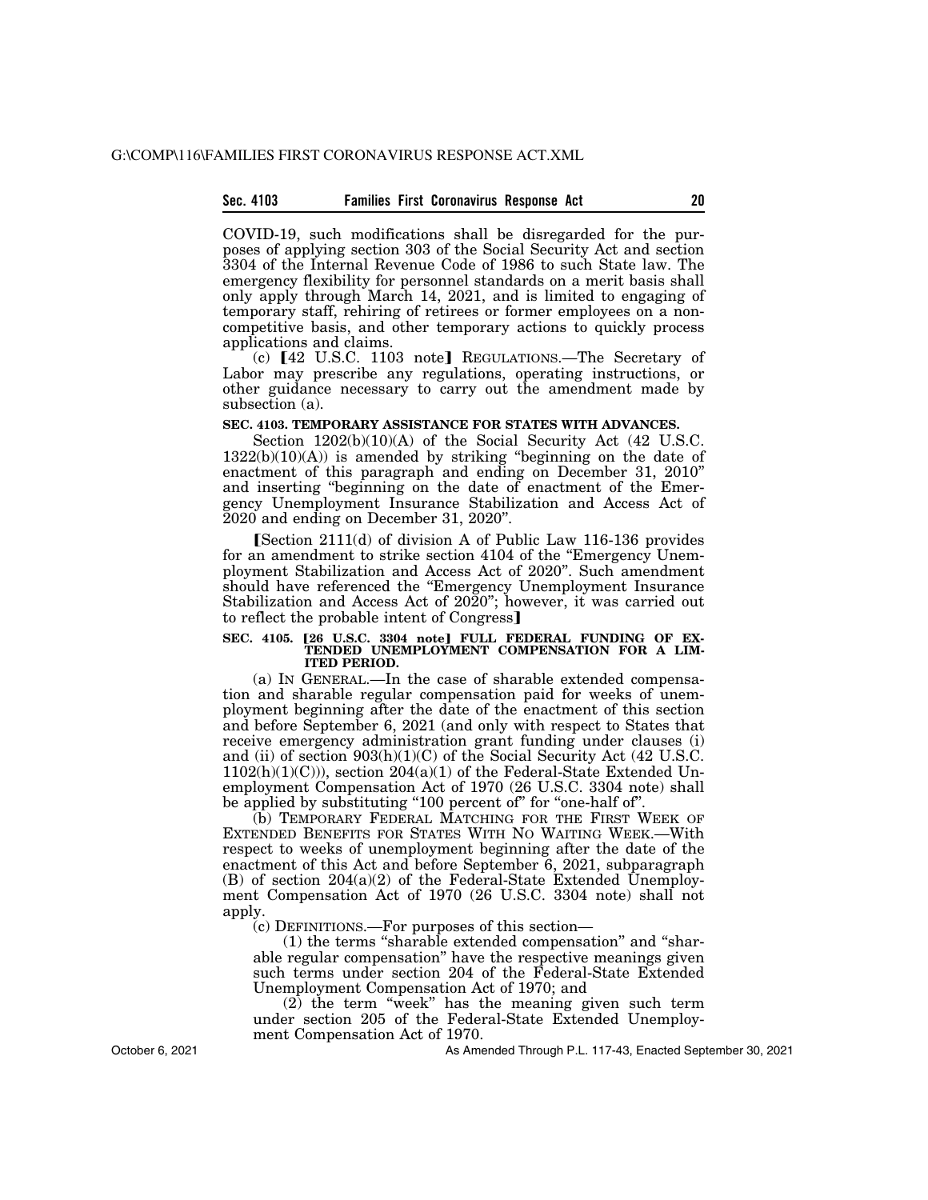#### **Sec. 4103 Families First Coronavirus Response Act 20**

COVID-19, such modifications shall be disregarded for the purposes of applying section 303 of the Social Security Act and section 3304 of the Internal Revenue Code of 1986 to such State law. The emergency flexibility for personnel standards on a merit basis shall only apply through March 14, 2021, and is limited to engaging of temporary staff, rehiring of retirees or former employees on a noncompetitive basis, and other temporary actions to quickly process applications and claims.

 $(c)$  [42 U.S.C. 1103 note] REGULATIONS.—The Secretary of Labor may prescribe any regulations, operating instructions, or other guidance necessary to carry out the amendment made by subsection (a).

#### **SEC. 4103. TEMPORARY ASSISTANCE FOR STATES WITH ADVANCES.**

Section 1202(b)(10)(A) of the Social Security Act (42 U.S.C.  $1322(b)(10)(A)$  is amended by striking "beginning on the date of enactment of this paragraph and ending on December 31, 2010'' and inserting ''beginning on the date of enactment of the Emergency Unemployment Insurance Stabilization and Access Act of 2020 and ending on December 31, 2020''.

 $S_{\text{section 2111(d)}$  of division A of Public Law 116-136 provides for an amendment to strike section 4104 of the ''Emergency Unemployment Stabilization and Access Act of 2020''. Such amendment should have referenced the ''Emergency Unemployment Insurance Stabilization and Access Act of 2020"; however, it was carried out to reflect the probable intent of Congress]

#### SEC. 4105. [26 U.S.C. 3304 note] FULL FEDERAL FUNDING OF EX-**TENDED UNEMPLOYMENT COMPENSATION FOR A LIM-ITED PERIOD.**

(a) IN GENERAL.—In the case of sharable extended compensation and sharable regular compensation paid for weeks of unemployment beginning after the date of the enactment of this section and before September 6, 2021 (and only with respect to States that receive emergency administration grant funding under clauses (i) and (ii) of section 903(h)(1)(C) of the Social Security Act (42 U.S.C.  $1102(h)(1)(C)$ , section  $204(a)(1)$  of the Federal-State Extended Unemployment Compensation Act of 1970 (26 U.S.C. 3304 note) shall be applied by substituting "100 percent of" for "one-half of".

(b) TEMPORARY FEDERAL MATCHING FOR THE FIRST WEEK OF EXTENDED BENEFITS FOR STATES WITH NO WAITING WEEK.—With respect to weeks of unemployment beginning after the date of the enactment of this Act and before September 6, 2021, subparagraph (B) of section 204(a)(2) of the Federal-State Extended Unemployment Compensation Act of 1970 (26 U.S.C. 3304 note) shall not apply.

(c) DEFINITIONS.—For purposes of this section—

(1) the terms ''sharable extended compensation'' and ''sharable regular compensation'' have the respective meanings given such terms under section 204 of the Federal-State Extended Unemployment Compensation Act of 1970; and

(2) the term ''week'' has the meaning given such term under section 205 of the Federal-State Extended Unemployment Compensation Act of 1970.

As Amended Through P.L. 117-43, Enacted September 30, 2021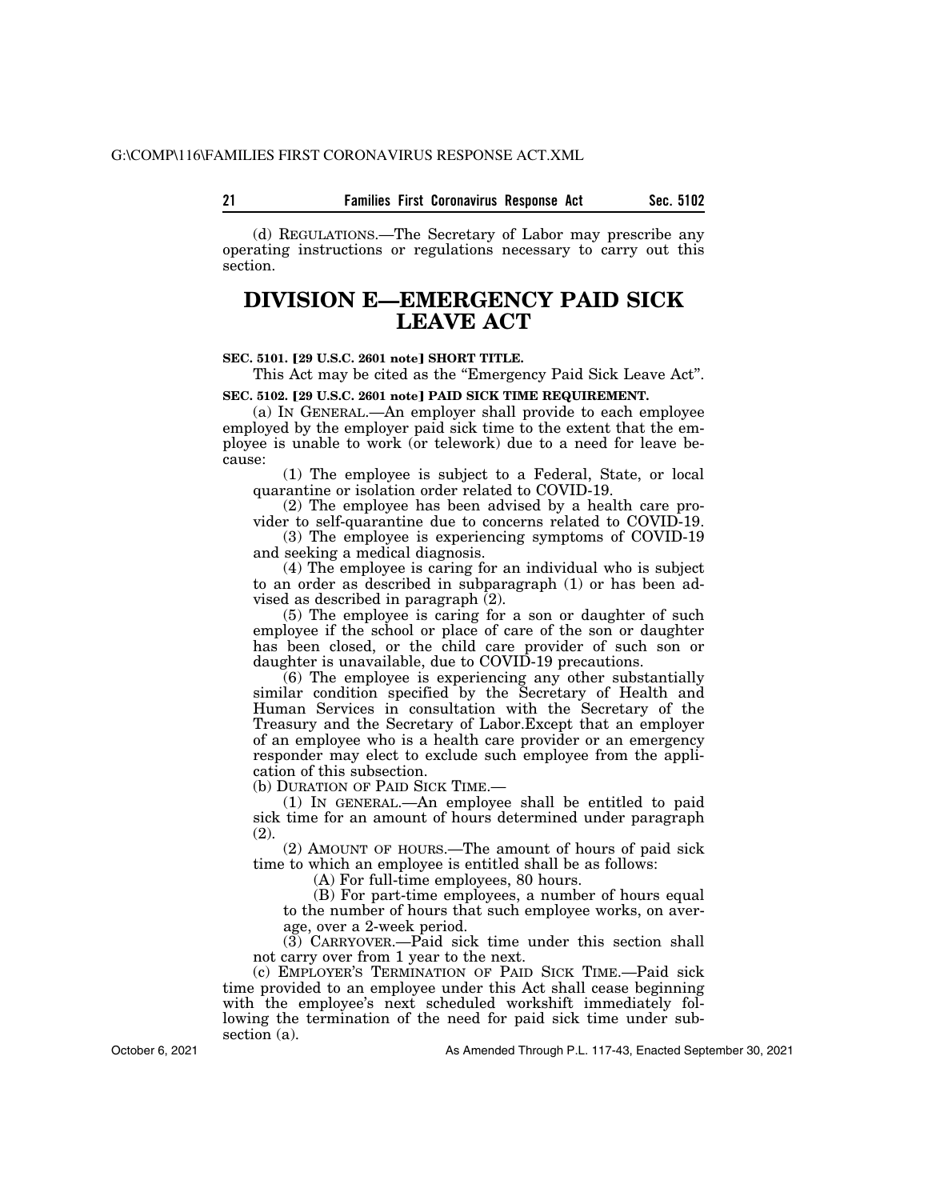**21 Sec. 5102 Families First Coronavirus Response Act** 

(d) REGULATIONS.—The Secretary of Labor may prescribe any operating instructions or regulations necessary to carry out this section.

### **DIVISION E—EMERGENCY PAID SICK LEAVE ACT**

#### **SEC. 5101.** ø**29 U.S.C. 2601 note**¿ **SHORT TITLE.**

This Act may be cited as the "Emergency Paid Sick Leave Act".

**SEC. 5102. [29 U.S.C. 2601 note] PAID SICK TIME REQUIREMENT.** 

(a) IN GENERAL.—An employer shall provide to each employee employed by the employer paid sick time to the extent that the employee is unable to work (or telework) due to a need for leave because:

(1) The employee is subject to a Federal, State, or local quarantine or isolation order related to COVID-19.

(2) The employee has been advised by a health care provider to self-quarantine due to concerns related to COVID-19.

(3) The employee is experiencing symptoms of COVID-19 and seeking a medical diagnosis.

(4) The employee is caring for an individual who is subject to an order as described in subparagraph (1) or has been advised as described in paragraph  $(2)$ .

(5) The employee is caring for a son or daughter of such employee if the school or place of care of the son or daughter has been closed, or the child care provider of such son or daughter is unavailable, due to COVID-19 precautions.

(6) The employee is experiencing any other substantially similar condition specified by the Secretary of Health and Human Services in consultation with the Secretary of the Treasury and the Secretary of Labor.Except that an employer of an employee who is a health care provider or an emergency responder may elect to exclude such employee from the application of this subsection.

(b) DURATION OF PAID SICK TIME.—

(1) IN GENERAL.—An employee shall be entitled to paid sick time for an amount of hours determined under paragraph (2).

(2) AMOUNT OF HOURS.—The amount of hours of paid sick time to which an employee is entitled shall be as follows:

(A) For full-time employees, 80 hours.

(B) For part-time employees, a number of hours equal to the number of hours that such employee works, on average, over a 2-week period.

 $(3)$  CARRYOVER.—Paid sick time under this section shall not carry over from 1 year to the next.

(c) EMPLOYER'S TERMINATION OF PAID SICK TIME.—Paid sick time provided to an employee under this Act shall cease beginning with the employee's next scheduled workshift immediately following the termination of the need for paid sick time under subsection (a).

October 6, 2021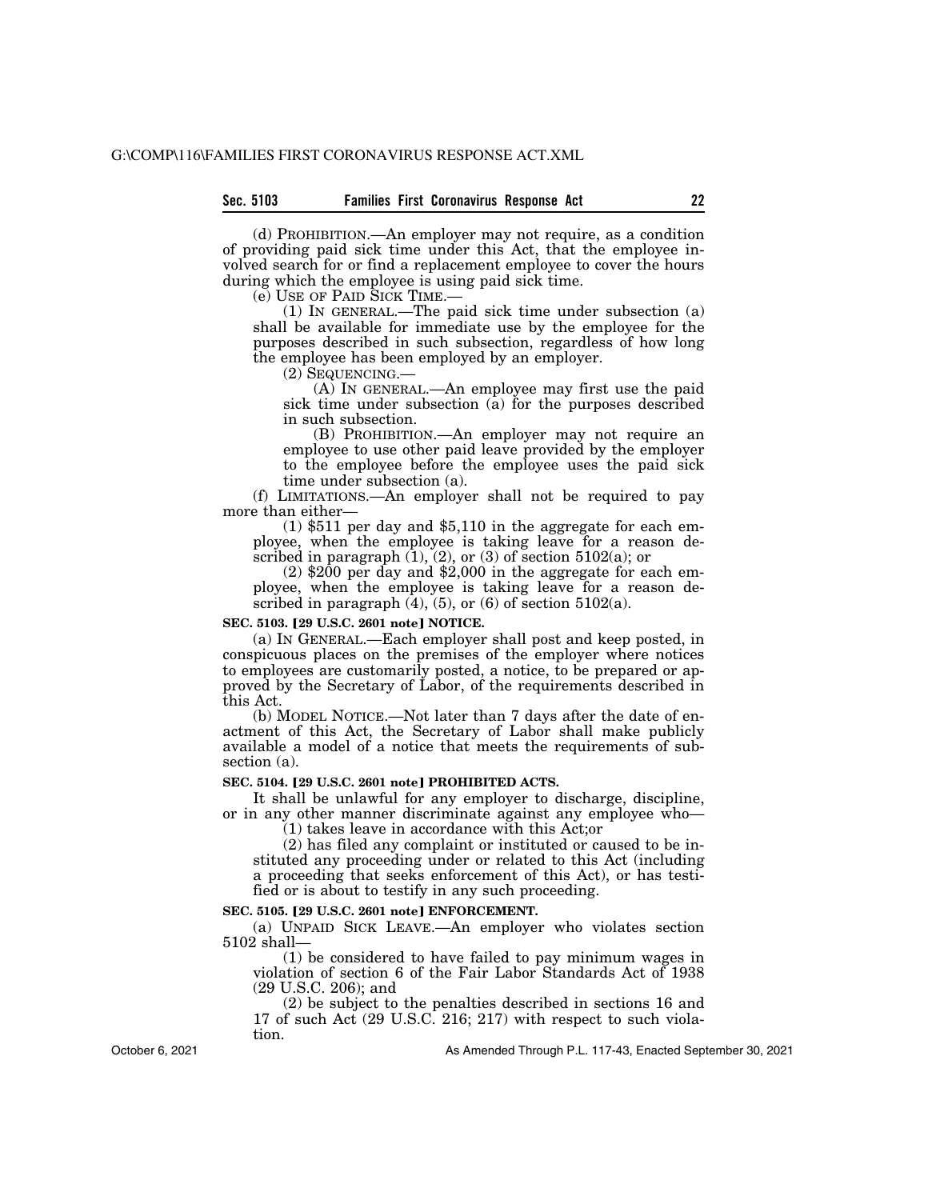(d) PROHIBITION.—An employer may not require, as a condition of providing paid sick time under this Act, that the employee involved search for or find a replacement employee to cover the hours during which the employee is using paid sick time.

(e) USE OF PAID SICK TIME.—

(1) IN GENERAL.—The paid sick time under subsection (a) shall be available for immediate use by the employee for the purposes described in such subsection, regardless of how long the employee has been employed by an employer.

(2) SEQUENCING.—

(A) IN GENERAL.—An employee may first use the paid sick time under subsection (a) for the purposes described in such subsection.

(B) PROHIBITION.—An employer may not require an employee to use other paid leave provided by the employer to the employee before the employee uses the paid sick time under subsection (a).

(f) LIMITATIONS.—An employer shall not be required to pay more than either—

(1) \$511 per day and \$5,110 in the aggregate for each employee, when the employee is taking leave for a reason described in paragraph  $(1)$ ,  $(2)$ , or  $(3)$  of section 5102 $(a)$ ; or

 $(2)$  \$200 per day and \$2,000 in the aggregate for each employee, when the employee is taking leave for a reason described in paragraph  $(4)$ ,  $(5)$ , or  $(6)$  of section  $5102(a)$ .

#### **SEC. 5103.** ø**29 U.S.C. 2601 note**¿ **NOTICE.**

(a) IN GENERAL.—Each employer shall post and keep posted, in conspicuous places on the premises of the employer where notices to employees are customarily posted, a notice, to be prepared or approved by the Secretary of Labor, of the requirements described in this Act.

(b) MODEL NOTICE.—Not later than 7 days after the date of enactment of this Act, the Secretary of Labor shall make publicly available a model of a notice that meets the requirements of subsection (a).

#### SEC. 5104. [29 U.S.C. 2601 note] PROHIBITED ACTS.

It shall be unlawful for any employer to discharge, discipline, or in any other manner discriminate against any employee who—

(1) takes leave in accordance with this Act;or

(2) has filed any complaint or instituted or caused to be instituted any proceeding under or related to this Act (including a proceeding that seeks enforcement of this Act), or has testified or is about to testify in any such proceeding.

#### SEC. 5105. <sup>[29 U.S.C. 2601 note] **ENFORCEMENT.**</sup>

(a) UNPAID SICK LEAVE.—An employer who violates section 5102 shall—

(1) be considered to have failed to pay minimum wages in violation of section 6 of the Fair Labor Standards Act of 1938 (29 U.S.C. 206); and

(2) be subject to the penalties described in sections 16 and 17 of such Act (29 U.S.C. 216; 217) with respect to such violation.

October 6, 2021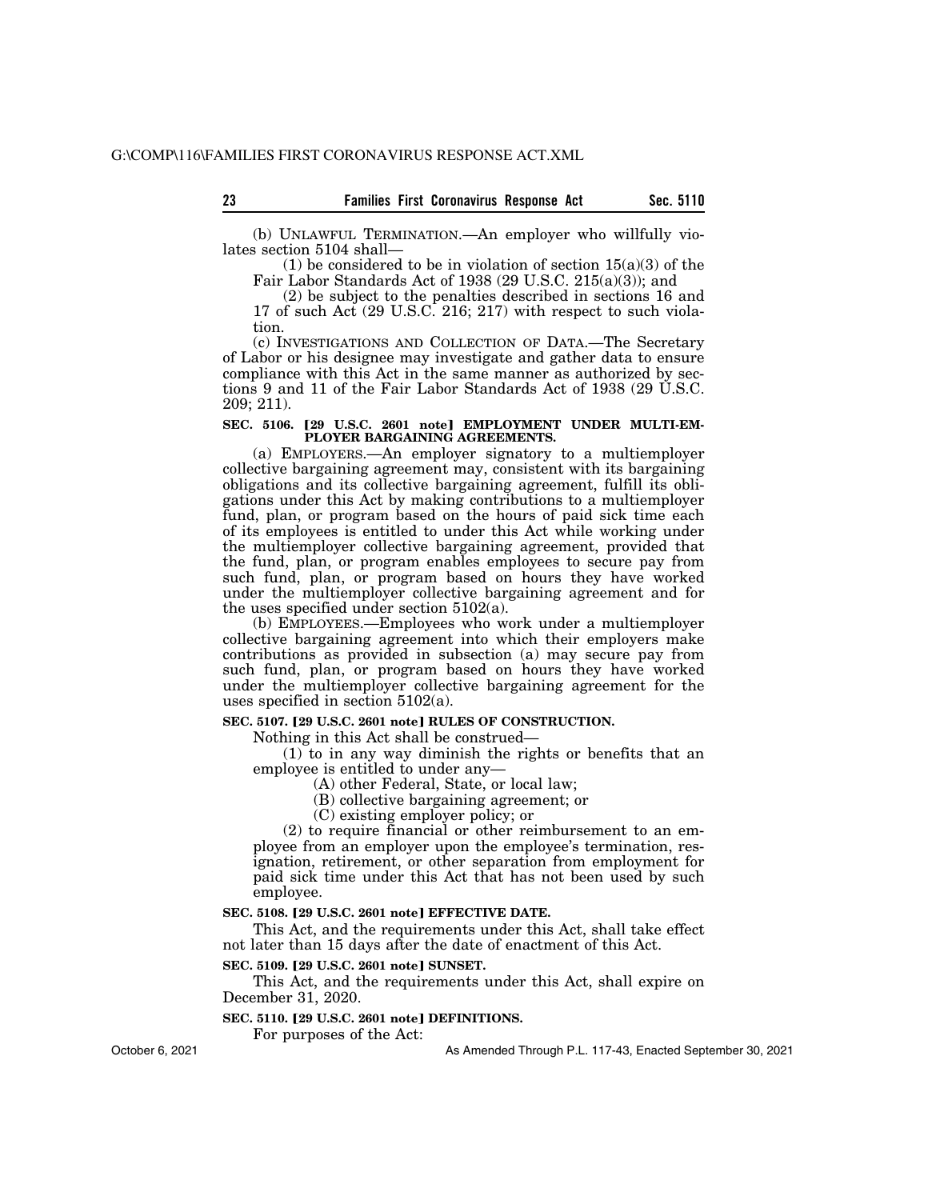(b) UNLAWFUL TERMINATION.—An employer who willfully violates section 5104 shall—

(1) be considered to be in violation of section  $15(a)(3)$  of the Fair Labor Standards Act of 1938 (29 U.S.C. 215(a)(3)); and

(2) be subject to the penalties described in sections 16 and 17 of such Act (29 U.S.C. 216; 217) with respect to such violation.

(c) INVESTIGATIONS AND COLLECTION OF DATA.—The Secretary of Labor or his designee may investigate and gather data to ensure compliance with this Act in the same manner as authorized by sections 9 and 11 of the Fair Labor Standards Act of 1938 (29 U.S.C. 209; 211).

#### SEC. 5106. [29 U.S.C. 2601 note] EMPLOYMENT UNDER MULTI-EM-**PLOYER BARGAINING AGREEMENTS.**

(a) EMPLOYERS.—An employer signatory to a multiemployer collective bargaining agreement may, consistent with its bargaining obligations and its collective bargaining agreement, fulfill its obligations under this Act by making contributions to a multiemployer fund, plan, or program based on the hours of paid sick time each of its employees is entitled to under this Act while working under the multiemployer collective bargaining agreement, provided that the fund, plan, or program enables employees to secure pay from such fund, plan, or program based on hours they have worked under the multiemployer collective bargaining agreement and for the uses specified under section 5102(a).

(b) EMPLOYEES.—Employees who work under a multiemployer collective bargaining agreement into which their employers make contributions as provided in subsection (a) may secure pay from such fund, plan, or program based on hours they have worked under the multiemployer collective bargaining agreement for the uses specified in section 5102(a).

### **SEC. 5107. [29 U.S.C. 2601 note] RULES OF CONSTRUCTION.**

Nothing in this Act shall be construed—

(1) to in any way diminish the rights or benefits that an employee is entitled to under any—

(A) other Federal, State, or local law;

(B) collective bargaining agreement; or

(C) existing employer policy; or

(2) to require financial or other reimbursement to an employee from an employer upon the employee's termination, resignation, retirement, or other separation from employment for paid sick time under this Act that has not been used by such employee.

#### **SEC. 5108. [29 U.S.C. 2601 note] EFFECTIVE DATE.**

This Act, and the requirements under this Act, shall take effect not later than 15 days after the date of enactment of this Act.

#### **SEC. 5109. [29 U.S.C. 2601 note] SUNSET.**

This Act, and the requirements under this Act, shall expire on December 31, 2020.

#### **SEC. 5110. [29 U.S.C. 2601 note] DEFINITIONS.**

For purposes of the Act:

As Amended Through P.L. 117-43, Enacted September 30, 2021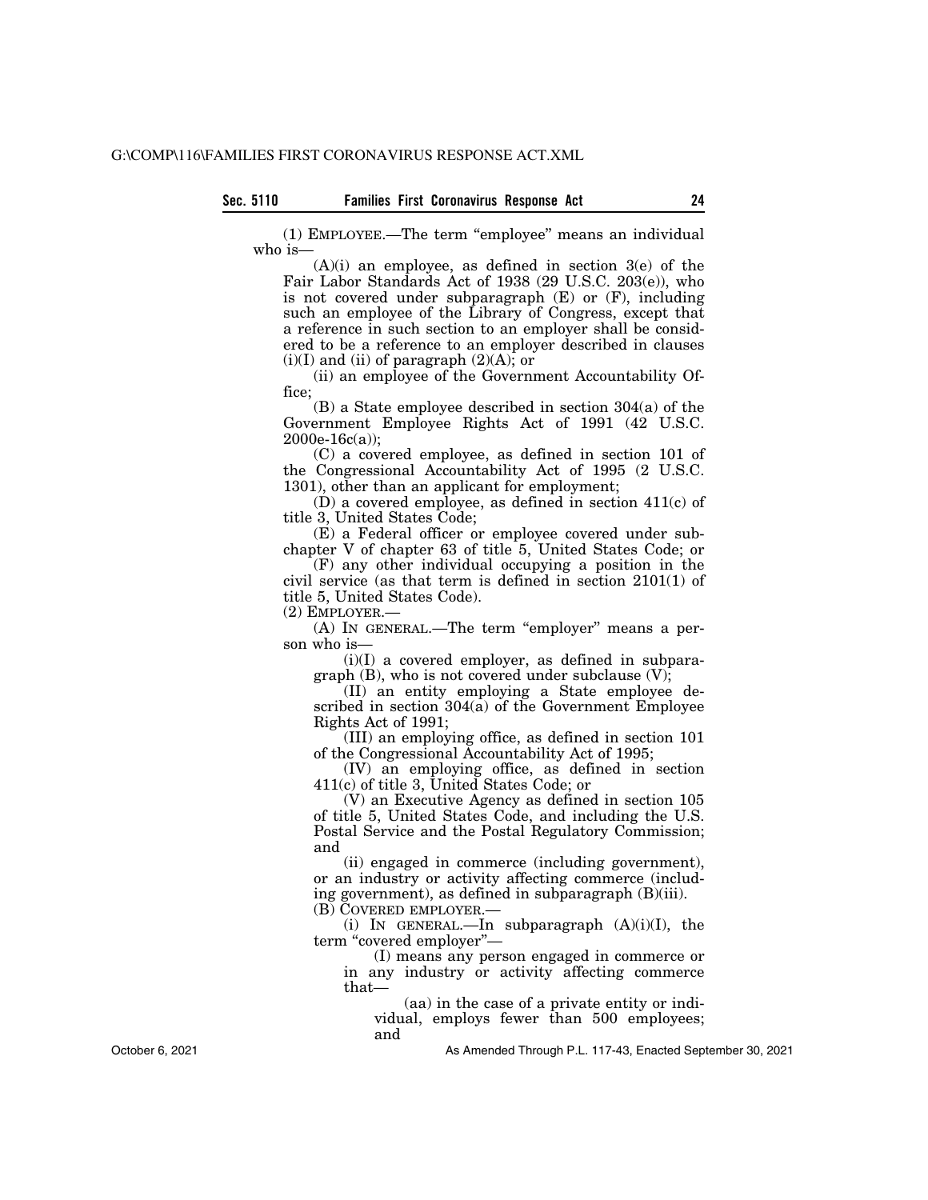(1) EMPLOYEE.—The term ''employee'' means an individual who is—

 $(A)(i)$  an employee, as defined in section  $3(e)$  of the Fair Labor Standards Act of 1938 (29 U.S.C. 203(e)), who is not covered under subparagraph  $(E)$  or  $(F)$ , including such an employee of the Library of Congress, except that a reference in such section to an employer shall be considered to be a reference to an employer described in clauses  $(i)(I)$  and  $(ii)$  of paragraph  $(2)(A)$ ; or

(ii) an employee of the Government Accountability Office;

(B) a State employee described in section 304(a) of the Government Employee Rights Act of 1991 (42 U.S.C.  $2000e-16c(a);$ 

(C) a covered employee, as defined in section 101 of the Congressional Accountability Act of 1995 (2 U.S.C. 1301), other than an applicant for employment;

(D) a covered employee, as defined in section 411(c) of title 3, United States Code;

(E) a Federal officer or employee covered under subchapter V of chapter 63 of title 5, United States Code; or

(F) any other individual occupying a position in the civil service (as that term is defined in section 2101(1) of title 5, United States Code).

(2) EMPLOYER.—

(A) IN GENERAL.—The term ''employer'' means a person who is—

 $(i)(I)$  a covered employer, as defined in subparagraph  $(B)$ , who is not covered under subclause  $(V)$ ;

(II) an entity employing a State employee described in section  $304(a)$  of the Government Employee Rights Act of 1991;

(III) an employing office, as defined in section 101 of the Congressional Accountability Act of 1995;

(IV) an employing office, as defined in section 411(c) of title 3, United States Code; or

(V) an Executive Agency as defined in section 105 of title 5, United States Code, and including the U.S. Postal Service and the Postal Regulatory Commission; and

(ii) engaged in commerce (including government), or an industry or activity affecting commerce (including government), as defined in subparagraph (B)(iii).

(B) COVERED EMPLOYER.—

(i) IN GENERAL.—In subparagraph (A)(i)(I), the term "covered employer"-

(I) means any person engaged in commerce or in any industry or activity affecting commerce that—

(aa) in the case of a private entity or individual, employs fewer than 500 employees;

and

As Amended Through P.L. 117-43, Enacted September 30, 2021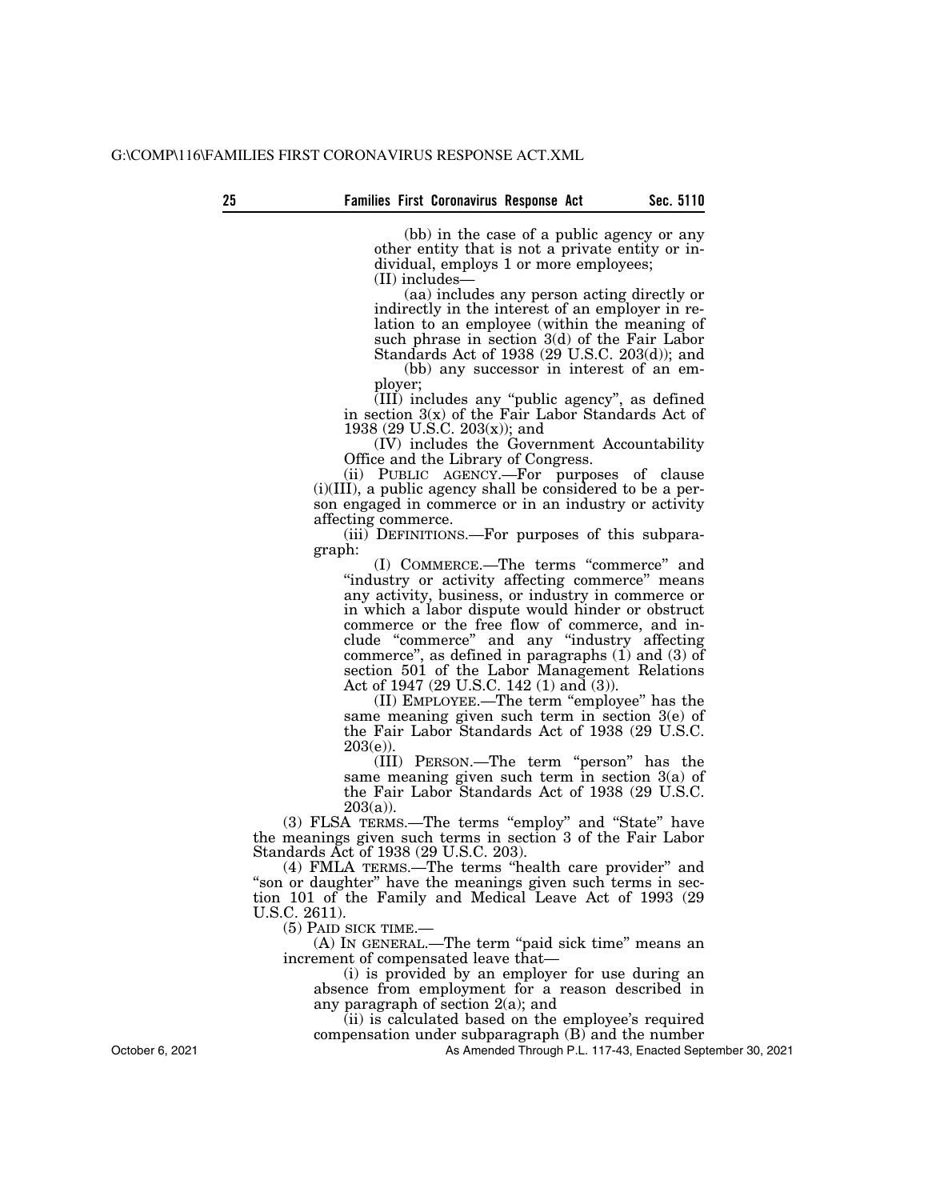(bb) in the case of a public agency or any other entity that is not a private entity or individual, employs 1 or more employees; (II) includes—

(aa) includes any person acting directly or indirectly in the interest of an employer in relation to an employee (within the meaning of such phrase in section 3(d) of the Fair Labor Standards Act of 1938 (29 U.S.C. 203(d)); and

(bb) any successor in interest of an employer;

(III) includes any ''public agency'', as defined in section 3(x) of the Fair Labor Standards Act of 1938 (29 U.S.C. 203(x)); and

(IV) includes the Government Accountability Office and the Library of Congress.

(ii) PUBLIC AGENCY.—For purposes of clause (i)(III), a public agency shall be considered to be a person engaged in commerce or in an industry or activity affecting commerce.

(iii) DEFINITIONS.—For purposes of this subparagraph:

(I) COMMERCE.—The terms ''commerce'' and ''industry or activity affecting commerce'' means any activity, business, or industry in commerce or in which a labor dispute would hinder or obstruct commerce or the free flow of commerce, and include ''commerce'' and any ''industry affecting commerce'', as defined in paragraphs (1) and (3) of section 501 of the Labor Management Relations Act of 1947 (29 U.S.C. 142 (1) and (3)).

(II) EMPLOYEE.—The term ''employee'' has the same meaning given such term in section 3(e) of the Fair Labor Standards Act of 1938 (29 U.S.C.  $203(e)$ ).

(III) PERSON.—The term ''person'' has the same meaning given such term in section 3(a) of the Fair Labor Standards Act of 1938 (29 U.S.C.  $203(a)$ ).

(3) FLSA TERMS.—The terms ''employ'' and ''State'' have the meanings given such terms in section 3 of the Fair Labor Standards Act of 1938 (29 U.S.C. 203).

(4) FMLA TERMS.—The terms ''health care provider'' and "son or daughter" have the meanings given such terms in section 101 of the Family and Medical Leave Act of 1993 (29 U.S.C. 2611).

(5) PAID SICK TIME.—

(A) IN GENERAL.—The term ''paid sick time'' means an increment of compensated leave that—

(i) is provided by an employer for use during an absence from employment for a reason described in any paragraph of section 2(a); and

(ii) is calculated based on the employee's required

compensation under subparagraph (B) and the number

As Amended Through P.L. 117-43, Enacted September 30, 2021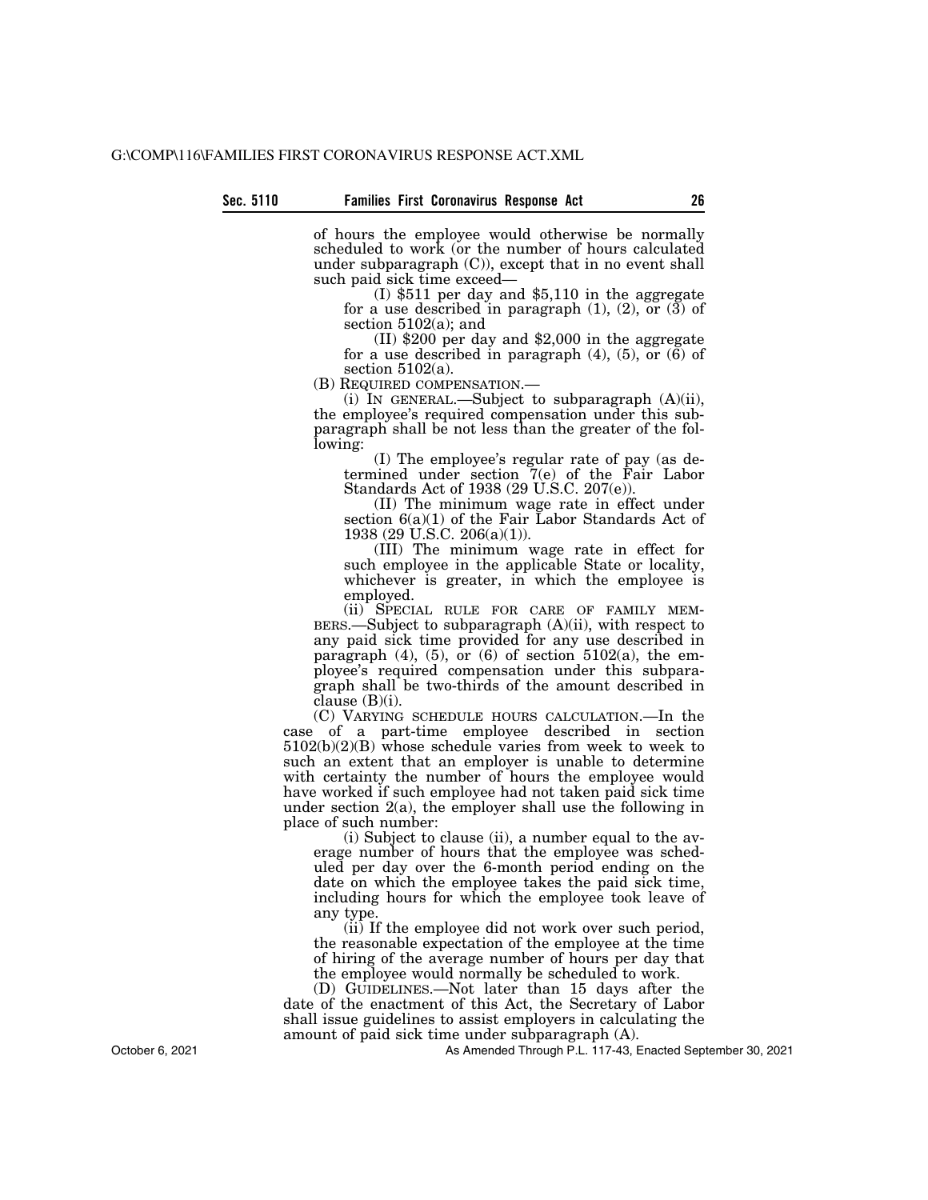of hours the employee would otherwise be normally scheduled to work (or the number of hours calculated under subparagraph (C)), except that in no event shall such paid sick time exceed—<br>(I) \$511 per day and \$5,110 in the aggregate

for a use described in paragraph  $(1)$ ,  $(2)$ , or  $(3)$  of section  $5102(a)$ ; and

(II) \$200 per day and \$2,000 in the aggregate for a use described in paragraph  $(4)$ ,  $(5)$ , or  $(6)$  of section  $5102(a)$ .<br>(B) REQUIRED COMPENSATION.—

(i) IN GENERAL.—Subject to subparagraph  $(A)(ii)$ , the employee's required compensation under this subparagraph shall be not less than the greater of the following:

(I) The employee's regular rate of pay (as determined under section 7(e) of the Fair Labor Standards Act of 1938 (29 U.S.C. 207(e)).

(II) The minimum wage rate in effect under section  $6(a)(1)$  of the Fair Labor Standards Act of 1938 (29 U.S.C. 206(a)(1)).

(III) The minimum wage rate in effect for such employee in the applicable State or locality, whichever is greater, in which the employee is employed.

(ii) SPECIAL RULE FOR CARE OF FAMILY MEM-BERS.—Subject to subparagraph  $(A)(ii)$ , with respect to any paid sick time provided for any use described in paragraph  $(4)$ ,  $(5)$ , or  $(6)$  of section  $5102(a)$ , the employee's required compensation under this subparagraph shall be two-thirds of the amount described in clause  $(B)(i)$ .

(C) VARYING SCHEDULE HOURS CALCULATION.—In the case of a part-time employee described in section 5102(b)(2)(B) whose schedule varies from week to week to such an extent that an employer is unable to determine with certainty the number of hours the employee would have worked if such employee had not taken paid sick time under section 2(a), the employer shall use the following in place of such number:

(i) Subject to clause (ii), a number equal to the average number of hours that the employee was scheduled per day over the 6-month period ending on the date on which the employee takes the paid sick time, including hours for which the employee took leave of any type.

(ii) If the employee did not work over such period, the reasonable expectation of the employee at the time of hiring of the average number of hours per day that the employee would normally be scheduled to work.

(D) GUIDELINES.—Not later than 15 days after the date of the enactment of this Act, the Secretary of Labor shall issue guidelines to assist employers in calculating the amount of paid sick time under subparagraph (A).

As Amended Through P.L. 117-43, Enacted September 30, 2021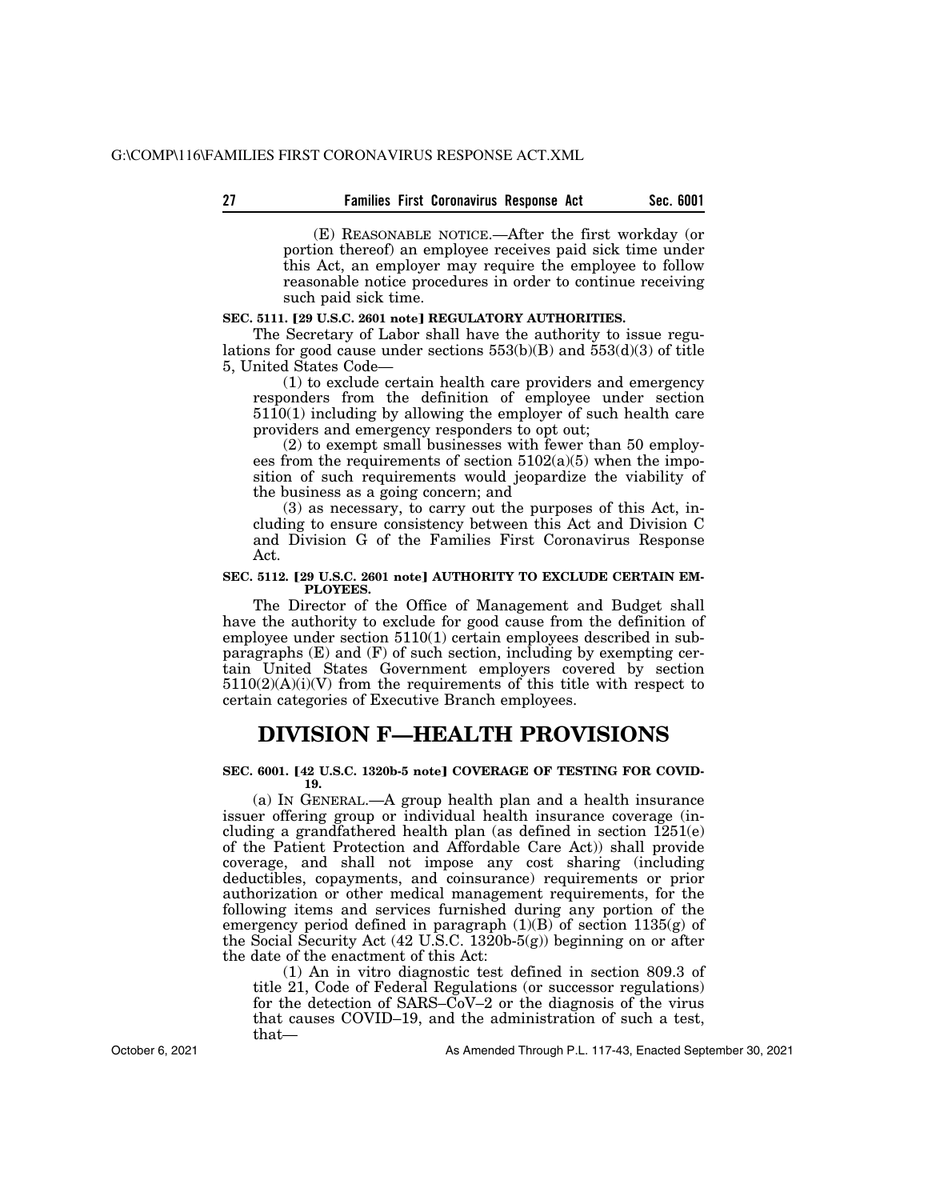| 27 | <b>Families First Coronavirus Response Act</b> |  |  |  | Sec. 6001 |
|----|------------------------------------------------|--|--|--|-----------|
|----|------------------------------------------------|--|--|--|-----------|

(E) REASONABLE NOTICE.—After the first workday (or portion thereof) an employee receives paid sick time under this Act, an employer may require the employee to follow reasonable notice procedures in order to continue receiving such paid sick time.

#### SEC. 5111. [29 U.S.C. 2601 note] REGULATORY AUTHORITIES.

The Secretary of Labor shall have the authority to issue regulations for good cause under sections  $553(b)(B)$  and  $553(d)(3)$  of title 5, United States Code—

(1) to exclude certain health care providers and emergency responders from the definition of employee under section 5110(1) including by allowing the employer of such health care providers and emergency responders to opt out;

(2) to exempt small businesses with fewer than 50 employees from the requirements of section  $5102(a)(5)$  when the imposition of such requirements would jeopardize the viability of the business as a going concern; and

(3) as necessary, to carry out the purposes of this Act, including to ensure consistency between this Act and Division C and Division G of the Families First Coronavirus Response Act.

#### SEC. 5112. [29 U.S.C. 2601 note] AUTHORITY TO EXCLUDE CERTAIN EM-**PLOYEES.**

The Director of the Office of Management and Budget shall have the authority to exclude for good cause from the definition of employee under section 5110(1) certain employees described in subparagraphs (E) and (F) of such section, including by exempting certain United States Government employers covered by section  $5110(2)(A)(i)(V)$  from the requirements of this title with respect to certain categories of Executive Branch employees.

### **DIVISION F—HEALTH PROVISIONS**

#### SEC. 6001. [42 U.S.C. 1320b-5 note] COVERAGE OF TESTING FOR COVID-**19.**

(a) IN GENERAL.—A group health plan and a health insurance issuer offering group or individual health insurance coverage (including a grandfathered health plan (as defined in section 1251(e) of the Patient Protection and Affordable Care Act)) shall provide coverage, and shall not impose any cost sharing (including deductibles, copayments, and coinsurance) requirements or prior authorization or other medical management requirements, for the following items and services furnished during any portion of the emergency period defined in paragraph  $(1)(B)$  of section  $1135(g)$  of the Social Security Act (42 U.S.C. 1320b-5(g)) beginning on or after the date of the enactment of this Act:

(1) An in vitro diagnostic test defined in section 809.3 of title 21, Code of Federal Regulations (or successor regulations) for the detection of SARS–CoV–2 or the diagnosis of the virus that causes COVID–19, and the administration of such a test, that—

As Amended Through P.L. 117-43, Enacted September 30, 2021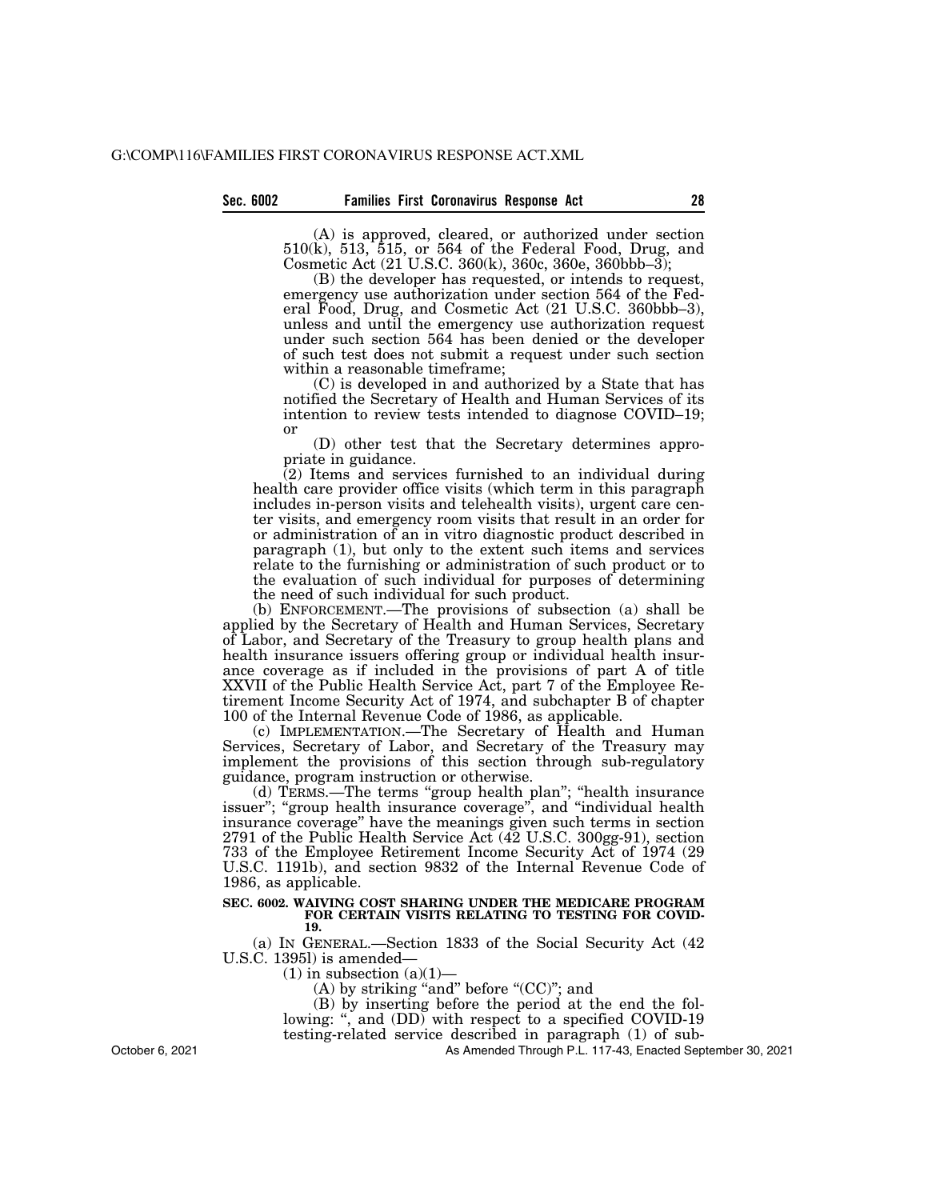(A) is approved, cleared, or authorized under section 510(k), 513, 515, or 564 of the Federal Food, Drug, and Cosmetic Act (21 U.S.C. 360(k), 360c, 360e, 360bbb–3);

(B) the developer has requested, or intends to request, emergency use authorization under section 564 of the Federal Food, Drug, and Cosmetic Act (21 U.S.C. 360bbb–3), unless and until the emergency use authorization request under such section 564 has been denied or the developer of such test does not submit a request under such section within a reasonable timeframe;

(C) is developed in and authorized by a State that has notified the Secretary of Health and Human Services of its intention to review tests intended to diagnose COVID–19; or

(D) other test that the Secretary determines appropriate in guidance.

 $(2)$  Items and services furnished to an individual during health care provider office visits (which term in this paragraph includes in-person visits and telehealth visits), urgent care center visits, and emergency room visits that result in an order for or administration of an in vitro diagnostic product described in paragraph (1), but only to the extent such items and services relate to the furnishing or administration of such product or to the evaluation of such individual for purposes of determining the need of such individual for such product.

(b) ENFORCEMENT.—The provisions of subsection (a) shall be applied by the Secretary of Health and Human Services, Secretary of Labor, and Secretary of the Treasury to group health plans and health insurance issuers offering group or individual health insurance coverage as if included in the provisions of part A of title XXVII of the Public Health Service Act, part 7 of the Employee Retirement Income Security Act of 1974, and subchapter B of chapter 100 of the Internal Revenue Code of 1986, as applicable.

(c) IMPLEMENTATION.—The Secretary of Health and Human Services, Secretary of Labor, and Secretary of the Treasury may implement the provisions of this section through sub-regulatory guidance, program instruction or otherwise.

(d) TERMS.—The terms ''group health plan''; ''health insurance issuer"; "group health insurance coverage", and "individual health insurance coverage'' have the meanings given such terms in section 2791 of the Public Health Service Act (42 U.S.C. 300gg-91), section 733 of the Employee Retirement Income Security Act of 1974 (29 U.S.C. 1191b), and section 9832 of the Internal Revenue Code of 1986, as applicable.

#### **SEC. 6002. WAIVING COST SHARING UNDER THE MEDICARE PROGRAM FOR CERTAIN VISITS RELATING TO TESTING FOR COVID-19.**

(a) IN GENERAL.—Section 1833 of the Social Security Act (42 U.S.C. 1395l) is amended—

 $(1)$  in subsection  $(a)(1)$ –

(A) by striking "and" before " $(CC)$ "; and

(B) by inserting before the period at the end the following: ", and  $(DD)$  with respect to a specified COVID-19

testing-related service described in paragraph (1) of sub-

As Amended Through P.L. 117-43, Enacted September 30, 2021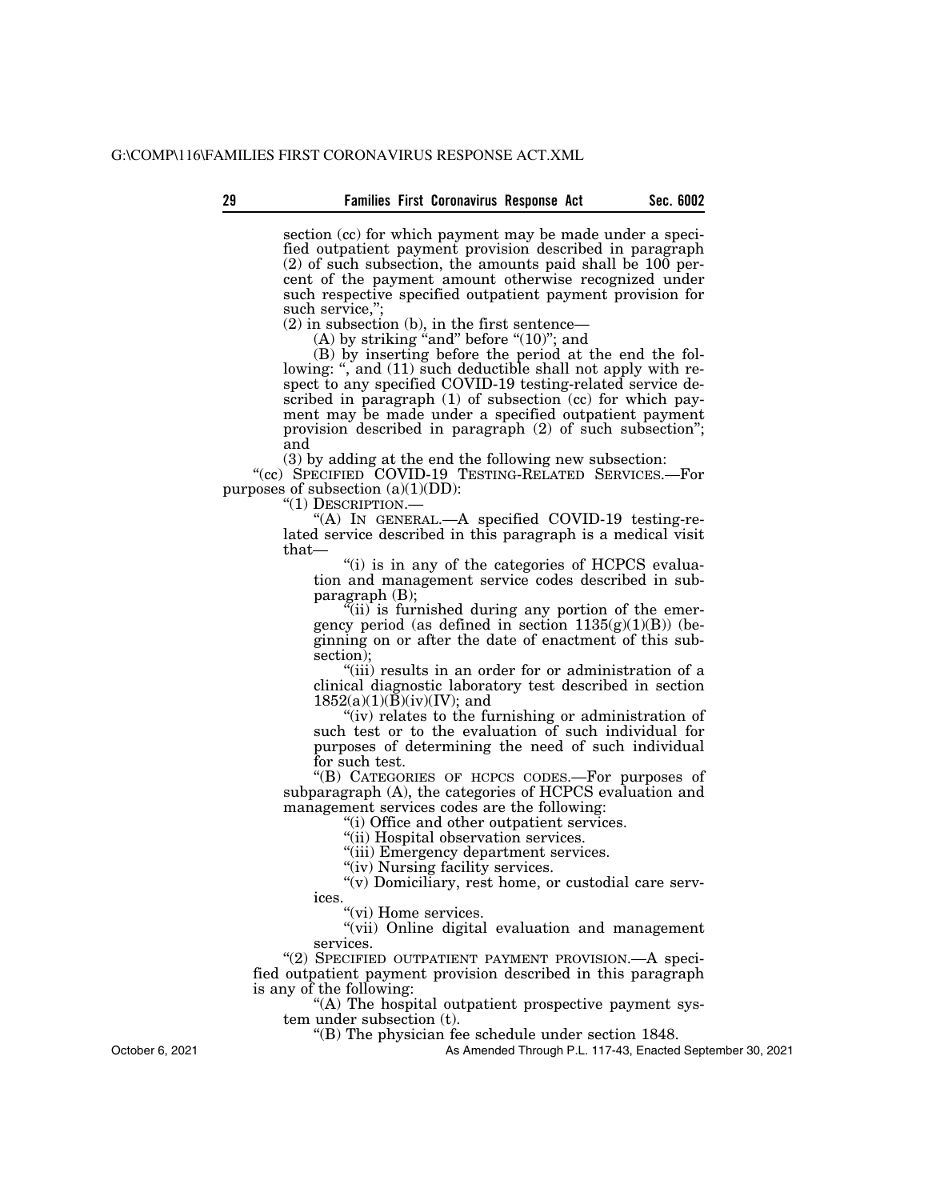section (cc) for which payment may be made under a specified outpatient payment provision described in paragraph  $(2)$  of such subsection, the amounts paid shall be  $100$  percent of the payment amount otherwise recognized under such respective specified outpatient payment provision for such service,";

(2) in subsection (b), in the first sentence—

(A) by striking "and" before " $(10)$ "; and

(B) by inserting before the period at the end the following: ", and (11) such deductible shall not apply with respect to any specified COVID-19 testing-related service described in paragraph (1) of subsection (cc) for which payment may be made under a specified outpatient payment provision described in paragraph (2) of such subsection''; and

(3) by adding at the end the following new subsection:

''(cc) SPECIFIED COVID-19 TESTING-RELATED SERVICES.—For purposes of subsection  $(a)(1)(DD)$ :<br>"(1) DESCRIPTION.—

"(A) IN GENERAL.—A specified COVID-19 testing-related service described in this paragraph is a medical visit that—

"(i) is in any of the categories of HCPCS evaluation and management service codes described in subparagraph (B);

''(ii) is furnished during any portion of the emergency period (as defined in section  $1135(g)(1)(B)$ ) (beginning on or after the date of enactment of this subsection);

"(iii) results in an order for or administration of a clinical diagnostic laboratory test described in section  $1852(a)(1)(\breve{B})(iv)(IV);$  and

"(iv) relates to the furnishing or administration of such test or to the evaluation of such individual for purposes of determining the need of such individual for such test.

''(B) CATEGORIES OF HCPCS CODES.—For purposes of subparagraph (A), the categories of HCPCS evaluation and management services codes are the following:

''(i) Office and other outpatient services.

''(ii) Hospital observation services.

"(iii) Emergency department services.

"(iv) Nursing facility services.

"(v) Domiciliary, rest home, or custodial care services.

"(vi) Home services.

"(vii) Online digital evaluation and management services.

"(2) SPECIFIED OUTPATIENT PAYMENT PROVISION. - A specified outpatient payment provision described in this paragraph is any of the following:

''(A) The hospital outpatient prospective payment system under subsection (t).

''(B) The physician fee schedule under section 1848.

As Amended Through P.L. 117-43, Enacted September 30, 2021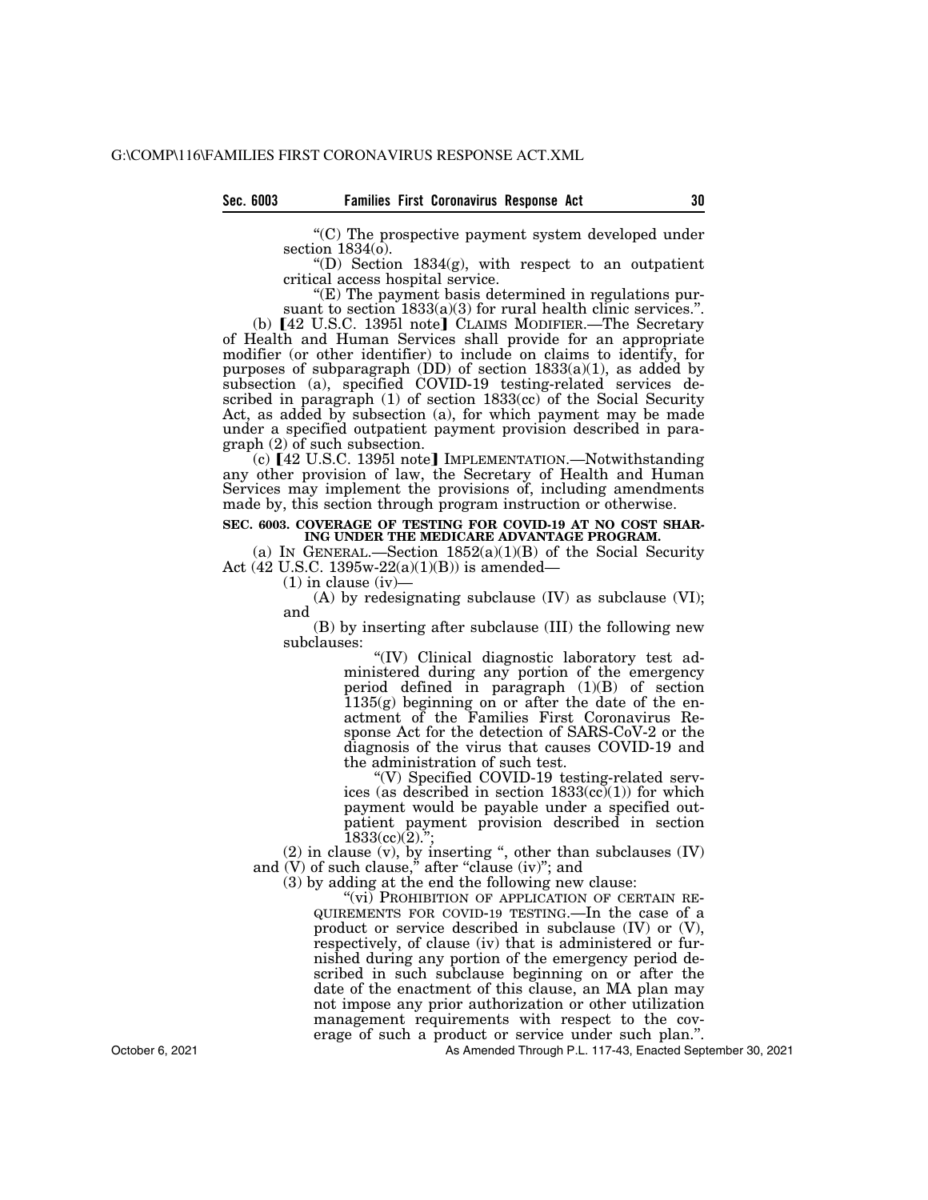''(C) The prospective payment system developed under section 1834(o).

"(D) Section  $1834(g)$ , with respect to an outpatient critical access hospital service.

 $E(E)$  The payment basis determined in regulations pursuant to section  $1833(a)(3)$  for rural health clinic services.".

(b) [42 U.S.C. 1395l note] CLAIMS MODIFIER.-The Secretary of Health and Human Services shall provide for an appropriate modifier (or other identifier) to include on claims to identify, for purposes of subparagraph (DD) of section  $1833(a)(1)$ , as added by subsection (a), specified COVID-19 testing-related services described in paragraph (1) of section 1833(cc) of the Social Security Act, as added by subsection (a), for which payment may be made under a specified outpatient payment provision described in paragraph (2) of such subsection.

(c)  $[42 \text{ U.S.C. } 1395 \text{]}$  note IMPLEMENTATION.—Notwithstanding any other provision of law, the Secretary of Health and Human Services may implement the provisions of, including amendments made by, this section through program instruction or otherwise.

#### **SEC. 6003. COVERAGE OF TESTING FOR COVID-19 AT NO COST SHAR-ING UNDER THE MEDICARE ADVANTAGE PROGRAM.**

(a) IN GENERAL.—Section  $1852(a)(1)(B)$  of the Social Security Act (42 U.S.C. 1395w-22(a)(1)(B)) is amended—

 $(1)$  in clause  $(iv)$ —

(A) by redesignating subclause (IV) as subclause (VI); and

(B) by inserting after subclause (III) the following new subclauses:

''(IV) Clinical diagnostic laboratory test administered during any portion of the emergency period defined in paragraph (1)(B) of section  $1135(g)$  beginning on or after the date of the enactment of the Families First Coronavirus Response Act for the detection of SARS-CoV-2 or the diagnosis of the virus that causes COVID-19 and the administration of such test.

''(V) Specified COVID-19 testing-related services (as described in section  $1833\text{(cc)}(1)$ ) for which payment would be payable under a specified outpatient payment provision described in section  $1833(\text{cc})(2)$ .";

 $(2)$  in clause  $(v)$ , by inserting ", other than subclauses  $(IV)$ and  $(V)$  of such clause," after "clause  $(iv)$ "; and

(3) by adding at the end the following new clause:

"(vi) PROHIBITION OF APPLICATION OF CERTAIN RE-QUIREMENTS FOR COVID-19 TESTING.—In the case of a product or service described in subclause (IV) or (V), respectively, of clause (iv) that is administered or furnished during any portion of the emergency period described in such subclause beginning on or after the date of the enactment of this clause, an MA plan may not impose any prior authorization or other utilization management requirements with respect to the coverage of such a product or service under such plan.''.

As Amended Through P.L. 117-43, Enacted September 30, 2021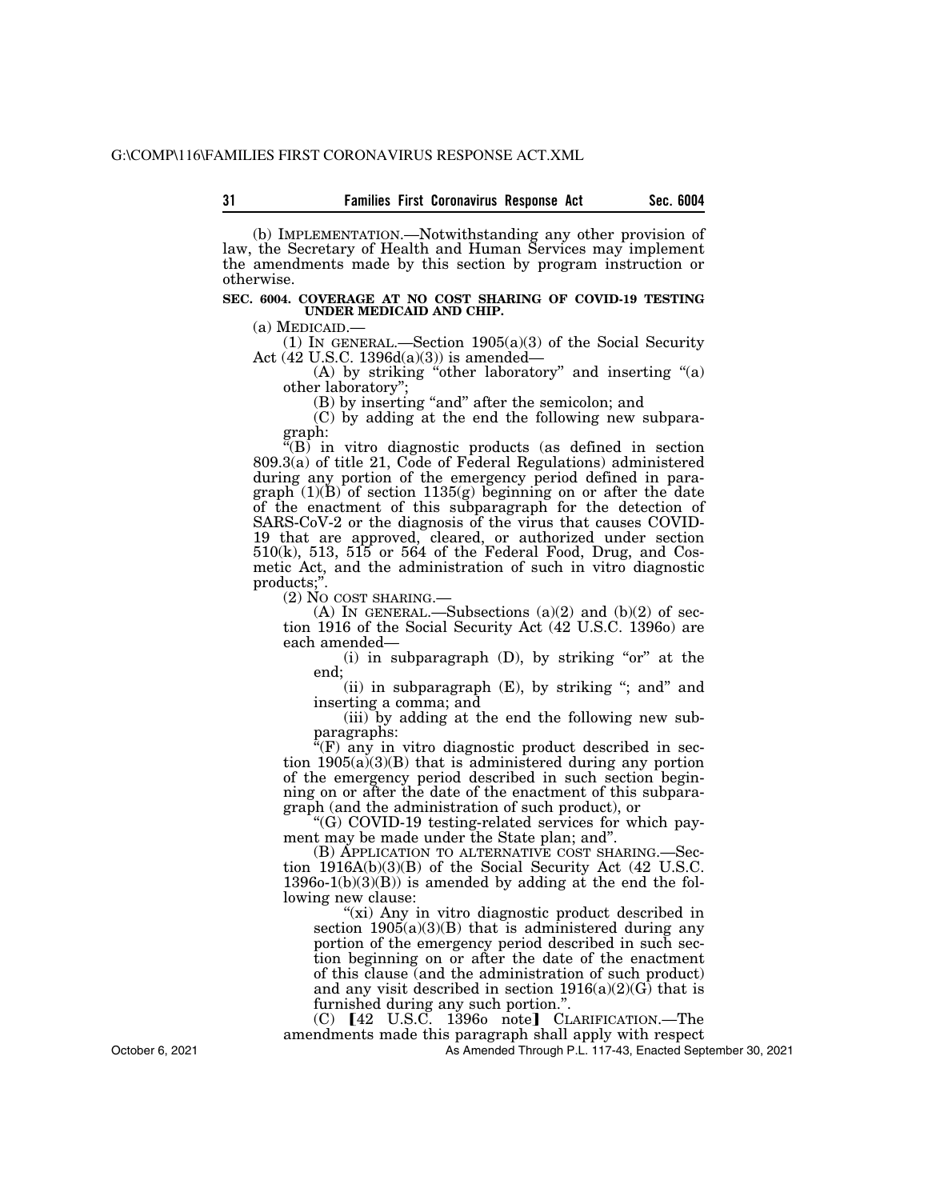(b) IMPLEMENTATION.—Notwithstanding any other provision of law, the Secretary of Health and Human Services may implement the amendments made by this section by program instruction or otherwise.

#### **SEC. 6004. COVERAGE AT NO COST SHARING OF COVID-19 TESTING UNDER MEDICAID AND CHIP.**

(a) MEDICAID.—<br>(1) IN GENERAL.—Section 1905(a)(3) of the Social Security Act (42 U.S.C. 1396d(a)(3)) is amended—

(A) by striking "other laboratory" and inserting "(a) other laboratory'';

(B) by inserting "and" after the semicolon; and

(C) by adding at the end the following new subparagraph:

 $\mathcal{L}(B)$  in vitro diagnostic products (as defined in section 809.3(a) of title 21, Code of Federal Regulations) administered during any portion of the emergency period defined in para $graph (1)(B)$  of section 1135(g) beginning on or after the date of the enactment of this subparagraph for the detection of SARS-CoV-2 or the diagnosis of the virus that causes COVID-19 that are approved, cleared, or authorized under section 510(k), 513, 515 or 564 of the Federal Food, Drug, and Cosmetic Act, and the administration of such in vitro diagnostic products;".<br>(2) No cost sharing.

(A) IN GENERAL.—Subsections (a)(2) and (b)(2) of section 1916 of the Social Security Act (42 U.S.C. 1396o) are each amended—

(i) in subparagraph  $(D)$ , by striking "or" at the end;

(ii) in subparagraph  $(E)$ , by striking "; and" and inserting a comma; and

(iii) by adding at the end the following new subparagraphs:

 $\mathbf{H}(\mathbf{F})$  any in vitro diagnostic product described in section  $1905(a)(3)(B)$  that is administered during any portion of the emergency period described in such section beginning on or after the date of the enactment of this subparagraph (and the administration of such product), or

''(G) COVID-19 testing-related services for which payment may be made under the State plan; and''.

(B) APPLICATION TO ALTERNATIVE COST SHARING.—Section 1916A(b)(3)(B) of the Social Security Act (42 U.S.C.  $13960-1(b)(3)(B)$  is amended by adding at the end the following new clause:

"(xi) Any in vitro diagnostic product described in section  $1905(a)(3)(B)$  that is administered during any portion of the emergency period described in such section beginning on or after the date of the enactment of this clause (and the administration of such product) and any visit described in section  $1916(a)(2)(G)$  that is furnished during any such portion.''.

 $(C)$   $[42 \text{ U.S.}\overline{C}$ . 1396<sub>0</sub> note<sup>1</sup> CLARIFICATION.—The amendments made this paragraph shall apply with respect

As Amended Through P.L. 117-43, Enacted September 30, 2021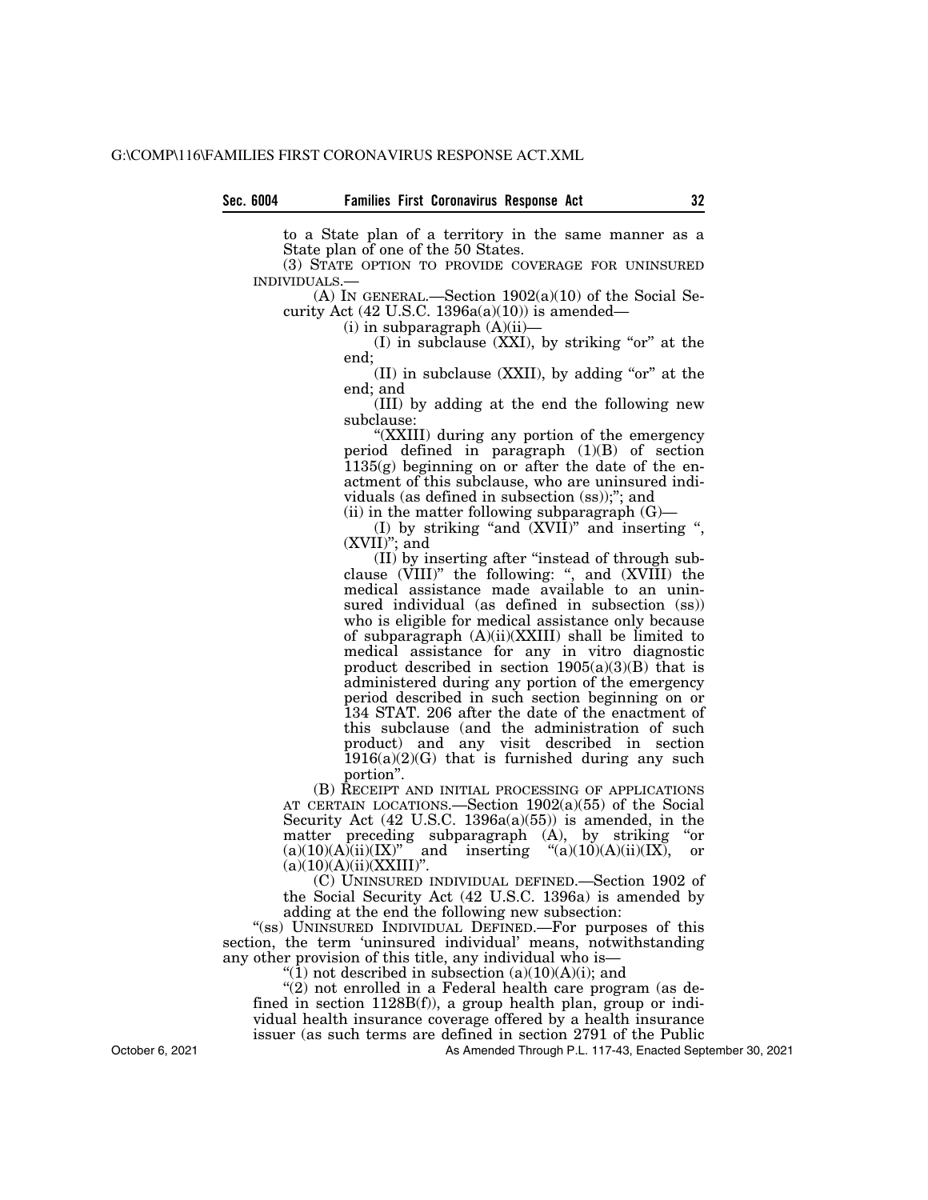**Sec. 6004 Families First Coronavirus Response Act 32** 

to a State plan of a territory in the same manner as a State plan of one of the 50 States.

(3) STATE OPTION TO PROVIDE COVERAGE FOR UNINSURED INDIVIDUALS.—

(A) IN GENERAL.—Section  $1902(a)(10)$  of the Social Security Act  $(42 \text{ U.S.C. } 1396a(a)(10))$  is amended—

 $(i)$  in subparagraph  $(A)(ii)$ —

 $(I)$  in subclause  $(XXI)$ , by striking "or" at the end;

 $(II)$  in subclause  $(XXII)$ , by adding "or" at the end; and

(III) by adding at the end the following new subclause:

''(XXIII) during any portion of the emergency period defined in paragraph (1)(B) of section 1135(g) beginning on or after the date of the enactment of this subclause, who are uninsured individuals (as defined in subsection (ss));''; and

 $(ii)$  in the matter following subparagraph  $(G)$ -

(I) by striking "and  $(XVII)$ " and inserting ", (XVII)''; and

(II) by inserting after ''instead of through subclause  $(VIII)$ " the following: ", and  $(XVIII)$  the medical assistance made available to an uninsured individual (as defined in subsection (ss)) who is eligible for medical assistance only because of subparagraph (A)(ii)(XXIII) shall be limited to medical assistance for any in vitro diagnostic product described in section  $1905(a)(3)(B)$  that is administered during any portion of the emergency period described in such section beginning on or 134 STAT. 206 after the date of the enactment of this subclause (and the administration of such product) and any visit described in section  $1916(a)(2)(G)$  that is furnished during any such portion''.

(B) RECEIPT AND INITIAL PROCESSING OF APPLICATIONS AT CERTAIN LOCATIONS.—Section 1902(a)(55) of the Social Security Act  $(42 \text{ U.S.C. } 1396a(a)(55))$  is amended, in the matter preceding subparagraph (A), by striking "or  $(a)(10)(A)(ii)(IX)$ " and inserting " $(a)(10)(A)(ii)(IX)$ , or and inserting " $(a)(10)(A)(ii)(IX)$ , or  $(a)(10)(A)(ii)(XXIII)$ ".

(C) UNINSURED INDIVIDUAL DEFINED.—Section 1902 of the Social Security Act (42 U.S.C. 1396a) is amended by adding at the end the following new subsection:

"(ss) UNINSURED INDIVIDUAL DEFINED.—For purposes of this section, the term 'uninsured individual' means, notwithstanding any other provision of this title, any individual who is—

" $(1)$  not described in subsection  $(a)(10)(A)(i)$ ; and

 $(2)$  not enrolled in a Federal health care program (as defined in section 1128B(f)), a group health plan, group or individual health insurance coverage offered by a health insurance issuer (as such terms are defined in section 2791 of the Public

As Amended Through P.L. 117-43, Enacted September 30, 2021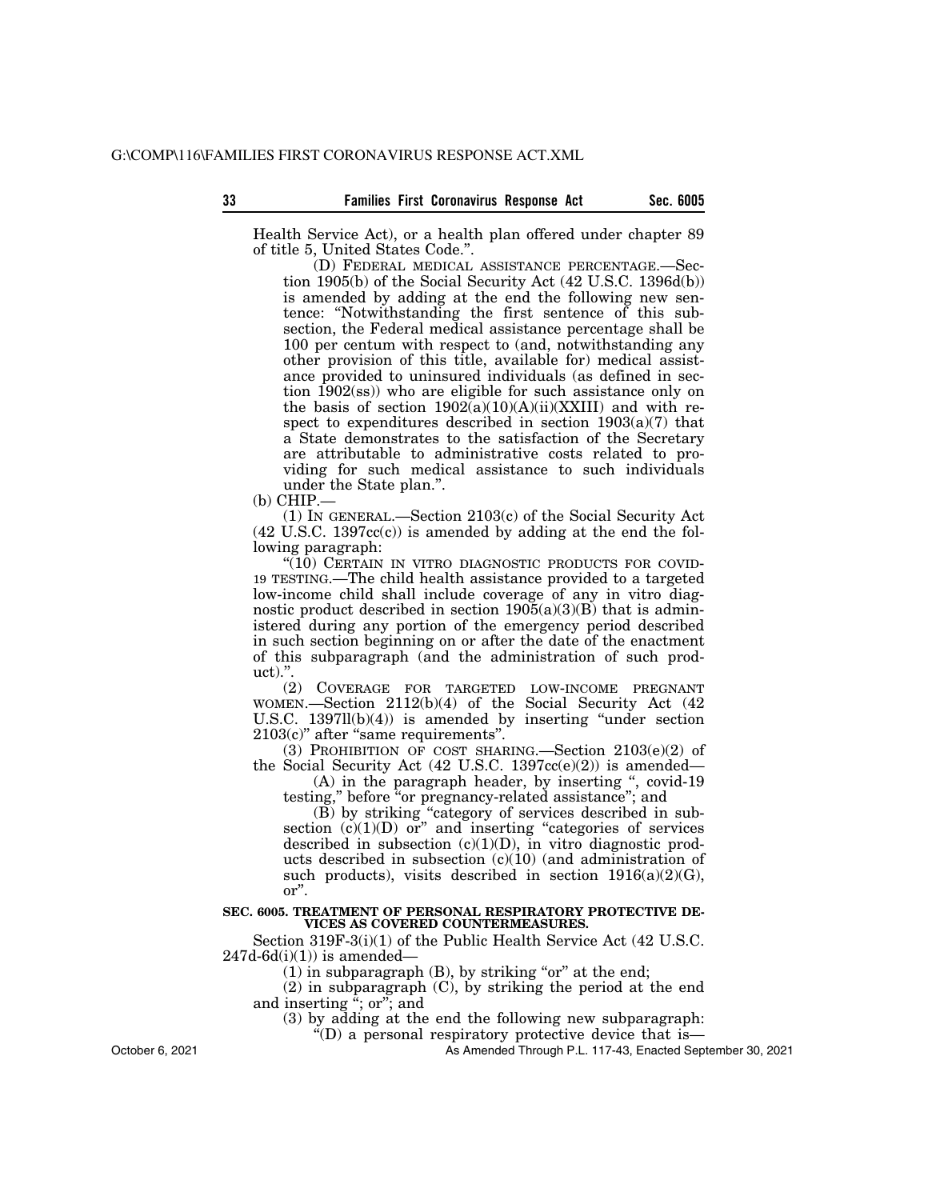Health Service Act), or a health plan offered under chapter 89 of title 5, United States Code.''.

(D) FEDERAL MEDICAL ASSISTANCE PERCENTAGE.—Section 1905(b) of the Social Security Act (42 U.S.C. 1396d(b)) is amended by adding at the end the following new sentence: ''Notwithstanding the first sentence of this subsection, the Federal medical assistance percentage shall be 100 per centum with respect to (and, notwithstanding any other provision of this title, available for) medical assistance provided to uninsured individuals (as defined in section 1902(ss)) who are eligible for such assistance only on the basis of section  $1902(a)(10)(A)(ii)(XXIII)$  and with respect to expenditures described in section 1903(a)(7) that a State demonstrates to the satisfaction of the Secretary are attributable to administrative costs related to providing for such medical assistance to such individuals under the State plan.''.

(b) CHIP.—

(1) IN GENERAL.—Section 2103(c) of the Social Security Act  $(42 \text{ U.S.C. } 1397 \text{cc}(c))$  is amended by adding at the end the following paragraph:

"(10) CERTAIN IN VITRO DIAGNOSTIC PRODUCTS FOR COVID-19 TESTING.—The child health assistance provided to a targeted low-income child shall include coverage of any in vitro diagnostic product described in section  $1905(a)(3)(B)$  that is administered during any portion of the emergency period described in such section beginning on or after the date of the enactment of this subparagraph (and the administration of such product).''.

(2) COVERAGE FOR TARGETED LOW-INCOME PREGNANT WOMEN.—Section 2112(b)(4) of the Social Security Act (42 U.S.C. 1397ll(b)(4)) is amended by inserting ''under section 2103(c)'' after ''same requirements''.

(3) PROHIBITION OF COST SHARING.—Section 2103(e)(2) of the Social Security Act (42 U.S.C. 1397cc(e)(2)) is amended—

(A) in the paragraph header, by inserting ", covid-19 testing," before "or pregnancy-related assistance"; and

(B) by striking ''category of services described in subsection  $(c)(1)(D)$  or" and inserting "categories of services" described in subsection  $(c)(1)(D)$ , in vitro diagnostic products described in subsection (c)(10) (and administration of such products), visits described in section  $1916(a)(2)(G)$ , or''.

#### **SEC. 6005. TREATMENT OF PERSONAL RESPIRATORY PROTECTIVE DE-VICES AS COVERED COUNTERMEASURES.**

Section 319F-3(i)(1) of the Public Health Service Act (42 U.S.C.  $247d-6d(i)(1)$ ) is amended-

 $(1)$  in subparagraph  $(B)$ , by striking "or" at the end;

(2) in subparagraph (C), by striking the period at the end and inserting  $\ddot{a}$ ; or  $\ddot{b}$ ; and

(3) by adding at the end the following new subparagraph:

''(D) a personal respiratory protective device that is—

As Amended Through P.L. 117-43, Enacted September 30, 2021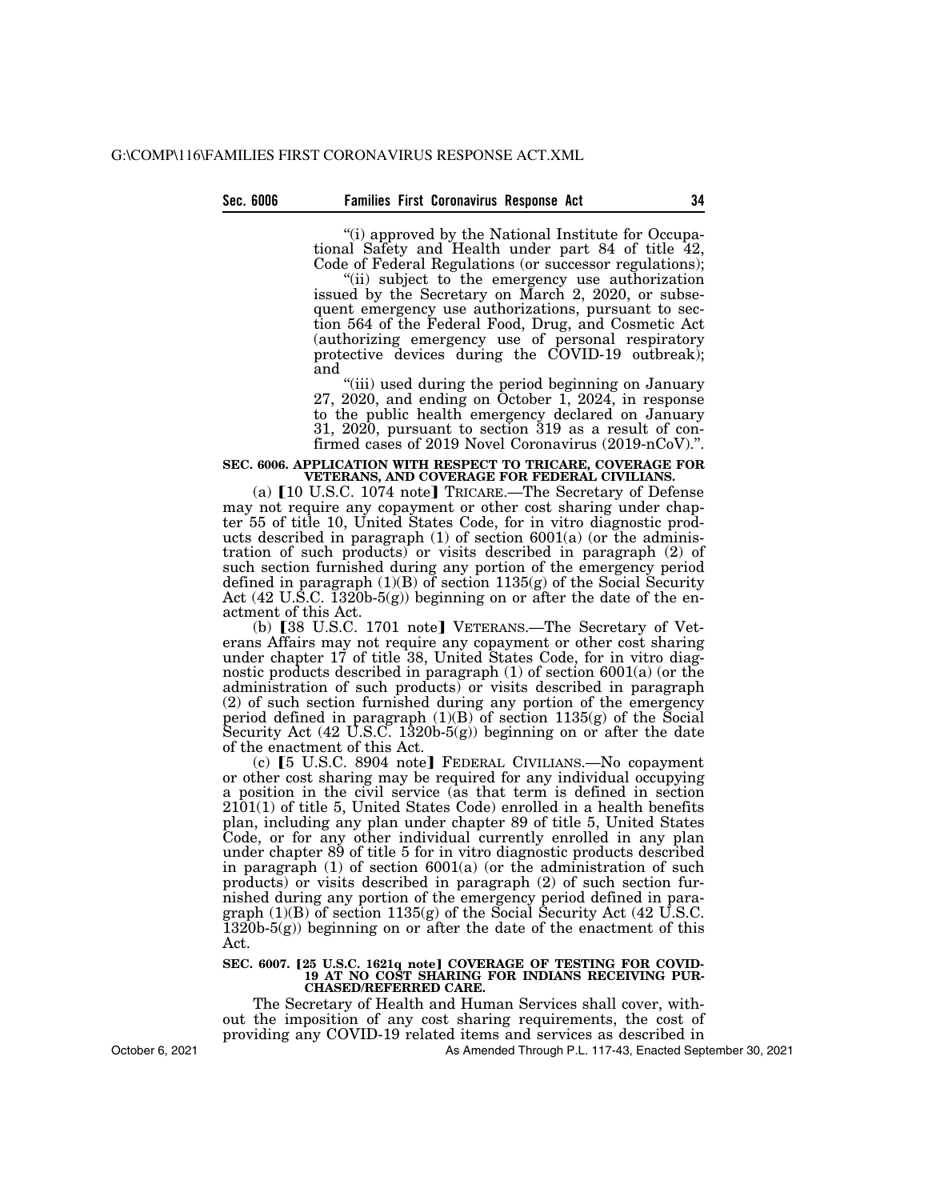''(i) approved by the National Institute for Occupational Safety and Health under part 84 of title 42, Code of Federal Regulations (or successor regulations);

"(ii) subject to the emergency use authorization issued by the Secretary on March 2, 2020, or subsequent emergency use authorizations, pursuant to section 564 of the Federal Food, Drug, and Cosmetic Act (authorizing emergency use of personal respiratory protective devices during the COVID-19 outbreak); and

''(iii) used during the period beginning on January 27, 2020, and ending on October 1, 2024, in response to the public health emergency declared on January 31, 2020, pursuant to section 319 as a result of confirmed cases of 2019 Novel Coronavirus (2019-nCoV).''.

## **SEC. 6006. APPLICATION WITH RESPECT TO TRICARE, COVERAGE FOR VETERANS, AND COVERAGE FOR FEDERAL CIVILIANS.**

(a) [10 U.S.C. 1074 note] TRICARE.—The Secretary of Defense may not require any copayment or other cost sharing under chapter 55 of title 10, United States Code, for in vitro diagnostic products described in paragraph  $(1)$  of section 6001 $(a)$  (or the administration of such products) or visits described in paragraph (2) of such section furnished during any portion of the emergency period defined in paragraph (1)(B) of section 1135(g) of the Social Security Act (42 U.S.C. 1320b-5(g)) beginning on or after the date of the enactment of this Act.

(b)  $[38 \text{ U.S.C. } 1701 \text{ note}]$  VETERANS.—The Secretary of Veterans Affairs may not require any copayment or other cost sharing under chapter 17 of title 38, United States Code, for in vitro diagnostic products described in paragraph (1) of section 6001(a) (or the administration of such products) or visits described in paragraph (2) of such section furnished during any portion of the emergency period defined in paragraph  $(1)(B)$  of section  $1135(g)$  of the Social Security Act  $(42 \text{ U.S.C. } 1320b-5(g))$  beginning on or after the date of the enactment of this Act.

(c)  $\lceil 5 \text{ U.S.C. } 8904 \text{ note} \rceil$  FEDERAL CIVILIANS.—No copayment or other cost sharing may be required for any individual occupying a position in the civil service (as that term is defined in section 2101(1) of title 5, United States Code) enrolled in a health benefits plan, including any plan under chapter 89 of title 5, United States Code, or for any other individual currently enrolled in any plan under chapter 89 of title 5 for in vitro diagnostic products described in paragraph (1) of section 6001(a) (or the administration of such products) or visits described in paragraph (2) of such section furnished during any portion of the emergency period defined in paragraph  $(1)(B)$  of section  $1135(g)$  of the Social Security Act  $(42 \text{ U.S.C.})$  $1320b-5(g)$  beginning on or after the date of the enactment of this Act.

#### SEC. 6007. [25 U.S.C. 1621q note] COVERAGE OF TESTING FOR COVID-**19 AT NO COST SHARING FOR INDIANS RECEIVING PUR-CHASED/REFERRED CARE.**

The Secretary of Health and Human Services shall cover, without the imposition of any cost sharing requirements, the cost of providing any COVID-19 related items and services as described in

As Amended Through P.L. 117-43, Enacted September 30, 2021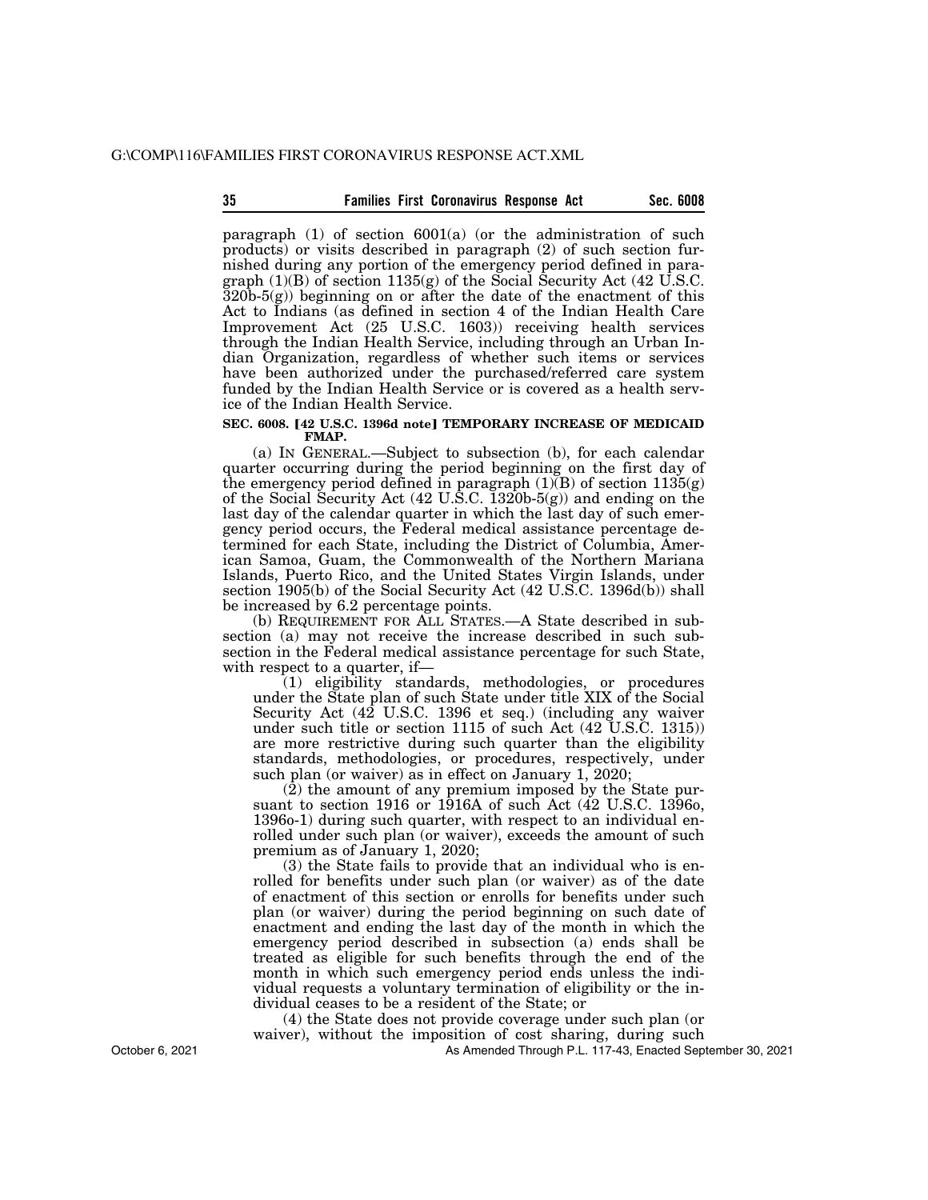#### **35 Sec. 6008 Families First Coronavirus Response Act**

paragraph (1) of section 6001(a) (or the administration of such products) or visits described in paragraph (2) of such section furnished during any portion of the emergency period defined in paragraph (1)(B) of section 1135(g) of the Social Security Act (42 U.S.C.  $320b-5(g)$ ) beginning on or after the date of the enactment of this Act to Indians (as defined in section 4 of the Indian Health Care Improvement Act (25 U.S.C. 1603)) receiving health services through the Indian Health Service, including through an Urban Indian Organization, regardless of whether such items or services have been authorized under the purchased/referred care system funded by the Indian Health Service or is covered as a health service of the Indian Health Service.

#### **SEC. 6008. [42 U.S.C. 1396d note] TEMPORARY INCREASE OF MEDICAID FMAP.**

(a) IN GENERAL.—Subject to subsection (b), for each calendar quarter occurring during the period beginning on the first day of the emergency period defined in paragraph  $(1)(B)$  of section  $1135(g)$ of the Social Security Act (42 U.S.C. 1320b-5(g)) and ending on the last day of the calendar quarter in which the last day of such emergency period occurs, the Federal medical assistance percentage determined for each State, including the District of Columbia, American Samoa, Guam, the Commonwealth of the Northern Mariana Islands, Puerto Rico, and the United States Virgin Islands, under section 1905(b) of the Social Security Act (42 U.S.C. 1396d(b)) shall be increased by 6.2 percentage points.

(b) REQUIREMENT FOR ALL STATES.—A State described in subsection (a) may not receive the increase described in such subsection in the Federal medical assistance percentage for such State, with respect to a quarter, if—

(1) eligibility standards, methodologies, or procedures under the State plan of such State under title XIX of the Social Security Act (42 U.S.C. 1396 et seq.) (including any waiver under such title or section 1115 of such Act (42 U.S.C. 1315)) are more restrictive during such quarter than the eligibility standards, methodologies, or procedures, respectively, under such plan (or waiver) as in effect on January 1, 2020;

 $(2)$  the amount of any premium imposed by the State pursuant to section 1916 or 1916A of such Act (42 U.S.C. 1396o, 1396o-1) during such quarter, with respect to an individual enrolled under such plan (or waiver), exceeds the amount of such premium as of January 1, 2020;

(3) the State fails to provide that an individual who is enrolled for benefits under such plan (or waiver) as of the date of enactment of this section or enrolls for benefits under such plan (or waiver) during the period beginning on such date of enactment and ending the last day of the month in which the emergency period described in subsection (a) ends shall be treated as eligible for such benefits through the end of the month in which such emergency period ends unless the individual requests a voluntary termination of eligibility or the individual ceases to be a resident of the State; or

(4) the State does not provide coverage under such plan (or waiver), without the imposition of cost sharing, during such

As Amended Through P.L. 117-43, Enacted September 30, 2021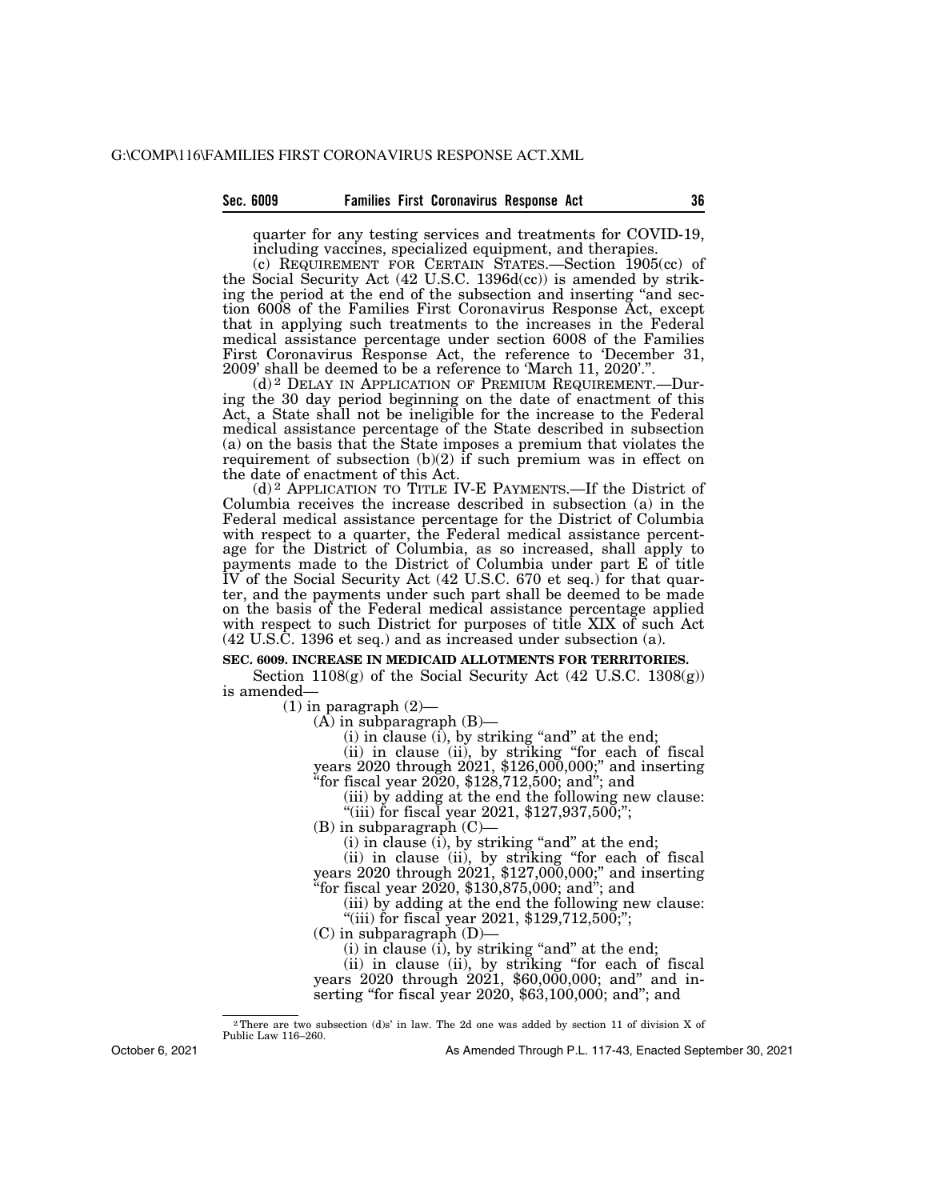#### **Sec. 6009 Families First Coronavirus Response Act 36**

quarter for any testing services and treatments for COVID-19, including vaccines, specialized equipment, and therapies.

(c) REQUIREMENT FOR CERTAIN STATES.—Section 1905(cc) of the Social Security Act (42 U.S.C. 1396d(cc)) is amended by striking the period at the end of the subsection and inserting "and section 6008 of the Families First Coronavirus Response Act, except that in applying such treatments to the increases in the Federal medical assistance percentage under section 6008 of the Families First Coronavirus Response Act, the reference to 'December 31, 2009' shall be deemed to be a reference to 'March 11, 2020'.''.

(d) 2 DELAY IN APPLICATION OF PREMIUM REQUIREMENT.—During the 30 day period beginning on the date of enactment of this Act, a State shall not be ineligible for the increase to the Federal medical assistance percentage of the State described in subsection (a) on the basis that the State imposes a premium that violates the requirement of subsection  $(b)(2)$  if such premium was in effect on the date of enactment of this Act.

(d) 2 APPLICATION TO TITLE IV-E PAYMENTS.—If the District of Columbia receives the increase described in subsection (a) in the Federal medical assistance percentage for the District of Columbia with respect to a quarter, the Federal medical assistance percentage for the District of Columbia, as so increased, shall apply to payments made to the District of Columbia under part E of title IV of the Social Security Act (42 U.S.C. 670 et seq.) for that quarter, and the payments under such part shall be deemed to be made on the basis of the Federal medical assistance percentage applied with respect to such District for purposes of title XIX of such Act (42 U.S.C. 1396 et seq.) and as increased under subsection (a).

#### **SEC. 6009. INCREASE IN MEDICAID ALLOTMENTS FOR TERRITORIES.**

Section  $1108(g)$  of the Social Security Act (42 U.S.C. 1308 $(g)$ ) is amended—

 $(1)$  in paragraph  $(2)$ —

 $(A)$  in subparagraph  $(B)$ —

(i) in clause (i), by striking "and" at the end;

(ii) in clause (ii), by striking ''for each of fiscal years 2020 through 2021, \$126,000,000;'' and inserting ''for fiscal year 2020, \$128,712,500; and''; and

(iii) by adding at the end the following new clause:

"(iii) for fiscal year 2021,  $$127,937,500$ ;";

 $(B)$  in subparagraph  $(C)$ —

 $(i)$  in clause  $(i)$ , by striking "and" at the end;

(ii) in clause (ii), by striking ''for each of fiscal years 2020 through 2021, \$127,000,000;'' and inserting ''for fiscal year 2020, \$130,875,000; and''; and

(iii) by adding at the end the following new clause:

"(iii) for fiscal year 2021,  $$129,712,500$ ;";

(C) in subparagraph (D)—

(i) in clause (i), by striking "and" at the end;

(ii) in clause (ii), by striking ''for each of fiscal years  $2020$  through  $2021$ , \$60,000,000; and" and inserting "for fiscal year 2020, \$63,100,000; and"; and

2There are two subsection (d)s' in law. The 2d one was added by section 11 of division X of Public Law 116–260.

October 6, 2021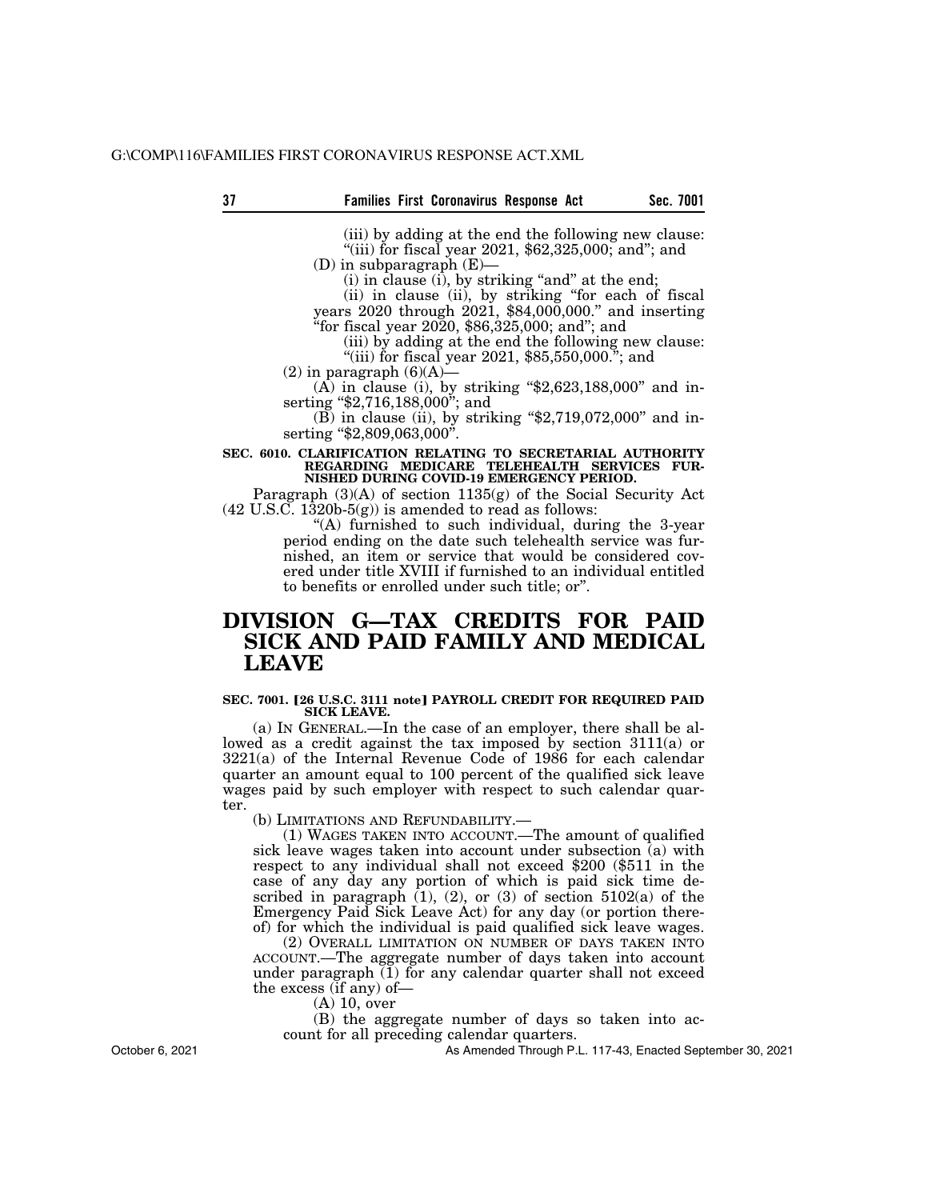(iii) by adding at the end the following new clause: "(iii) for fiscal year 2021,  $$62,325,000$ ; and"; and

(D) in subparagraph (E)—

 $(i)$  in clause  $(i)$ , by striking "and" at the end;

(ii) in clause (ii), by striking ''for each of fiscal years 2020 through 2021, \$84,000,000.'' and inserting ''for fiscal year 2020, \$86,325,000; and''; and

(iii) by adding at the end the following new clause: "(iii) for fiscal year 2021,  $$85,550,000$ ."; and

 $(2)$  in paragraph  $(6)(A)$ —  $(A)$  in clause (i), by striking "\$2,623,188,000" and in-

serting "\$2,716,188,000"; and

 $(B)$  in clause (ii), by striking "\$2,719,072,000" and inserting "\$2,809,063,000".

#### **SEC. 6010. CLARIFICATION RELATING TO SECRETARIAL AUTHORITY REGARDING MEDICARE TELEHEALTH SERVICES FUR-NISHED DURING COVID-19 EMERGENCY PERIOD.**

Paragraph (3)(A) of section 1135(g) of the Social Security Act  $(42 \text{ U.S. C. } 1\overline{3}20b-5(g))$  is amended to read as follows:

> "(A) furnished to such individual, during the 3-year period ending on the date such telehealth service was furnished, an item or service that would be considered covered under title XVIII if furnished to an individual entitled to benefits or enrolled under such title; or''.

### **DIVISION G—TAX CREDITS FOR PAID SICK AND PAID FAMILY AND MEDICAL LEAVE**

#### **SEC. 7001. [26 U.S.C. 3111 note] PAYROLL CREDIT FOR REQUIRED PAID SICK LEAVE.**

(a) IN GENERAL.—In the case of an employer, there shall be allowed as a credit against the tax imposed by section 3111(a) or 3221(a) of the Internal Revenue Code of 1986 for each calendar quarter an amount equal to 100 percent of the qualified sick leave wages paid by such employer with respect to such calendar quarter.

(b) LIMITATIONS AND REFUNDABILITY.—

(1) WAGES TAKEN INTO ACCOUNT.—The amount of qualified sick leave wages taken into account under subsection  $\overline{a}$  with respect to any individual shall not exceed \$200 (\$511 in the case of any day any portion of which is paid sick time described in paragraph  $(1)$ ,  $(2)$ , or  $(3)$  of section  $5102(a)$  of the Emergency Paid Sick Leave Act) for any day (or portion thereof) for which the individual is paid qualified sick leave wages.

(2) OVERALL LIMITATION ON NUMBER OF DAYS TAKEN INTO ACCOUNT.—The aggregate number of days taken into account under paragraph  $(1)$  for any calendar quarter shall not exceed the excess (if any) of—

(A) 10, over

(B) the aggregate number of days so taken into account for all preceding calendar quarters.

As Amended Through P.L. 117-43, Enacted September 30, 2021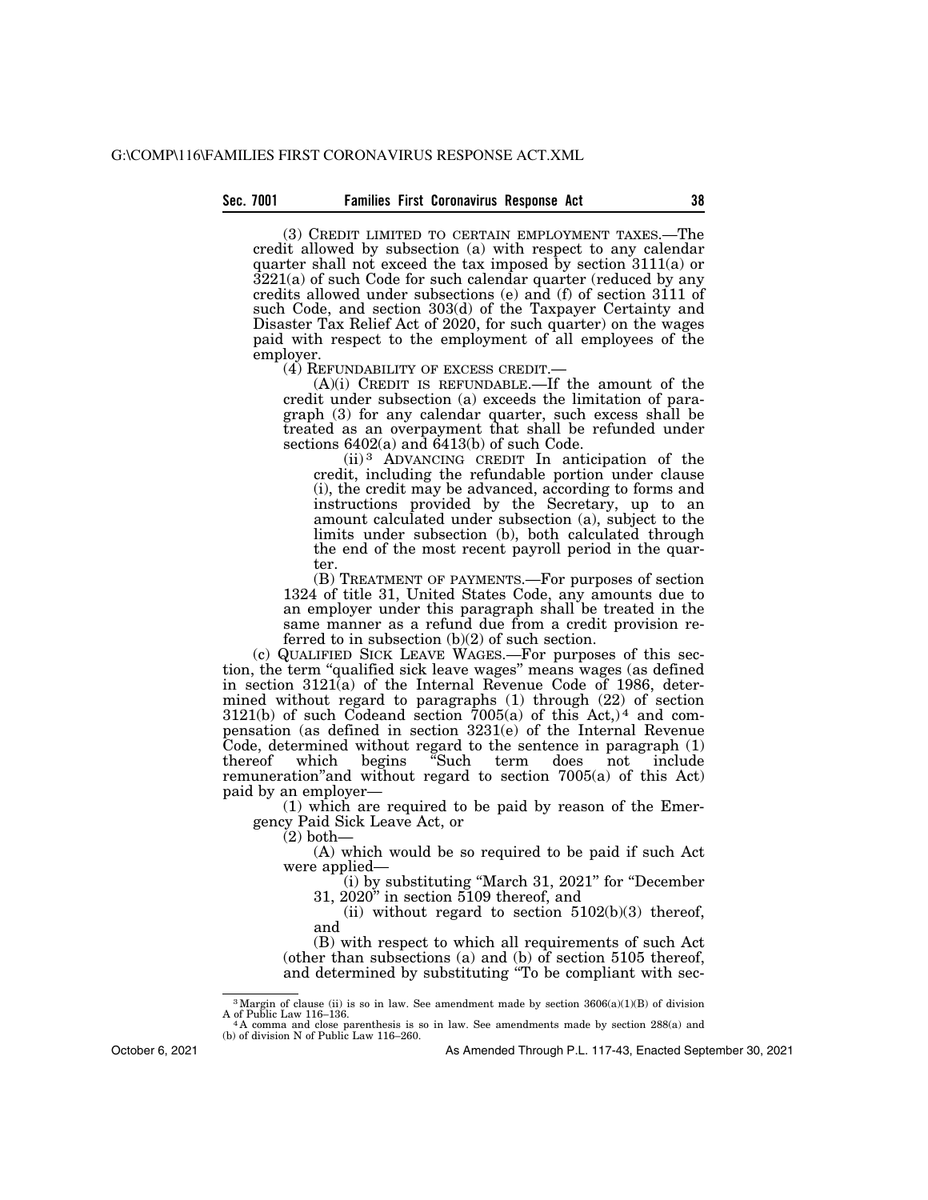#### **Sec. 7001 Families First Coronavirus Response Act 38**

(3) CREDIT LIMITED TO CERTAIN EMPLOYMENT TAXES.—The credit allowed by subsection (a) with respect to any calendar quarter shall not exceed the tax imposed by section 3111(a) or 3221(a) of such Code for such calendar quarter (reduced by any credits allowed under subsections (e) and (f) of section 3111 of such Code, and section 303(d) of the Taxpayer Certainty and Disaster Tax Relief Act of 2020, for such quarter) on the wages paid with respect to the employment of all employees of the employer.<br>(4) REFUNDABILITY OF EXCESS CREDIT.-

 $(A)(i)$  CREDIT IS REFUNDABLE.—If the amount of the credit under subsection (a) exceeds the limitation of paragraph (3) for any calendar quarter, such excess shall be treated as an overpayment that shall be refunded under sections  $6402(a)$  and  $6413(b)$  of such Code.

(ii) 3 ADVANCING CREDIT In anticipation of the credit, including the refundable portion under clause (i), the credit may be advanced, according to forms and instructions provided by the Secretary, up to an amount calculated under subsection (a), subject to the limits under subsection (b), both calculated through the end of the most recent payroll period in the quarter.

(B) TREATMENT OF PAYMENTS.—For purposes of section 1324 of title 31, United States Code, any amounts due to an employer under this paragraph shall be treated in the same manner as a refund due from a credit provision referred to in subsection  $(b)(2)$  of such section.

(c) QUALIFIED SICK LEAVE WAGES.—For purposes of this section, the term ''qualified sick leave wages'' means wages (as defined in section 3121(a) of the Internal Revenue Code of 1986, determined without regard to paragraphs  $(1)$  through  $(22)$  of section  $3121(b)$  of such Codeand section  $7005(a)$  of this Act,)<sup>4</sup> and compensation (as defined in section 3231(e) of the Internal Revenue Code, determined without regard to the sentence in paragraph (1) thereof which begins ''Such term does not include remuneration''and without regard to section 7005(a) of this Act) paid by an employer—

(1) which are required to be paid by reason of the Emergency Paid Sick Leave Act, or

 $(2)$  both-

(A) which would be so required to be paid if such Act were applied—

(i) by substituting ''March 31, 2021'' for ''December 31, 2020'' in section 5109 thereof, and

(ii) without regard to section  $5102(b)(3)$  thereof, and

(B) with respect to which all requirements of such Act (other than subsections (a) and (b) of section 5105 thereof, and determined by substituting ''To be compliant with sec-

<sup>&</sup>lt;sup>3</sup> Margin of clause (ii) is so in law. See amendment made by section  $3606(a)(1)(B)$  of division A of Public Law 116–136.

A of Public Law 116–136.<br>"A comma and close parenthesis is so in law. See amendments made by section 288(a) and<br>(b) of division N of Public Law 116–260.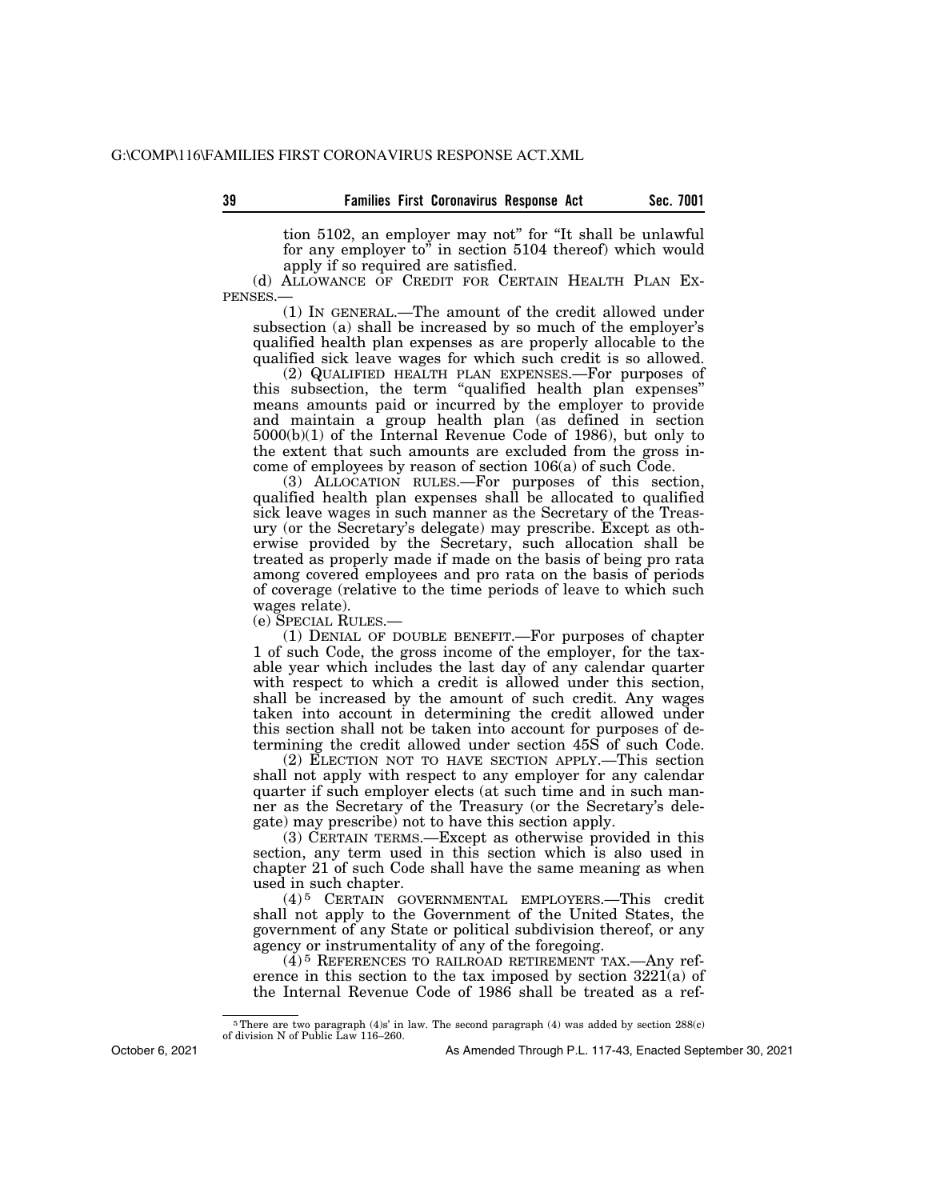tion 5102, an employer may not'' for ''It shall be unlawful for any employer to'' in section 5104 thereof) which would apply if so required are satisfied.

(d) ALLOWANCE OF CREDIT FOR CERTAIN HEALTH PLAN EX-PENSES.—

(1) IN GENERAL.—The amount of the credit allowed under subsection (a) shall be increased by so much of the employer's qualified health plan expenses as are properly allocable to the qualified sick leave wages for which such credit is so allowed.

(2) QUALIFIED HEALTH PLAN EXPENSES.—For purposes of this subsection, the term ''qualified health plan expenses'' means amounts paid or incurred by the employer to provide and maintain a group health plan (as defined in section 5000(b)(1) of the Internal Revenue Code of 1986), but only to the extent that such amounts are excluded from the gross income of employees by reason of section 106(a) of such Code.

(3) ALLOCATION RULES.—For purposes of this section, qualified health plan expenses shall be allocated to qualified sick leave wages in such manner as the Secretary of the Treasury (or the Secretary's delegate) may prescribe. Except as otherwise provided by the Secretary, such allocation shall be treated as properly made if made on the basis of being pro rata among covered employees and pro rata on the basis of periods of coverage (relative to the time periods of leave to which such wages relate).

(e) SPECIAL RULES.—

(1) DENIAL OF DOUBLE BENEFIT.—For purposes of chapter 1 of such Code, the gross income of the employer, for the taxable year which includes the last day of any calendar quarter with respect to which a credit is allowed under this section, shall be increased by the amount of such credit. Any wages taken into account in determining the credit allowed under this section shall not be taken into account for purposes of determining the credit allowed under section 45S of such Code.

(2) ELECTION NOT TO HAVE SECTION APPLY.—This section shall not apply with respect to any employer for any calendar quarter if such employer elects (at such time and in such manner as the Secretary of the Treasury (or the Secretary's delegate) may prescribe) not to have this section apply.

(3) CERTAIN TERMS.—Except as otherwise provided in this section, any term used in this section which is also used in chapter 21 of such Code shall have the same meaning as when used in such chapter.

(4) 5 CERTAIN GOVERNMENTAL EMPLOYERS.—This credit shall not apply to the Government of the United States, the government of any State or political subdivision thereof, or any agency or instrumentality of any of the foregoing.

(4) 5 REFERENCES TO RAILROAD RETIREMENT TAX.—Any reference in this section to the tax imposed by section 3221(a) of the Internal Revenue Code of 1986 shall be treated as a ref-

October 6, 2021

<sup>&</sup>lt;sup>5</sup>There are two paragraph  $(4)$ s' in law. The second paragraph  $(4)$  was added by section 288(c) of division N of Public Law 116–260.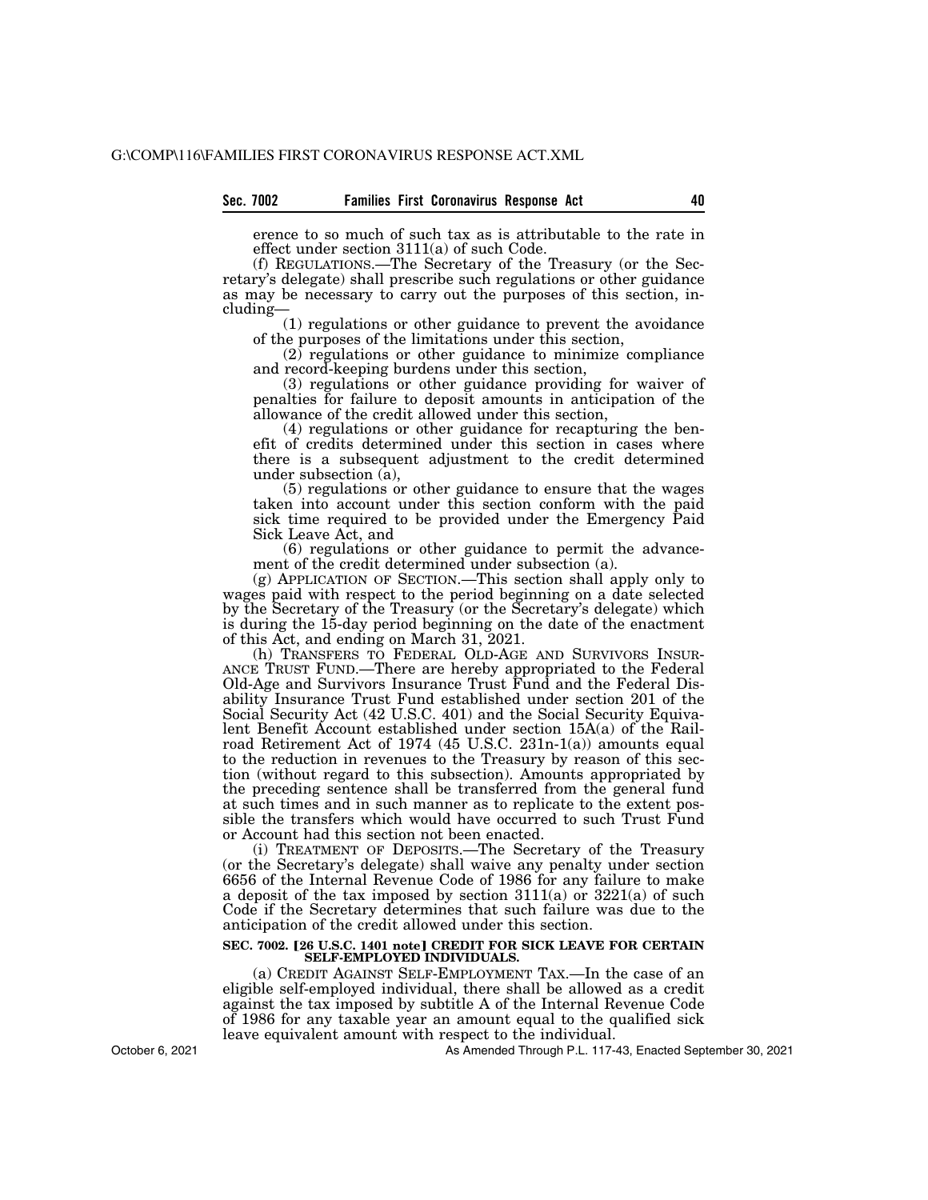erence to so much of such tax as is attributable to the rate in effect under section 3111(a) of such Code.

(f) REGULATIONS.—The Secretary of the Treasury (or the Secretary's delegate) shall prescribe such regulations or other guidance as may be necessary to carry out the purposes of this section, including—

(1) regulations or other guidance to prevent the avoidance of the purposes of the limitations under this section,

(2) regulations or other guidance to minimize compliance and record-keeping burdens under this section,

(3) regulations or other guidance providing for waiver of penalties for failure to deposit amounts in anticipation of the allowance of the credit allowed under this section,

(4) regulations or other guidance for recapturing the benefit of credits determined under this section in cases where there is a subsequent adjustment to the credit determined under subsection (a),

(5) regulations or other guidance to ensure that the wages taken into account under this section conform with the paid sick time required to be provided under the Emergency Paid Sick Leave Act, and

(6) regulations or other guidance to permit the advancement of the credit determined under subsection (a).

(g) APPLICATION OF SECTION.—This section shall apply only to wages paid with respect to the period beginning on a date selected by the Secretary of the Treasury (or the Secretary's delegate) which is during the 15-day period beginning on the date of the enactment of this Act, and ending on March 31, 2021.

(h) TRANSFERS TO FEDERAL OLD-AGE AND SURVIVORS INSUR- ANCE TRUST FUND.—There are hereby appropriated to the Federal Old-Age and Survivors Insurance Trust Fund and the Federal Disability Insurance Trust Fund established under section 201 of the Social Security Act (42 U.S.C. 401) and the Social Security Equivalent Benefit Account established under section 15A(a) of the Railroad Retirement Act of 1974 (45 U.S.C. 231n-1(a)) amounts equal to the reduction in revenues to the Treasury by reason of this section (without regard to this subsection). Amounts appropriated by the preceding sentence shall be transferred from the general fund at such times and in such manner as to replicate to the extent possible the transfers which would have occurred to such Trust Fund or Account had this section not been enacted.

(i) TREATMENT OF DEPOSITS.—The Secretary of the Treasury (or the Secretary's delegate) shall waive any penalty under section 6656 of the Internal Revenue Code of 1986 for any failure to make a deposit of the tax imposed by section 3111(a) or 3221(a) of such Code if the Secretary determines that such failure was due to the anticipation of the credit allowed under this section.

#### **SEC. 7002. [26 U.S.C. 1401 note] CREDIT FOR SICK LEAVE FOR CERTAIN SELF-EMPLOYED INDIVIDUALS.**

(a) CREDIT AGAINST SELF-EMPLOYMENT TAX.—In the case of an eligible self-employed individual, there shall be allowed as a credit against the tax imposed by subtitle A of the Internal Revenue Code of 1986 for any taxable year an amount equal to the qualified sick leave equivalent amount with respect to the individual.

As Amended Through P.L. 117-43, Enacted September 30, 2021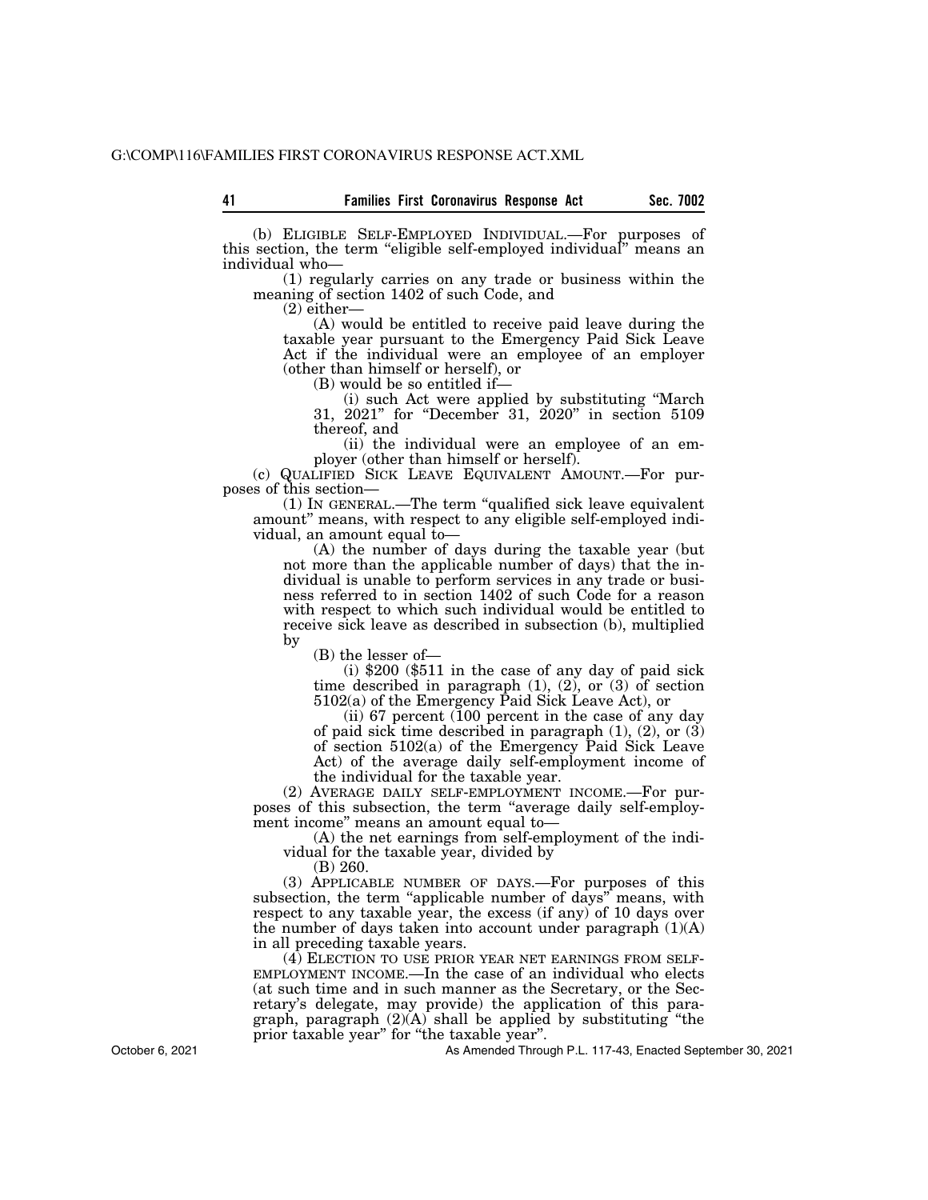(b) ELIGIBLE SELF-EMPLOYED INDIVIDUAL.—For purposes of this section, the term ''eligible self-employed individual'' means an individual who—

(1) regularly carries on any trade or business within the meaning of section 1402 of such Code, and

(2) either—

(A) would be entitled to receive paid leave during the taxable year pursuant to the Emergency Paid Sick Leave Act if the individual were an employee of an employer (other than himself or herself), or

(B) would be so entitled if—

(i) such Act were applied by substituting ''March 31, 2021'' for ''December 31, 2020'' in section 5109 thereof, and

(ii) the individual were an employee of an employer (other than himself or herself).

(c) QUALIFIED SICK LEAVE EQUIVALENT AMOUNT.—For purposes of this section—

(1) IN GENERAL.—The term ''qualified sick leave equivalent amount'' means, with respect to any eligible self-employed individual, an amount equal to—

(A) the number of days during the taxable year (but not more than the applicable number of days) that the individual is unable to perform services in any trade or business referred to in section 1402 of such Code for a reason with respect to which such individual would be entitled to receive sick leave as described in subsection (b), multiplied by

(B) the lesser of—

(i) \$200 (\$511 in the case of any day of paid sick time described in paragraph  $(1)$ ,  $(2)$ , or  $(3)$  of section 5102(a) of the Emergency Paid Sick Leave Act), or

(ii) 67 percent (100 percent in the case of any day of paid sick time described in paragraph  $(1)$ ,  $(2)$ , or  $(3)$ of section 5102(a) of the Emergency Paid Sick Leave Act) of the average daily self-employment income of the individual for the taxable year.

(2) AVERAGE DAILY SELF-EMPLOYMENT INCOME.—For purposes of this subsection, the term ''average daily self-employment income'' means an amount equal to—

(A) the net earnings from self-employment of the individual for the taxable year, divided by

(B) 260.

(3) APPLICABLE NUMBER OF DAYS.—For purposes of this subsection, the term "applicable number of days" means, with respect to any taxable year, the excess (if any) of 10 days over the number of days taken into account under paragraph  $(1)(A)$ in all preceding taxable years.

(4) ELECTION TO USE PRIOR YEAR NET EARNINGS FROM SELF-EMPLOYMENT INCOME.—In the case of an individual who elects (at such time and in such manner as the Secretary, or the Secretary's delegate, may provide) the application of this paragraph, paragraph  $(2)(A)$  shall be applied by substituting "the prior taxable year" for "the taxable year".

As Amended Through P.L. 117-43, Enacted September 30, 2021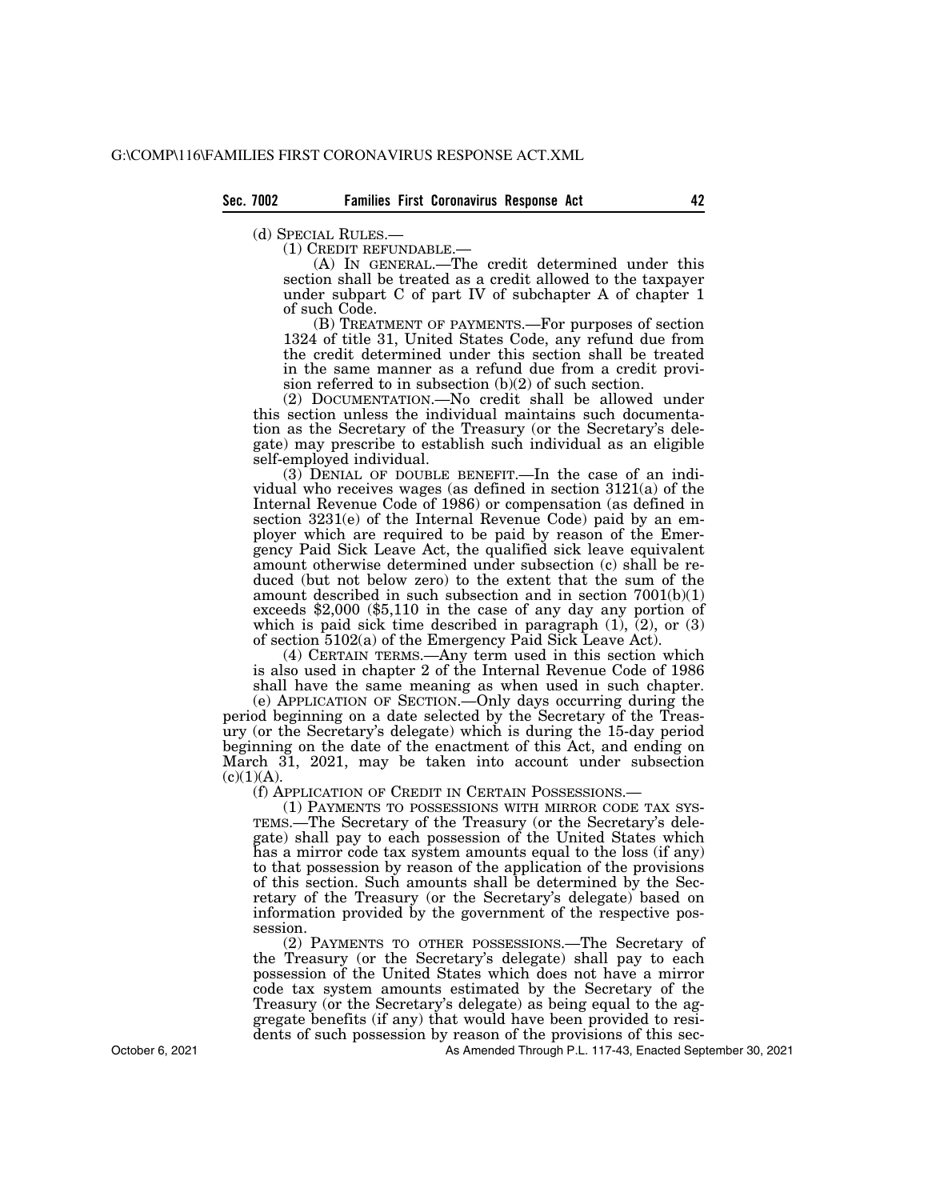(d) SPECIAL RULES.—<br>
(1) CREDIT REFUNDABLE.—<br>
(A) IN GENERAL.—The credit determined under this section shall be treated as a credit allowed to the taxpayer under subpart C of part IV of subchapter A of chapter 1 of such Code.

(B) TREATMENT OF PAYMENTS.—For purposes of section 1324 of title 31, United States Code, any refund due from the credit determined under this section shall be treated in the same manner as a refund due from a credit provision referred to in subsection (b)(2) of such section.

(2) DOCUMENTATION.—No credit shall be allowed under this section unless the individual maintains such documentation as the Secretary of the Treasury (or the Secretary's delegate) may prescribe to establish such individual as an eligible self-employed individual.

(3) DENIAL OF DOUBLE BENEFIT.—In the case of an individual who receives wages (as defined in section 3121(a) of the Internal Revenue Code of 1986) or compensation (as defined in section 3231(e) of the Internal Revenue Code) paid by an employer which are required to be paid by reason of the Emergency Paid Sick Leave Act, the qualified sick leave equivalent amount otherwise determined under subsection (c) shall be reduced (but not below zero) to the extent that the sum of the amount described in such subsection and in section  $7001(b)(1)$ exceeds \$2,000 (\$5,110 in the case of any day any portion of which is paid sick time described in paragraph (1), (2), or (3) of section 5102(a) of the Emergency Paid Sick Leave Act).

(4) CERTAIN TERMS.—Any term used in this section which is also used in chapter 2 of the Internal Revenue Code of 1986 shall have the same meaning as when used in such chapter.

(e) APPLICATION OF SECTION.—Only days occurring during the period beginning on a date selected by the Secretary of the Treasury (or the Secretary's delegate) which is during the 15-day period beginning on the date of the enactment of this Act, and ending on March 31, 2021, may be taken into account under subsection  $(c)(1)(A).$ 

(f) APPLICATION OF CREDIT IN CERTAIN POSSESSIONS.—

(1) PAYMENTS TO POSSESSIONS WITH MIRROR CODE TAX SYS-TEMS.—The Secretary of the Treasury (or the Secretary's delegate) shall pay to each possession of the United States which has a mirror code tax system amounts equal to the loss (if any) to that possession by reason of the application of the provisions of this section. Such amounts shall be determined by the Secretary of the Treasury (or the Secretary's delegate) based on information provided by the government of the respective possession.

(2) PAYMENTS TO OTHER POSSESSIONS.—The Secretary of the Treasury (or the Secretary's delegate) shall pay to each possession of the United States which does not have a mirror code tax system amounts estimated by the Secretary of the Treasury (or the Secretary's delegate) as being equal to the aggregate benefits (if any) that would have been provided to residents of such possession by reason of the provisions of this sec-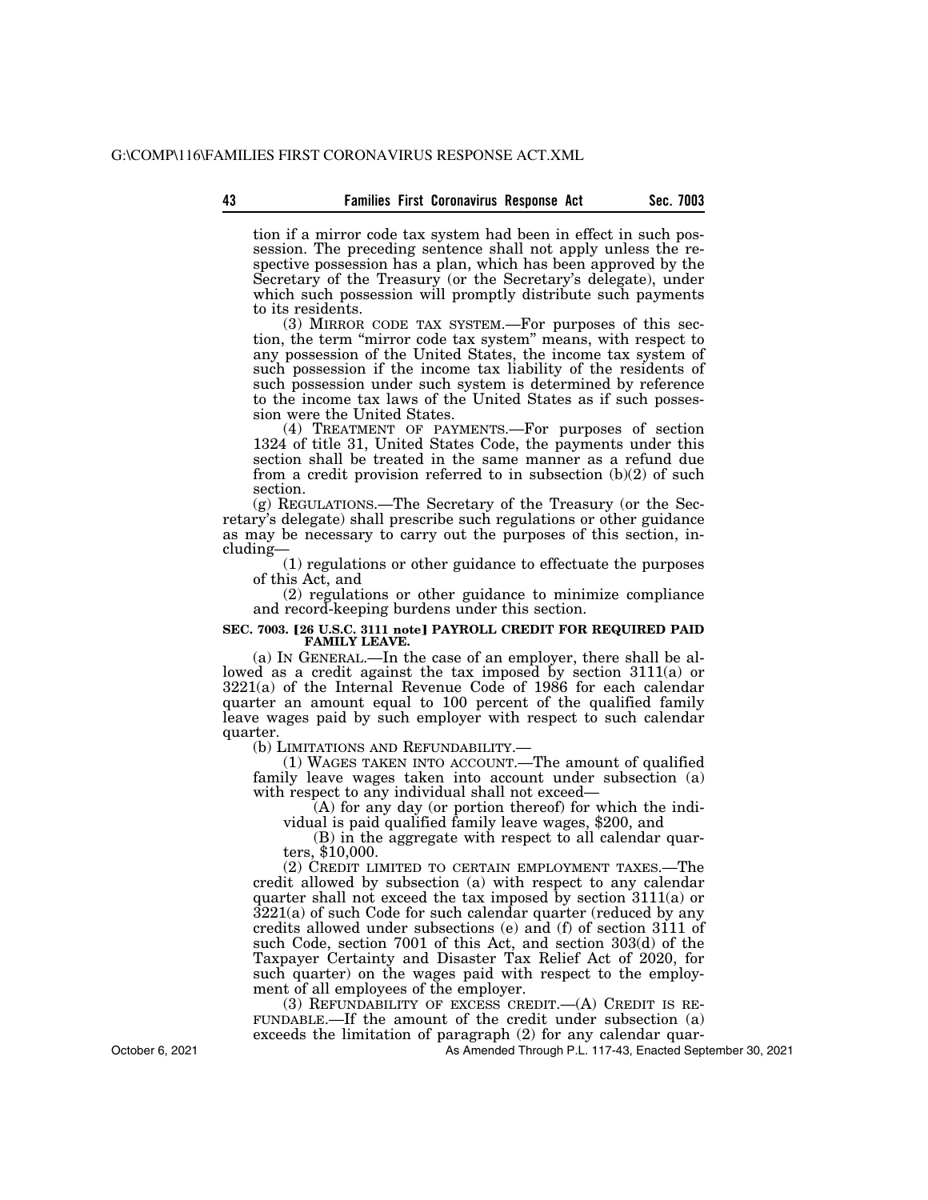tion if a mirror code tax system had been in effect in such possession. The preceding sentence shall not apply unless the respective possession has a plan, which has been approved by the Secretary of the Treasury (or the Secretary's delegate), under which such possession will promptly distribute such payments to its residents.

(3) MIRROR CODE TAX SYSTEM.—For purposes of this section, the term ''mirror code tax system'' means, with respect to any possession of the United States, the income tax system of such possession if the income tax liability of the residents of such possession under such system is determined by reference to the income tax laws of the United States as if such possession were the United States.

(4) TREATMENT OF PAYMENTS.—For purposes of section 1324 of title 31, United States Code, the payments under this section shall be treated in the same manner as a refund due from a credit provision referred to in subsection (b)(2) of such section.

(g) REGULATIONS.—The Secretary of the Treasury (or the Secretary's delegate) shall prescribe such regulations or other guidance as may be necessary to carry out the purposes of this section, including—

(1) regulations or other guidance to effectuate the purposes of this Act, and

(2) regulations or other guidance to minimize compliance and record-keeping burdens under this section.

# SEC. 7003. [26 U.S.C. 3111 note] PAYROLL CREDIT FOR REQUIRED PAID **FAMILY LEAVE.**

(a) IN GENERAL.—In the case of an employer, there shall be allowed as a credit against the tax imposed by section 3111(a) or 3221(a) of the Internal Revenue Code of 1986 for each calendar quarter an amount equal to 100 percent of the qualified family leave wages paid by such employer with respect to such calendar quarter.<br>(b) LIMITATIONS AND REFUNDABILITY.—

 $(1)$  WAGES TAKEN INTO ACCOUNT.—The amount of qualified family leave wages taken into account under subsection (a) with respect to any individual shall not exceed—

(A) for any day (or portion thereof) for which the indi- vidual is paid qualified family leave wages, \$200, and

 $(B)$  in the aggregate with respect to all calendar quar-<br>ters, \$10,000.

(2) CREDIT LIMITED TO CERTAIN EMPLOYMENT TAXES.—The credit allowed by subsection (a) with respect to any calendar quarter shall not exceed the tax imposed by section 3111(a) or 3221(a) of such Code for such calendar quarter (reduced by any credits allowed under subsections (e) and (f) of section 3111 of such Code, section 7001 of this Act, and section 303(d) of the Taxpayer Certainty and Disaster Tax Relief Act of 2020, for such quarter) on the wages paid with respect to the employment of all employees of the employer.

(3) REFUNDABILITY OF EXCESS CREDIT.—(A) CREDIT IS RE-FUNDABLE.—If the amount of the credit under subsection (a) exceeds the limitation of paragraph (2) for any calendar quar-

As Amended Through P.L. 117-43, Enacted September 30, 2021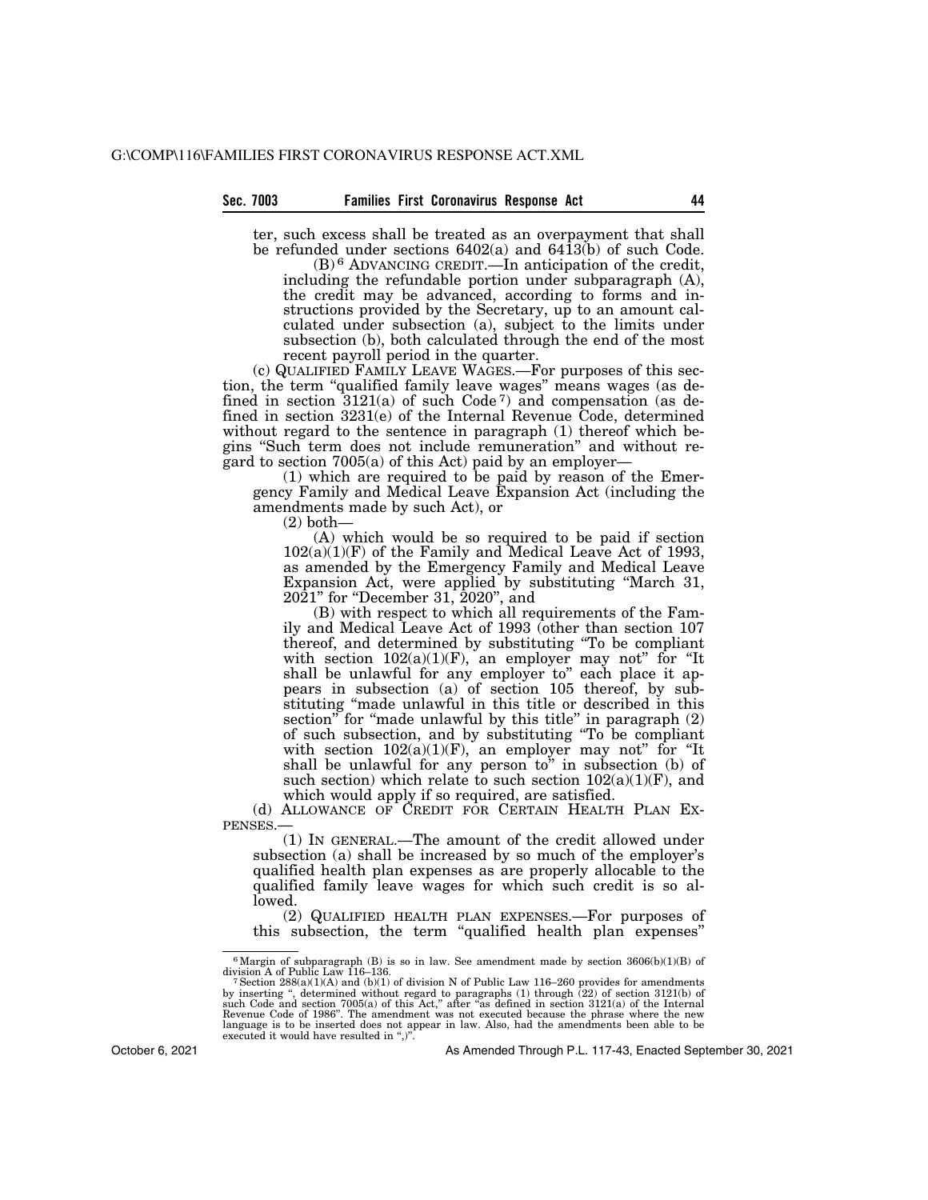#### **Sec. 7003 Families First Coronavirus Response Act 44**

ter, such excess shall be treated as an overpayment that shall be refunded under sections 6402(a) and 6413(b) of such Code. (B) 6 ADVANCING CREDIT.—In anticipation of the credit,

including the refundable portion under subparagraph (A), the credit may be advanced, according to forms and instructions provided by the Secretary, up to an amount calculated under subsection (a), subject to the limits under subsection (b), both calculated through the end of the most recent payroll period in the quarter.

(c) QUALIFIED FAMILY LEAVE WAGES.—For purposes of this section, the term ''qualified family leave wages'' means wages (as defined in section  $3121(a)$  of such Code<sup>7</sup>) and compensation (as defined in section 3231(e) of the Internal Revenue Code, determined without regard to the sentence in paragraph (1) thereof which begins ''Such term does not include remuneration'' and without regard to section 7005(a) of this Act) paid by an employer—

(1) which are required to be paid by reason of the Emergency Family and Medical Leave Expansion Act (including the amendments made by such Act), or

(2) both—

(A) which would be so required to be paid if section  $102(a)(1)(F)$  of the Family and Medical Leave Act of 1993, as amended by the Emergency Family and Medical Leave Expansion Act, were applied by substituting ''March 31, 2021'' for ''December 31, 2020'', and

(B) with respect to which all requirements of the Family and Medical Leave Act of 1993 (other than section 107 thereof, and determined by substituting ''To be compliant with section  $102(a)(1)(F)$ , an employer may not" for "It shall be unlawful for any employer to" each place it appears in subsection (a) of section 105 thereof, by substituting ''made unlawful in this title or described in this section" for "made unlawful by this title" in paragraph  $(2)$ of such subsection, and by substituting ''To be compliant with section  $102(a)(1)(F)$ , an employer may not" for "It shall be unlawful for any person to" in subsection (b) of such section) which relate to such section  $102(a)(1)(F)$ , and which would apply if so required, are satisfied.

(d) ALLOWANCE OF CREDIT FOR CERTAIN HEALTH PLAN EX-PENSES.—

(1) IN GENERAL.—The amount of the credit allowed under subsection (a) shall be increased by so much of the employer's qualified health plan expenses as are properly allocable to the qualified family leave wages for which such credit is so allowed.

(2) QUALIFIED HEALTH PLAN EXPENSES.—For purposes of this subsection, the term ''qualified health plan expenses''

October 6, 2021

 $^6$ Margin of subparagraph (B) is so in law. See amendment made by section 3606(b)(1)(B) of division A of Public Law 116–136.

division A of Public Law 116–136.<br>
<sup>7</sup> Section 288(a)(1)(A) and (b)(1) of division N of Public Law 116–260 provides for amendments<br>
by inserting ", determined without regard to paragraphs (1) through (22) of section 3121(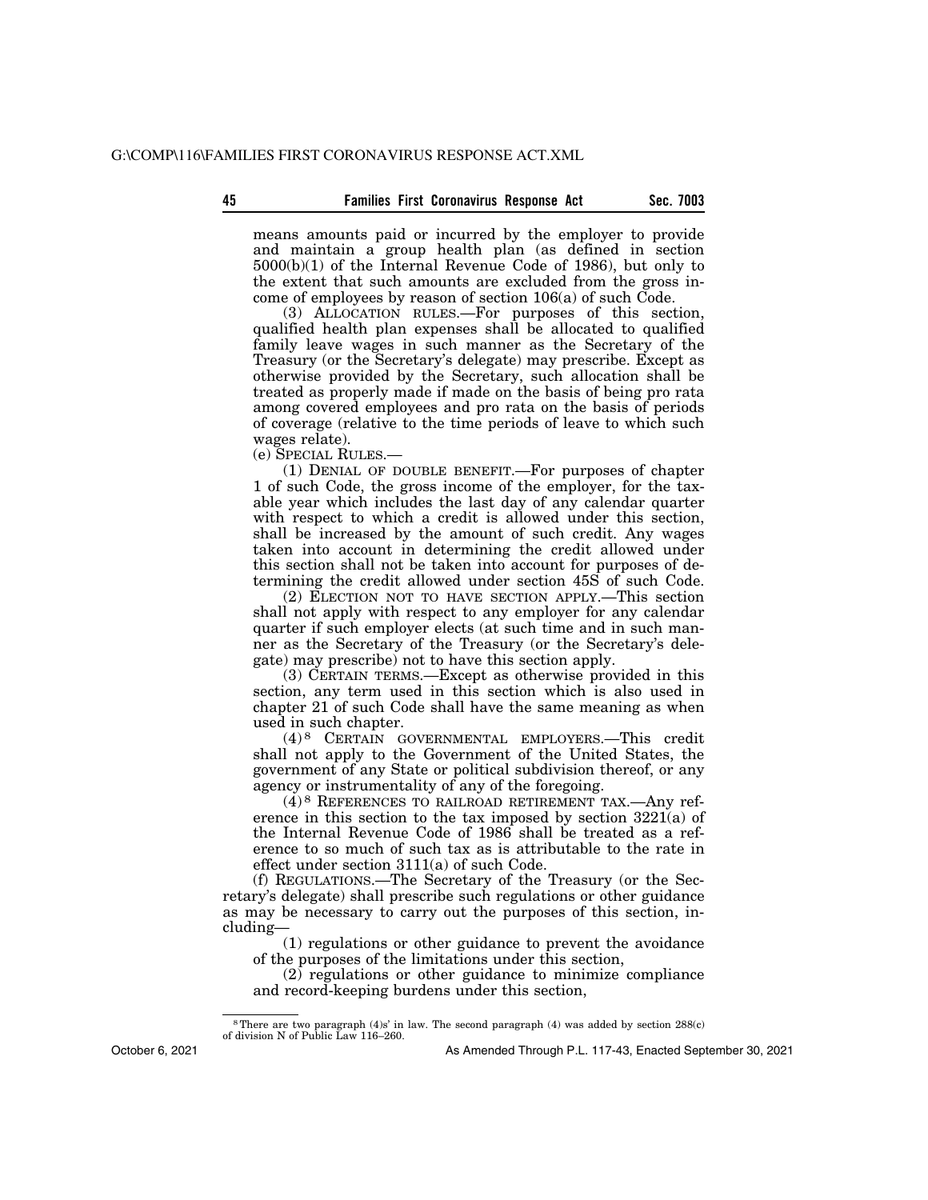means amounts paid or incurred by the employer to provide and maintain a group health plan (as defined in section 5000(b)(1) of the Internal Revenue Code of 1986), but only to the extent that such amounts are excluded from the gross income of employees by reason of section 106(a) of such Code.

(3) ALLOCATION RULES.—For purposes of this section, qualified health plan expenses shall be allocated to qualified family leave wages in such manner as the Secretary of the Treasury (or the Secretary's delegate) may prescribe. Except as otherwise provided by the Secretary, such allocation shall be treated as properly made if made on the basis of being pro rata among covered employees and pro rata on the basis of periods of coverage (relative to the time periods of leave to which such wages relate).

(e) SPECIAL RULES.—

(1) DENIAL OF DOUBLE BENEFIT.—For purposes of chapter 1 of such Code, the gross income of the employer, for the taxable year which includes the last day of any calendar quarter with respect to which a credit is allowed under this section, shall be increased by the amount of such credit. Any wages taken into account in determining the credit allowed under this section shall not be taken into account for purposes of determining the credit allowed under section 45S of such Code.

(2) ELECTION NOT TO HAVE SECTION APPLY.—This section shall not apply with respect to any employer for any calendar quarter if such employer elects (at such time and in such manner as the Secretary of the Treasury (or the Secretary's delegate) may prescribe) not to have this section apply.

(3) CERTAIN TERMS.—Except as otherwise provided in this section, any term used in this section which is also used in chapter 21 of such Code shall have the same meaning as when used in such chapter.

(4) 8 CERTAIN GOVERNMENTAL EMPLOYERS.—This credit shall not apply to the Government of the United States, the government of any State or political subdivision thereof, or any agency or instrumentality of any of the foregoing.

(4) 8 REFERENCES TO RAILROAD RETIREMENT TAX.—Any reference in this section to the tax imposed by section 3221(a) of the Internal Revenue Code of 1986 shall be treated as a reference to so much of such tax as is attributable to the rate in effect under section 3111(a) of such Code.

(f) REGULATIONS.—The Secretary of the Treasury (or the Secretary's delegate) shall prescribe such regulations or other guidance as may be necessary to carry out the purposes of this section, including—

(1) regulations or other guidance to prevent the avoidance of the purposes of the limitations under this section,

(2) regulations or other guidance to minimize compliance and record-keeping burdens under this section,

October 6, 2021

<sup>8</sup>There are two paragraph (4)s' in law. The second paragraph (4) was added by section 288(c) of division N of Public Law 116–260.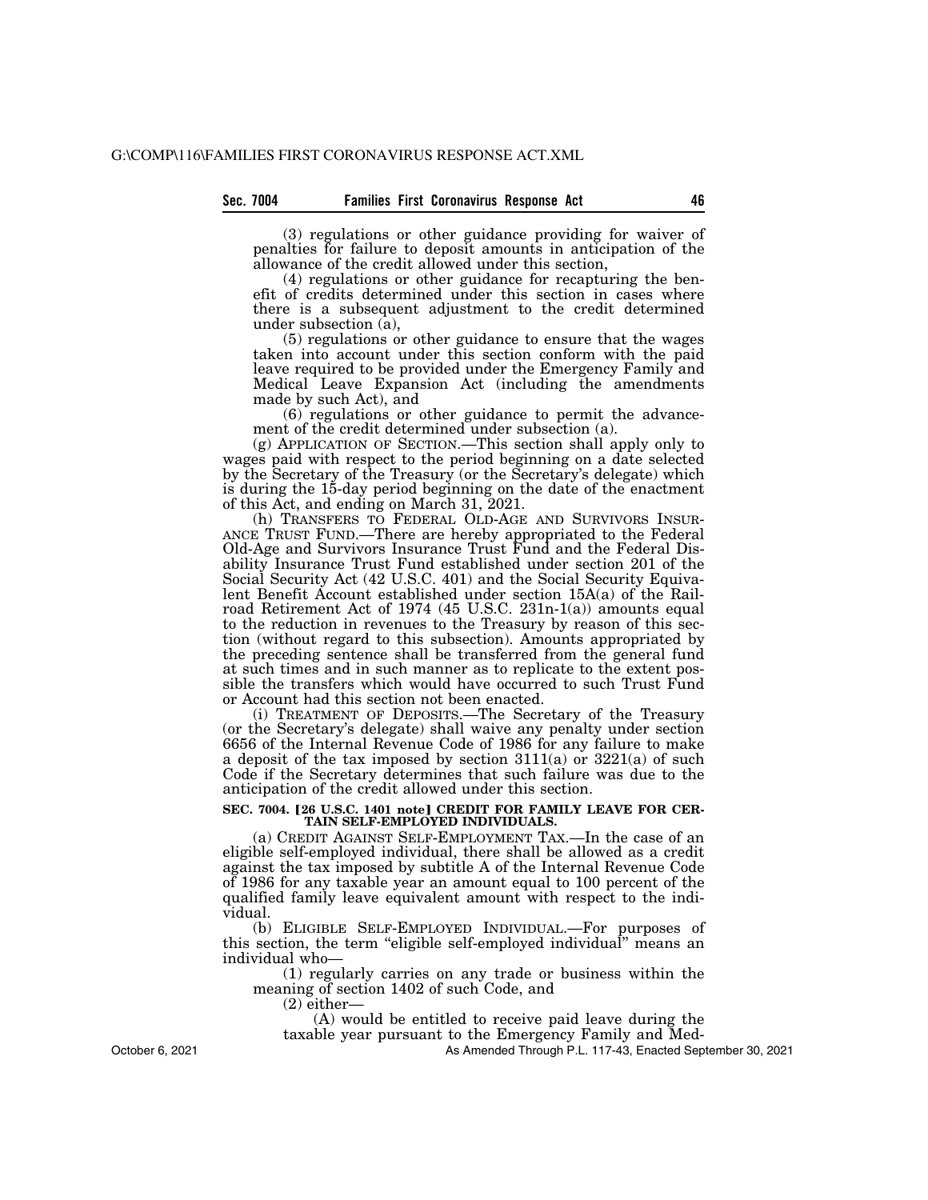(3) regulations or other guidance providing for waiver of penalties for failure to deposit amounts in anticipation of the allowance of the credit allowed under this section,

(4) regulations or other guidance for recapturing the benefit of credits determined under this section in cases where there is a subsequent adjustment to the credit determined under subsection (a),

(5) regulations or other guidance to ensure that the wages taken into account under this section conform with the paid leave required to be provided under the Emergency Family and Medical Leave Expansion Act (including the amendments made by such Act), and

(6) regulations or other guidance to permit the advancement of the credit determined under subsection (a).

(g) APPLICATION OF SECTION.—This section shall apply only to wages paid with respect to the period beginning on a date selected by the Secretary of the Treasury (or the Secretary's delegate) which is during the 15-day period beginning on the date of the enactment of this Act, and ending on March 31, 2021.

(h) TRANSFERS TO FEDERAL OLD-AGE AND SURVIVORS INSUR- ANCE TRUST FUND.—There are hereby appropriated to the Federal Old-Age and Survivors Insurance Trust Fund and the Federal Disability Insurance Trust Fund established under section 201 of the Social Security Act (42 U.S.C. 401) and the Social Security Equivalent Benefit Account established under section 15A(a) of the Railroad Retirement Act of 1974 (45 U.S.C. 231n-1(a)) amounts equal to the reduction in revenues to the Treasury by reason of this section (without regard to this subsection). Amounts appropriated by the preceding sentence shall be transferred from the general fund at such times and in such manner as to replicate to the extent possible the transfers which would have occurred to such Trust Fund or Account had this section not been enacted.

(i) TREATMENT OF DEPOSITS.—The Secretary of the Treasury (or the Secretary's delegate) shall waive any penalty under section 6656 of the Internal Revenue Code of 1986 for any failure to make a deposit of the tax imposed by section 3111(a) or 3221(a) of such Code if the Secretary determines that such failure was due to the anticipation of the credit allowed under this section.

#### SEC. 7004. [26 U.S.C. 1401 note] CREDIT FOR FAMILY LEAVE FOR CER-**TAIN SELF-EMPLOYED INDIVIDUALS.**

(a) CREDIT AGAINST SELF-EMPLOYMENT TAX.—In the case of an eligible self-employed individual, there shall be allowed as a credit against the tax imposed by subtitle A of the Internal Revenue Code of 1986 for any taxable year an amount equal to 100 percent of the qualified family leave equivalent amount with respect to the individual.

(b) ELIGIBLE SELF-EMPLOYED INDIVIDUAL.—For purposes of this section, the term ''eligible self-employed individual'' means an individual who—

(1) regularly carries on any trade or business within the meaning of section 1402 of such Code, and

 $(2)$  either-

(A) would be entitled to receive paid leave during the

taxable year pursuant to the Emergency Family and Med-

As Amended Through P.L. 117-43, Enacted September 30, 2021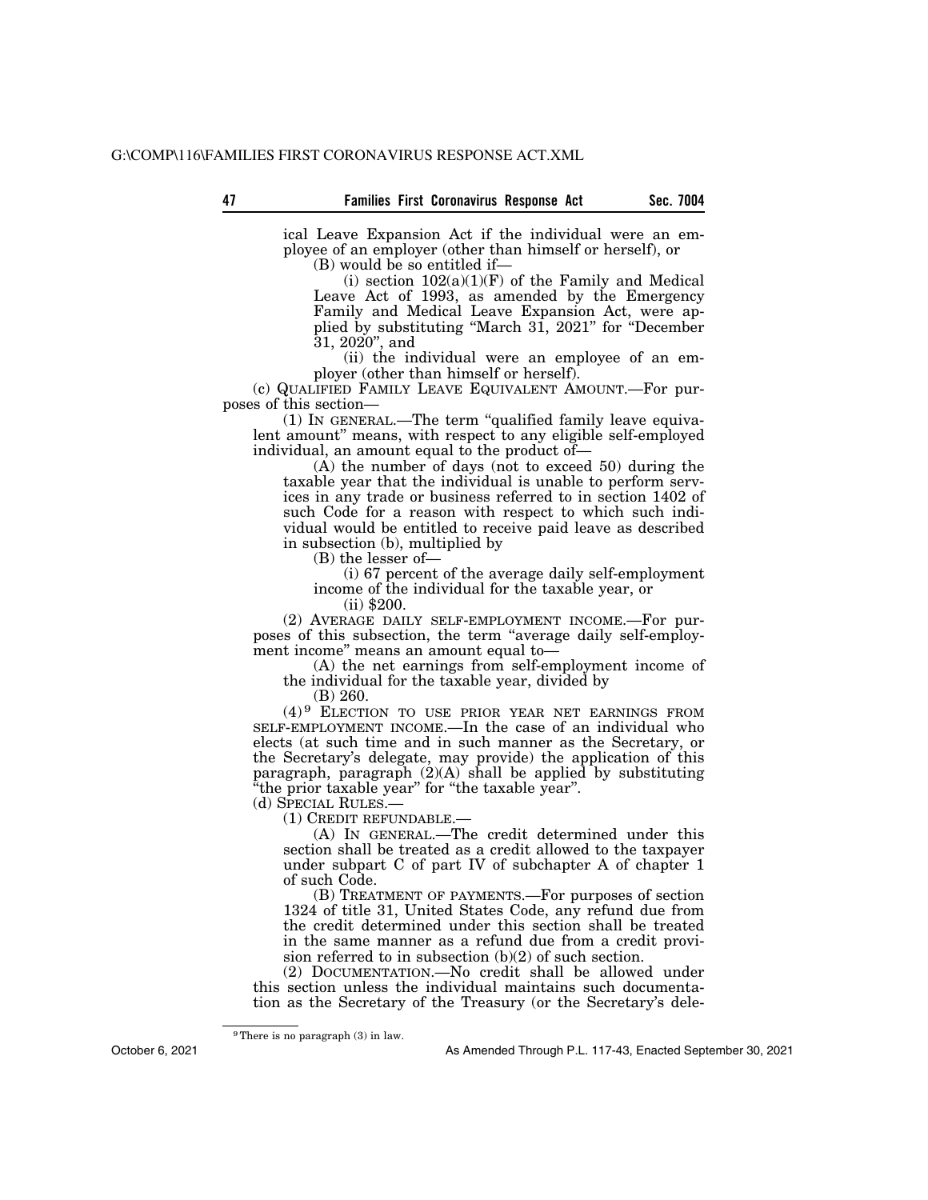ical Leave Expansion Act if the individual were an employee of an employer (other than himself or herself), or

(B) would be so entitled if—

(i) section  $102(a)(1)(F)$  of the Family and Medical Leave Act of 1993, as amended by the Emergency Family and Medical Leave Expansion Act, were applied by substituting ''March 31, 2021'' for ''December 31, 2020'', and

(ii) the individual were an employee of an employer (other than himself or herself).

(c) QUALIFIED FAMILY LEAVE EQUIVALENT AMOUNT.—For purposes of this section—

(1) IN GENERAL.—The term ''qualified family leave equivalent amount'' means, with respect to any eligible self-employed individual, an amount equal to the product of—

(A) the number of days (not to exceed 50) during the taxable year that the individual is unable to perform services in any trade or business referred to in section 1402 of such Code for a reason with respect to which such individual would be entitled to receive paid leave as described in subsection (b), multiplied by

(B) the lesser of—

(i) 67 percent of the average daily self-employment income of the individual for the taxable year, or

(ii) \$200.

(2) AVERAGE DAILY SELF-EMPLOYMENT INCOME.—For purposes of this subsection, the term ''average daily self-employment income'' means an amount equal to—

(A) the net earnings from self-employment income of the individual for the taxable year, divided by

(B) 260.

(4) 9 ELECTION TO USE PRIOR YEAR NET EARNINGS FROM SELF-EMPLOYMENT INCOME.—In the case of an individual who elects (at such time and in such manner as the Secretary, or the Secretary's delegate, may provide) the application of this paragraph, paragraph (2)(A) shall be applied by substituting ''the prior taxable year'' for ''the taxable year''.

(d) SPECIAL RULES.— (1) CREDIT REFUNDABLE.—

(A) IN GENERAL.—The credit determined under this section shall be treated as a credit allowed to the taxpayer under subpart C of part IV of subchapter A of chapter 1 of such Code.

(B) TREATMENT OF PAYMENTS.—For purposes of section 1324 of title 31, United States Code, any refund due from the credit determined under this section shall be treated in the same manner as a refund due from a credit provision referred to in subsection  $(b)(2)$  of such section.

(2) DOCUMENTATION.—No credit shall be allowed under this section unless the individual maintains such documentation as the Secretary of the Treasury (or the Secretary's dele-

9There is no paragraph (3) in law.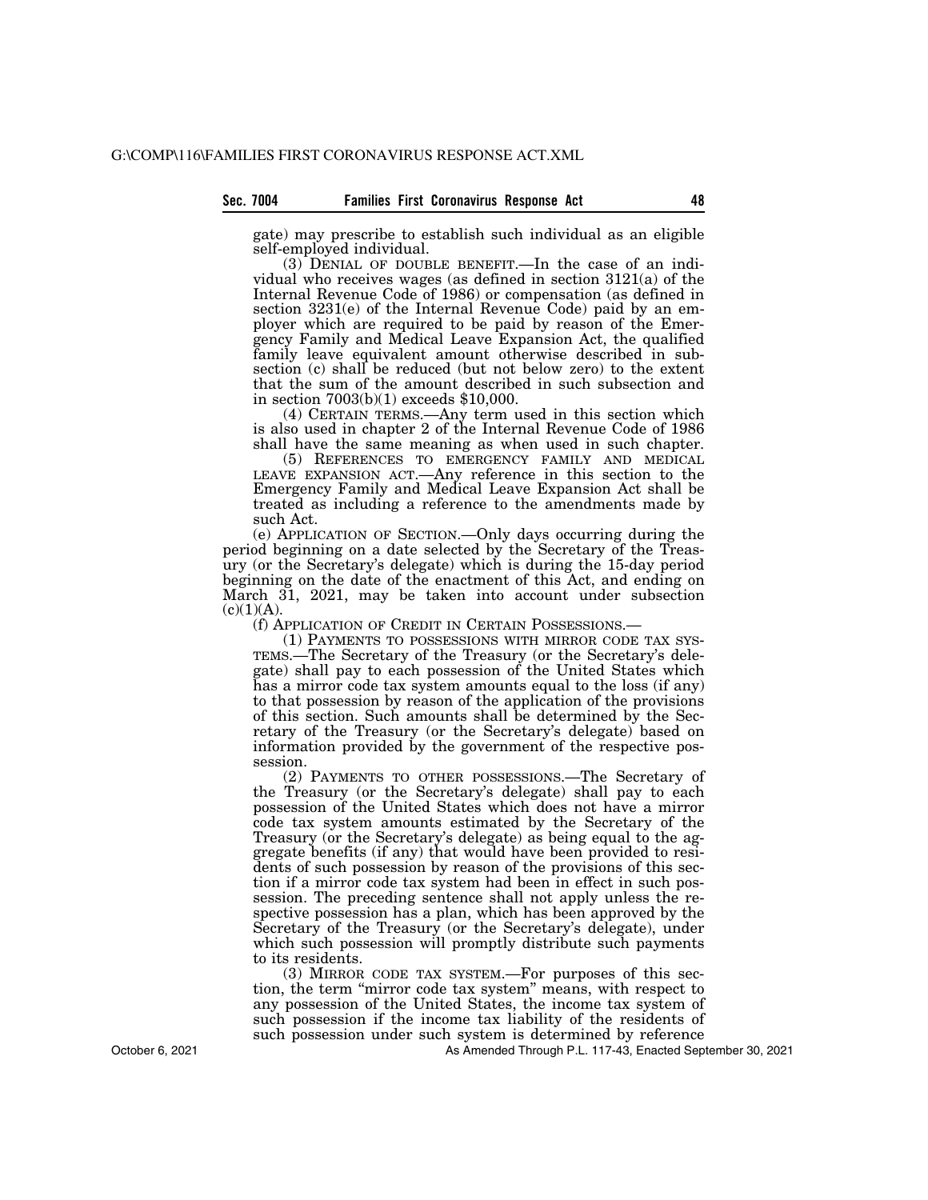#### **Sec. 7004 Families First Coronavirus Response Act 48**

gate) may prescribe to establish such individual as an eligible self-employed individual.

(3) DENIAL OF DOUBLE BENEFIT.—In the case of an individual who receives wages (as defined in section 3121(a) of the Internal Revenue Code of 1986) or compensation (as defined in section 3231(e) of the Internal Revenue Code) paid by an employer which are required to be paid by reason of the Emergency Family and Medical Leave Expansion Act, the qualified family leave equivalent amount otherwise described in subsection (c) shall be reduced (but not below zero) to the extent that the sum of the amount described in such subsection and in section 7003(b)(1) exceeds \$10,000.

(4) CERTAIN TERMS.—Any term used in this section which is also used in chapter 2 of the Internal Revenue Code of 1986 shall have the same meaning as when used in such chapter.

(5) REFERENCES TO EMERGENCY FAMILY AND MEDICAL LEAVE EXPANSION ACT.—Any reference in this section to the Emergency Family and Medical Leave Expansion Act shall be treated as including a reference to the amendments made by such Act.

(e) APPLICATION OF SECTION.—Only days occurring during the period beginning on a date selected by the Secretary of the Treasury (or the Secretary's delegate) which is during the 15-day period beginning on the date of the enactment of this Act, and ending on March 31, 2021, may be taken into account under subsection  $(c)(1)(A).$ 

(f) APPLICATION OF CREDIT IN CERTAIN POSSESSIONS.—<br>(1) PAYMENTS TO POSSESSIONS WITH MIRROR CODE TAX SYS-TEMS.—The Secretary of the Treasury (or the Secretary's delegate) shall pay to each possession of the United States which has a mirror code tax system amounts equal to the loss (if any) to that possession by reason of the application of the provisions of this section. Such amounts shall be determined by the Secretary of the Treasury (or the Secretary's delegate) based on information provided by the government of the respective possession.

(2) PAYMENTS TO OTHER POSSESSIONS.—The Secretary of the Treasury (or the Secretary's delegate) shall pay to each possession of the United States which does not have a mirror code tax system amounts estimated by the Secretary of the Treasury (or the Secretary's delegate) as being equal to the aggregate benefits (if any) that would have been provided to residents of such possession by reason of the provisions of this section if a mirror code tax system had been in effect in such possession. The preceding sentence shall not apply unless the respective possession has a plan, which has been approved by the Secretary of the Treasury (or the Secretary's delegate), under which such possession will promptly distribute such payments to its residents.

(3) MIRROR CODE TAX SYSTEM.—For purposes of this section, the term ''mirror code tax system'' means, with respect to any possession of the United States, the income tax system of such possession if the income tax liability of the residents of such possession under such system is determined by reference

As Amended Through P.L. 117-43, Enacted September 30, 2021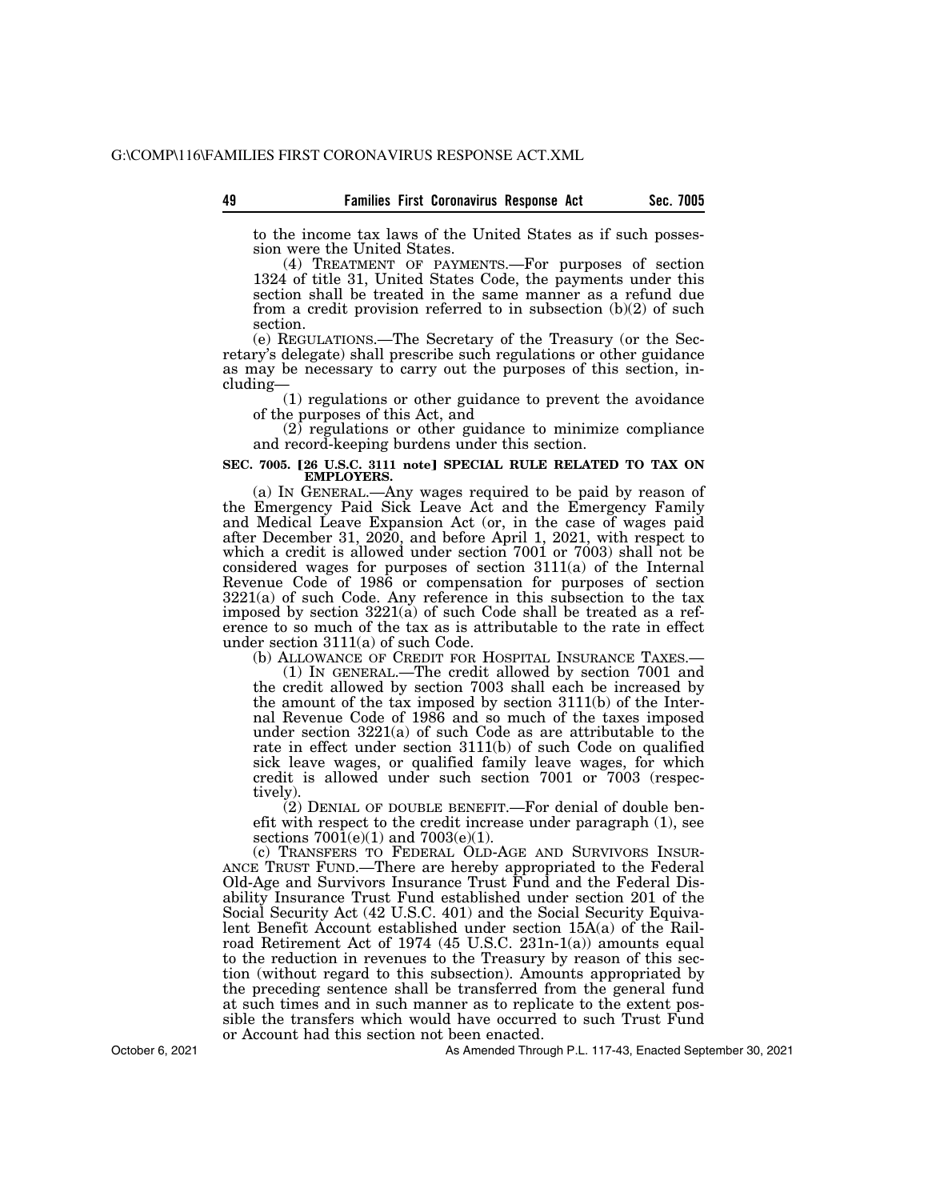to the income tax laws of the United States as if such possession were the United States.

(4) TREATMENT OF PAYMENTS.—For purposes of section 1324 of title 31, United States Code, the payments under this section shall be treated in the same manner as a refund due from a credit provision referred to in subsection  $(b)(2)$  of such section.

(e) REGULATIONS.—The Secretary of the Treasury (or the Secretary's delegate) shall prescribe such regulations or other guidance as may be necessary to carry out the purposes of this section, including—

(1) regulations or other guidance to prevent the avoidance of the purposes of this Act, and

 $(2)$  regulations or other guidance to minimize compliance and record-keeping burdens under this section.

#### SEC. 7005. [26 U.S.C. 3111 note] SPECIAL RULE RELATED TO TAX ON **EMPLOYERS.**

(a) IN GENERAL.—Any wages required to be paid by reason of the Emergency Paid Sick Leave Act and the Emergency Family and Medical Leave Expansion Act (or, in the case of wages paid after December 31, 2020, and before April 1, 2021, with respect to which a credit is allowed under section 7001 or 7003) shall not be considered wages for purposes of section 3111(a) of the Internal Revenue Code of 1986 or compensation for purposes of section 3221(a) of such Code. Any reference in this subsection to the tax imposed by section 3221(a) of such Code shall be treated as a reference to so much of the tax as is attributable to the rate in effect under section 3111(a) of such Code.<br>(b) ALLOWANCE OF CREDIT FOR HOSPITAL INSURANCE TAXES.—

(1) IN GENERAL.—The credit allowed by section 7001 and the credit allowed by section 7003 shall each be increased by the amount of the tax imposed by section 3111(b) of the Internal Revenue Code of 1986 and so much of the taxes imposed under section 3221(a) of such Code as are attributable to the rate in effect under section 3111(b) of such Code on qualified sick leave wages, or qualified family leave wages, for which credit is allowed under such section 7001 or 7003 (respectively).

(2) DENIAL OF DOUBLE BENEFIT.—For denial of double benefit with respect to the credit increase under paragraph (1), see sections  $7001(e)(1)$  and  $7003(e)(1)$ .

(c) TRANSFERS TO FEDERAL OLD-AGE AND SURVIVORS INSUR-ANCE TRUST FUND.—There are hereby appropriated to the Federal Old-Age and Survivors Insurance Trust Fund and the Federal Disability Insurance Trust Fund established under section 201 of the Social Security Act (42 U.S.C. 401) and the Social Security Equivalent Benefit Account established under section 15A(a) of the Railroad Retirement Act of 1974 (45 U.S.C. 231n-1(a)) amounts equal to the reduction in revenues to the Treasury by reason of this section (without regard to this subsection). Amounts appropriated by the preceding sentence shall be transferred from the general fund at such times and in such manner as to replicate to the extent possible the transfers which would have occurred to such Trust Fund or Account had this section not been enacted.

As Amended Through P.L. 117-43, Enacted September 30, 2021